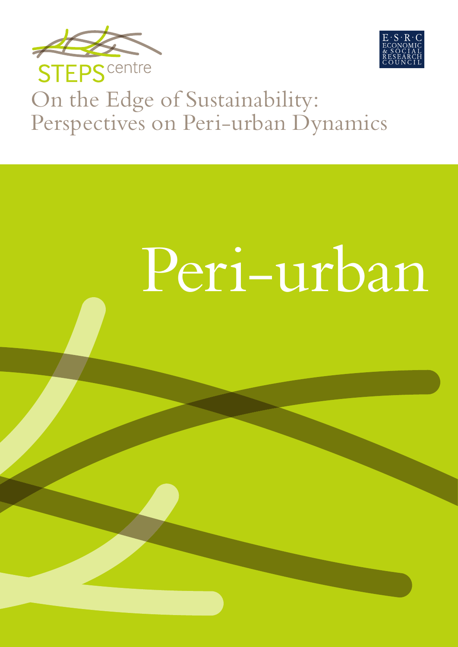



### On the Edge of Sustainability: Perspectives on Peri-urban Dynamics

# Peri-urban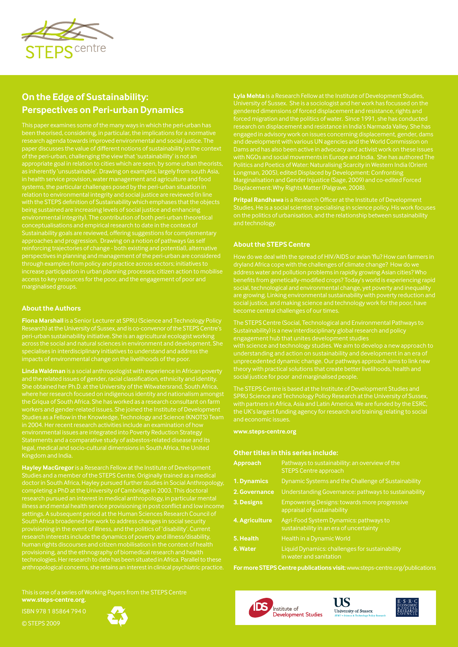

#### **On the Edge of Sustainability: Perspectives on Peri-urban Dynamics**

paper discusses the value of different notions of sustainability in the context environmental integrity). The contribution of both peri-urban theoretical access to key resources for the poor, and the engagement of poor and marginalised groups.

#### **About the Authors**

**Fiona Marshall** is a Senior Lecturer at SPRU (Science and Technology Policy specialises in interdisciplinary initiatives to understand and address the

**Linda Waldman** is a social anthropologist with experience in African poverty

**Hayley MacGregor** is a Research Fellow at the Institute of Development provisioning, and the ethnography of biomedical research and health

**Lyla Mehta** is a Research Fellow at the Institute of Development Studies, forced migration and the politics of water. Since 1991, she has conducted with NGOs and social movements in Europe and India. She has authored The

**Pritpal Randhawa** is a Research Officer at the Institute of Development on the politics of urbanisation, and the relationship between sustainability and technology.

#### **About the STEPS Centre**

engagement hub that unites development studies

theory with practical solutions that create better livelihoods, health and

the UK's largest funding agency for research and training relating to social

**www.steps-centre.org**

#### **Other titles in this series include:**

| <b>Approach</b> | Pathways to sustainability: an overview of the<br><b>STEPS Centre approach</b>    |
|-----------------|-----------------------------------------------------------------------------------|
| 1. Dynamics     | Dynamic Systems and the Challenge of Sustainability                               |
| 2. Governance   | Understanding Governance: pathways to sustainability                              |
| 3. Designs      | Empowering Designs: towards more progressive<br>appraisal of sustainability       |
| 4. Agriculture  | Agri-Food System Dynamics: pathways to<br>sustainability in an era of uncertainty |
| 5. Health       | <b>Health in a Dynamic World</b>                                                  |
| 6. Water        | Liquid Dynamics: challenges for sustainability<br>in water and sanitation         |

**For more STEPS Centre publications visit:** www.steps-centre.org/publications

**www.steps-centre.org.**

ISBN 978 1 85864 794 0 © STEPS 2009



Institute of **Development Studies** 



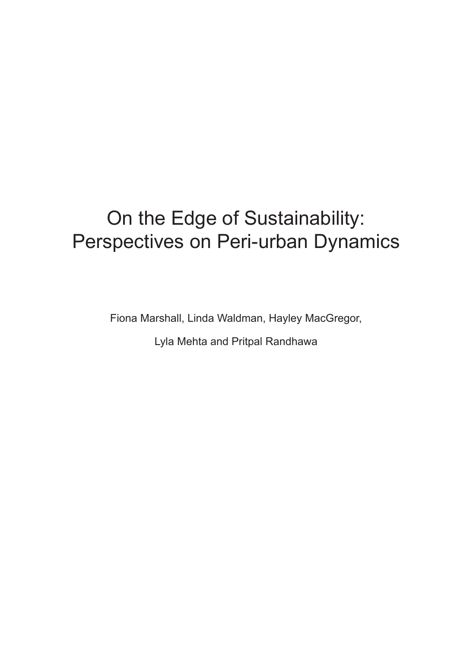#### On the Edge of Sustainability: Perspectives on Peri-urban Dynamics

Fiona Marshall, Linda Waldman, Hayley MacGregor,

Lyla Mehta and Pritpal Randhawa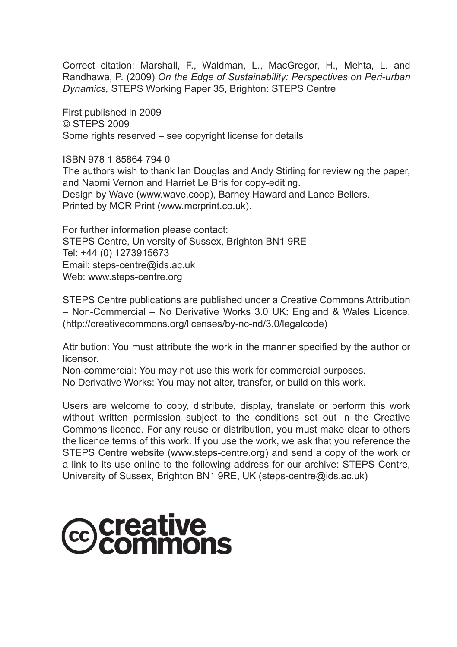Correct citation: Marshall, F., Waldman, L., MacGregor, H., Mehta, L. and Randhawa, P. (2009) *On the Edge of Sustainability: Perspectives on Peri-urban Dynamics,* STEPS Working Paper 35, Brighton: STEPS Centre

First published in 2009 © STEPS 2009 Some rights reserved – see copyright license for details

ISBN 978 1 85864 794 0 The authors wish to thank Ian Douglas and Andy Stirling for reviewing the paper, and Naomi Vernon and Harriet Le Bris for copy-editing. Design by Wave (www.wave.coop), Barney Haward and Lance Bellers. Printed by MCR Print (www.mcrprint.co.uk).

For further information please contact: STEPS Centre, University of Sussex, Brighton BN1 9RE Tel: +44 (0) 1273915673 Email: steps-centre@ids.ac.uk Web: www.steps-centre.org

STEPS Centre publications are published under a Creative Commons Attribution – Non-Commercial – No Derivative Works 3.0 UK: England & Wales Licence. (http://creativecommons.org/licenses/by-nc-nd/3.0/legalcode)

Attribution: You must attribute the work in the manner specified by the author or licensor.

Non-commercial: You may not use this work for commercial purposes. No Derivative Works: You may not alter, transfer, or build on this work.

Users are welcome to copy, distribute, display, translate or perform this work without written permission subject to the conditions set out in the Creative Commons licence. For any reuse or distribution, you must make clear to others the licence terms of this work. If you use the work, we ask that you reference the STEPS Centre website (www.steps-centre.org) and send a copy of the work or a link to its use online to the following address for our archive: STEPS Centre, University of Sussex, Brighton BN1 9RE, UK (steps-centre@ids.ac.uk)

## **@creative<br>©commons**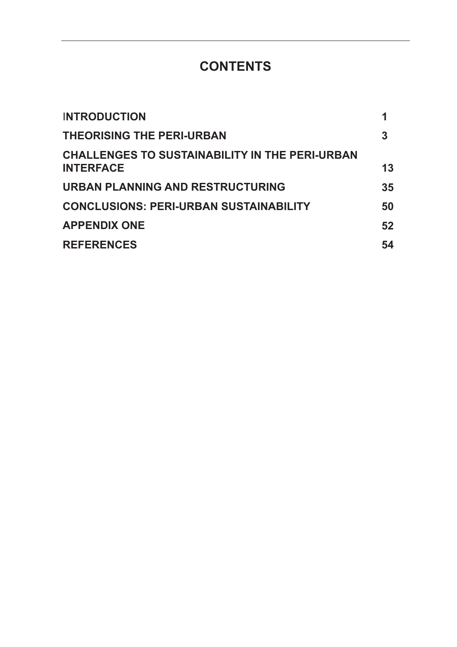#### **CONTENTS**

| <b>INTRODUCTION</b>                                                       |    |
|---------------------------------------------------------------------------|----|
| <b>THEORISING THE PERI-URBAN</b>                                          | 3  |
| <b>CHALLENGES TO SUSTAINABILITY IN THE PERI-URBAN</b><br><b>INTERFACE</b> | 13 |
| URBAN PLANNING AND RESTRUCTURING                                          | 35 |
| <b>CONCLUSIONS: PERI-URBAN SUSTAINABILITY</b>                             | 50 |
| <b>APPENDIX ONE</b>                                                       | 52 |
| <b>REFERENCES</b>                                                         | 54 |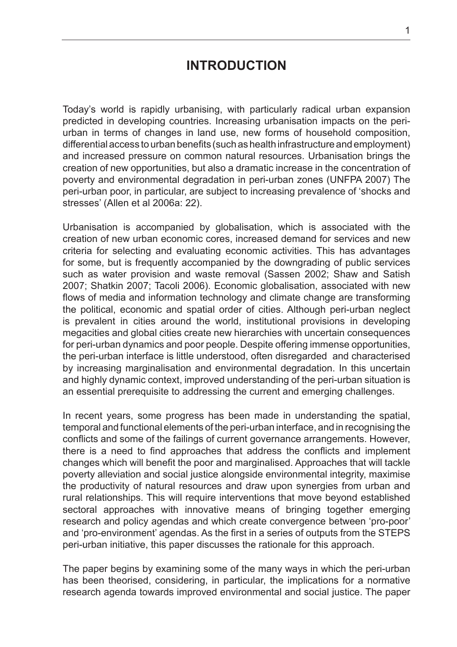#### **INTRODUCTION**

Today's world is rapidly urbanising, with particularly radical urban expansion predicted in developing countries. Increasing urbanisation impacts on the periurban in terms of changes in land use, new forms of household composition, differential access to urban benefits (such as health infrastructure and employment) and increased pressure on common natural resources. Urbanisation brings the creation of new opportunities, but also a dramatic increase in the concentration of poverty and environmental degradation in peri-urban zones (UNFPA 2007) The peri-urban poor, in particular, are subject to increasing prevalence of 'shocks and stresses' (Allen et al 2006a: 22).

Urbanisation is accompanied by globalisation, which is associated with the creation of new urban economic cores, increased demand for services and new criteria for selecting and evaluating economic activities. This has advantages for some, but is frequently accompanied by the downgrading of public services such as water provision and waste removal (Sassen 2002; Shaw and Satish 2007; Shatkin 2007; Tacoli 2006). Economic globalisation, associated with new flows of media and information technology and climate change are transforming the political, economic and spatial order of cities. Although peri-urban neglect is prevalent in cities around the world, institutional provisions in developing megacities and global cities create new hierarchies with uncertain consequences for peri-urban dynamics and poor people. Despite offering immense opportunities, the peri-urban interface is little understood, often disregarded and characterised by increasing marginalisation and environmental degradation. In this uncertain and highly dynamic context, improved understanding of the peri-urban situation is an essential prerequisite to addressing the current and emerging challenges.

In recent years, some progress has been made in understanding the spatial, temporal and functional elements of the peri-urban interface, and in recognising the conflicts and some of the failings of current governance arrangements. However, there is a need to find approaches that address the conflicts and implement changes which will benefit the poor and marginalised. Approaches that will tackle poverty alleviation and social justice alongside environmental integrity, maximise the productivity of natural resources and draw upon synergies from urban and rural relationships. This will require interventions that move beyond established sectoral approaches with innovative means of bringing together emerging research and policy agendas and which create convergence between 'pro-poor' and 'pro-environment' agendas. As the first in a series of outputs from the STEPS peri-urban initiative, this paper discusses the rationale for this approach.

The paper begins by examining some of the many ways in which the peri-urban has been theorised, considering, in particular, the implications for a normative research agenda towards improved environmental and social justice. The paper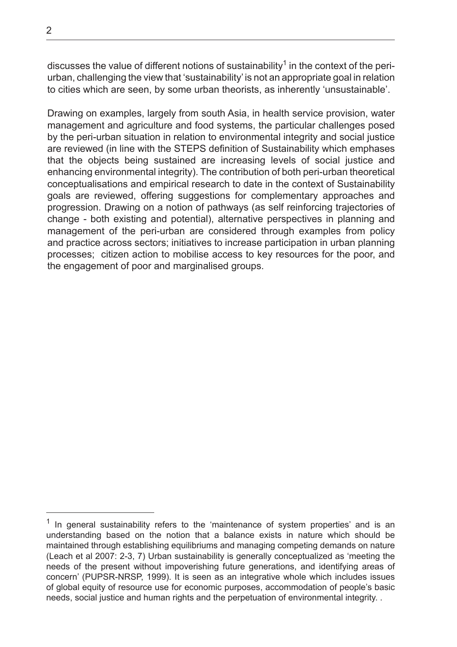discusses the value of different notions of sustainability<sup>1</sup> in the context of the periurban, challenging the view that 'sustainability' is not an appropriate goal in relation to cities which are seen, by some urban theorists, as inherently 'unsustainable'.

Drawing on examples, largely from south Asia, in health service provision, water management and agriculture and food systems, the particular challenges posed by the peri-urban situation in relation to environmental integrity and social justice are reviewed (in line with the STEPS definition of Sustainability which emphases that the objects being sustained are increasing levels of social justice and enhancing environmental integrity). The contribution of both peri-urban theoretical conceptualisations and empirical research to date in the context of Sustainability goals are reviewed, offering suggestions for complementary approaches and progression. Drawing on a notion of pathways (as self reinforcing trajectories of change - both existing and potential), alternative perspectives in planning and management of the peri-urban are considered through examples from policy and practice across sectors; initiatives to increase participation in urban planning processes; citizen action to mobilise access to key resources for the poor, and the engagement of poor and marginalised groups.

<sup>1</sup> In general sustainability refers to the 'maintenance of system properties' and is an understanding based on the notion that a balance exists in nature which should be maintained through establishing equilibriums and managing competing demands on nature (Leach et al 2007: 2-3, 7) Urban sustainability is generally conceptualized as 'meeting the needs of the present without impoverishing future generations, and identifying areas of concern' (PUPSR-NRSP, 1999). It is seen as an integrative whole which includes issues of global equity of resource use for economic purposes, accommodation of people's basic needs, social justice and human rights and the perpetuation of environmental integrity. .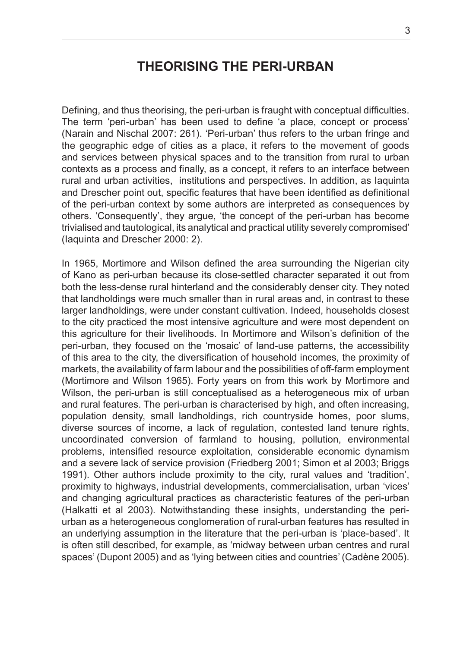#### **THEORISING THE PERI-URBAN**

Defining, and thus theorising, the peri-urban is fraught with conceptual difficulties. The term 'peri-urban' has been used to define 'a place, concept or process' (Narain and Nischal 2007: 261). 'Peri-urban' thus refers to the urban fringe and the geographic edge of cities as a place, it refers to the movement of goods and services between physical spaces and to the transition from rural to urban contexts as a process and finally, as a concept, it refers to an interface between rural and urban activities, institutions and perspectives. In addition, as Iaquinta and Drescher point out, specific features that have been identified as definitional of the peri-urban context by some authors are interpreted as consequences by others. 'Consequently', they argue, 'the concept of the peri-urban has become trivialised and tautological, its analytical and practical utility severely compromised' (Iaquinta and Drescher 2000: 2).

In 1965, Mortimore and Wilson defined the area surrounding the Nigerian city of Kano as peri-urban because its close-settled character separated it out from both the less-dense rural hinterland and the considerably denser city. They noted that landholdings were much smaller than in rural areas and, in contrast to these larger landholdings, were under constant cultivation. Indeed, households closest to the city practiced the most intensive agriculture and were most dependent on this agriculture for their livelihoods. In Mortimore and Wilson's definition of the peri-urban, they focused on the 'mosaic' of land-use patterns, the accessibility of this area to the city, the diversification of household incomes, the proximity of markets, the availability of farm labour and the possibilities of off-farm employment (Mortimore and Wilson 1965). Forty years on from this work by Mortimore and Wilson, the peri-urban is still conceptualised as a heterogeneous mix of urban and rural features. The peri-urban is characterised by high, and often increasing, population density, small landholdings, rich countryside homes, poor slums, diverse sources of income, a lack of regulation, contested land tenure rights, uncoordinated conversion of farmland to housing, pollution, environmental problems, intensified resource exploitation, considerable economic dynamism and a severe lack of service provision (Friedberg 2001; Simon et al 2003; Briggs 1991). Other authors include proximity to the city, rural values and 'tradition', proximity to highways, industrial developments, commercialisation, urban 'vices' and changing agricultural practices as characteristic features of the peri-urban (Halkatti et al 2003). Notwithstanding these insights, understanding the periurban as a heterogeneous conglomeration of rural-urban features has resulted in an underlying assumption in the literature that the peri-urban is 'place-based'. It is often still described, for example, as 'midway between urban centres and rural spaces' (Dupont 2005) and as 'lying between cities and countries' (Cadène 2005).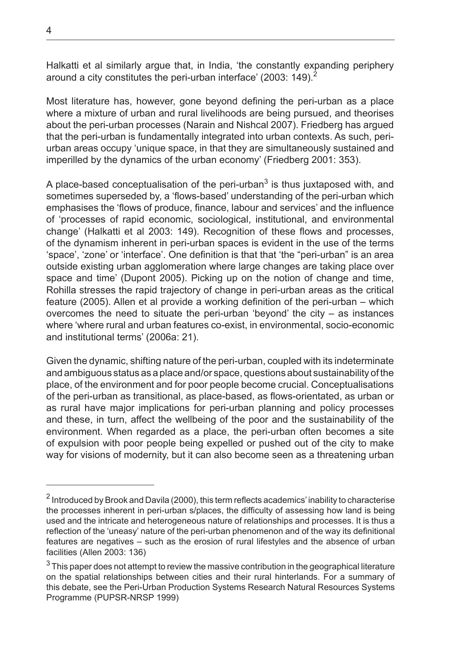Halkatti et al similarly argue that, in India, 'the constantly expanding periphery around a city constitutes the peri-urban interface' (2003:  $149$ ).<sup>2</sup>

Most literature has, however, gone beyond defining the peri-urban as a place where a mixture of urban and rural livelihoods are being pursued, and theorises about the peri-urban processes (Narain and Nishcal 2007). Friedberg has argued that the peri-urban is fundamentally integrated into urban contexts. As such, periurban areas occupy 'unique space, in that they are simultaneously sustained and imperilled by the dynamics of the urban economy' (Friedberg 2001: 353).

A place-based conceptualisation of the peri-urban<sup>3</sup> is thus juxtaposed with, and sometimes superseded by, a 'flows-based' understanding of the peri-urban which emphasises the 'flows of produce, finance, labour and services' and the influence of 'processes of rapid economic, sociological, institutional, and environmental change' (Halkatti et al 2003: 149). Recognition of these flows and processes, of the dynamism inherent in peri-urban spaces is evident in the use of the terms 'space', 'zone' or 'interface'. One definition is that that 'the "peri-urban" is an area outside existing urban agglomeration where large changes are taking place over space and time' (Dupont 2005). Picking up on the notion of change and time, Rohilla stresses the rapid trajectory of change in peri-urban areas as the critical feature (2005). Allen et al provide a working definition of the peri-urban – which overcomes the need to situate the peri-urban 'beyond' the city – as instances where 'where rural and urban features co-exist, in environmental, socio-economic and institutional terms' (2006a: 21).

Given the dynamic, shifting nature of the peri-urban, coupled with its indeterminate and ambiguous status as a place and/or space, questions about sustainability of the place, of the environment and for poor people become crucial. Conceptualisations of the peri-urban as transitional, as place-based, as flows-orientated, as urban or as rural have major implications for peri-urban planning and policy processes and these, in turn, affect the wellbeing of the poor and the sustainability of the environment. When regarded as a place, the peri-urban often becomes a site of expulsion with poor people being expelled or pushed out of the city to make way for visions of modernity, but it can also become seen as a threatening urban

<sup>&</sup>lt;sup>2</sup> Introduced by Brook and Davila (2000), this term reflects academics' inability to characterise the processes inherent in peri-urban s/places, the difficulty of assessing how land is being used and the intricate and heterogeneous nature of relationships and processes. It is thus a reflection of the 'uneasy' nature of the peri-urban phenomenon and of the way its definitional features are negatives – such as the erosion of rural lifestyles and the absence of urban facilities (Allen 2003: 136)

 $^3$  This paper does not attempt to review the massive contribution in the geographical literature on the spatial relationships between cities and their rural hinterlands. For a summary of this debate, see the Peri-Urban Production Systems Research Natural Resources Systems Programme (PUPSR-NRSP 1999)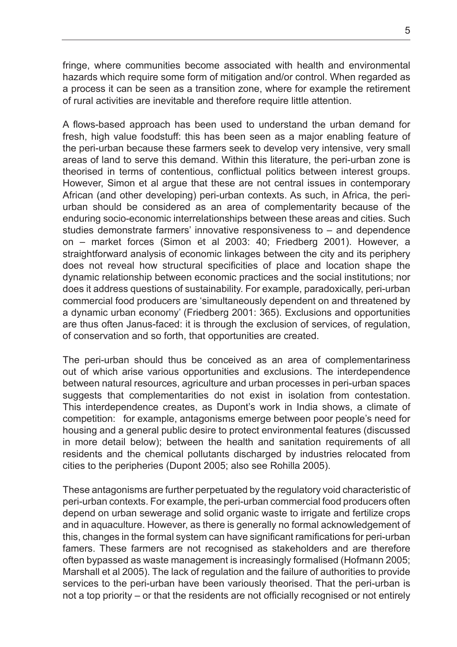fringe, where communities become associated with health and environmental hazards which require some form of mitigation and/or control. When regarded as a process it can be seen as a transition zone, where for example the retirement of rural activities are inevitable and therefore require little attention.

A flows-based approach has been used to understand the urban demand for fresh, high value foodstuff: this has been seen as a major enabling feature of the peri-urban because these farmers seek to develop very intensive, very small areas of land to serve this demand. Within this literature, the peri-urban zone is theorised in terms of contentious, conflictual politics between interest groups. However, Simon et al argue that these are not central issues in contemporary African (and other developing) peri-urban contexts. As such, in Africa, the periurban should be considered as an area of complementarity because of the enduring socio-economic interrelationships between these areas and cities. Such studies demonstrate farmers' innovative responsiveness to – and dependence on – market forces (Simon et al 2003: 40; Friedberg 2001). However, a straightforward analysis of economic linkages between the city and its periphery does not reveal how structural specificities of place and location shape the dynamic relationship between economic practices and the social institutions; nor does it address questions of sustainability. For example, paradoxically, peri-urban commercial food producers are 'simultaneously dependent on and threatened by a dynamic urban economy' (Friedberg 2001: 365). Exclusions and opportunities are thus often Janus-faced: it is through the exclusion of services, of regulation, of conservation and so forth, that opportunities are created.

The peri-urban should thus be conceived as an area of complementariness out of which arise various opportunities and exclusions. The interdependence between natural resources, agriculture and urban processes in peri-urban spaces suggests that complementarities do not exist in isolation from contestation. This interdependence creates, as Dupont's work in India shows, a climate of competition: for example, antagonisms emerge between poor people's need for housing and a general public desire to protect environmental features (discussed in more detail below); between the health and sanitation requirements of all residents and the chemical pollutants discharged by industries relocated from cities to the peripheries (Dupont 2005; also see Rohilla 2005).

These antagonisms are further perpetuated by the regulatory void characteristic of peri-urban contexts. For example, the peri-urban commercial food producers often depend on urban sewerage and solid organic waste to irrigate and fertilize crops and in aquaculture. However, as there is generally no formal acknowledgement of this, changes in the formal system can have significant ramifications for peri-urban famers. These farmers are not recognised as stakeholders and are therefore often bypassed as waste management is increasingly formalised (Hofmann 2005; Marshall et al 2005). The lack of regulation and the failure of authorities to provide services to the peri-urban have been variously theorised. That the peri-urban is not a top priority – or that the residents are not officially recognised or not entirely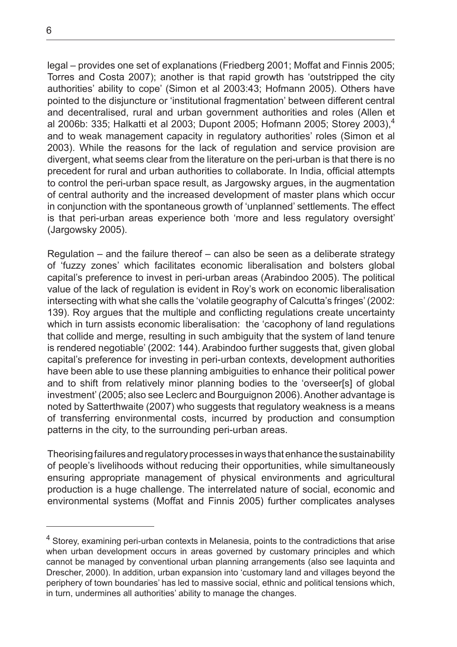6

legal – provides one set of explanations (Friedberg 2001; Moffat and Finnis 2005; Torres and Costa 2007); another is that rapid growth has 'outstripped the city authorities' ability to cope' (Simon et al 2003:43; Hofmann 2005). Others have pointed to the disjuncture or 'institutional fragmentation' between different central and decentralised, rural and urban government authorities and roles (Allen et al 2006b: 335; Halkatti et al 2003; Dupont 2005; Hofmann 2005; Storey 2003),4 and to weak management capacity in regulatory authorities' roles (Simon et al 2003). While the reasons for the lack of regulation and service provision are divergent, what seems clear from the literature on the peri-urban is that there is no precedent for rural and urban authorities to collaborate. In India, official attempts to control the peri-urban space result, as Jargowsky argues, in the augmentation of central authority and the increased development of master plans which occur in conjunction with the spontaneous growth of 'unplanned' settlements. The effect is that peri-urban areas experience both 'more and less regulatory oversight' (Jargowsky 2005).

Regulation – and the failure thereof – can also be seen as a deliberate strategy of 'fuzzy zones' which facilitates economic liberalisation and bolsters global capital's preference to invest in peri-urban areas (Arabindoo 2005). The political value of the lack of regulation is evident in Roy's work on economic liberalisation intersecting with what she calls the 'volatile geography of Calcutta's fringes' (2002: 139). Roy argues that the multiple and conflicting regulations create uncertainty which in turn assists economic liberalisation: the 'cacophony of land regulations' that collide and merge, resulting in such ambiguity that the system of land tenure is rendered negotiable' (2002: 144). Arabindoo further suggests that, given global capital's preference for investing in peri-urban contexts, development authorities have been able to use these planning ambiguities to enhance their political power and to shift from relatively minor planning bodies to the 'overseer[s] of global investment' (2005; also see Leclerc and Bourguignon 2006). Another advantage is noted by Satterthwaite (2007) who suggests that regulatory weakness is a means of transferring environmental costs, incurred by production and consumption patterns in the city, to the surrounding peri-urban areas.

Theorising failures and regulatory processes in ways that enhance the sustainability of people's livelihoods without reducing their opportunities, while simultaneously ensuring appropriate management of physical environments and agricultural production is a huge challenge. The interrelated nature of social, economic and environmental systems (Moffat and Finnis 2005) further complicates analyses

 $<sup>4</sup>$  Storey, examining peri-urban contexts in Melanesia, points to the contradictions that arise</sup> when urban development occurs in areas governed by customary principles and which cannot be managed by conventional urban planning arrangements (also see Iaquinta and Drescher, 2000). In addition, urban expansion into 'customary land and villages beyond the periphery of town boundaries' has led to massive social, ethnic and political tensions which, in turn, undermines all authorities' ability to manage the changes.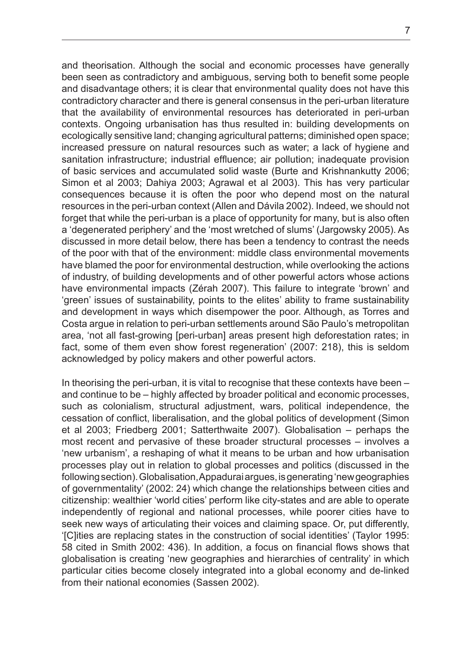and theorisation. Although the social and economic processes have generally been seen as contradictory and ambiguous, serving both to benefit some people and disadvantage others; it is clear that environmental quality does not have this contradictory character and there is general consensus in the peri-urban literature that the availability of environmental resources has deteriorated in peri-urban contexts. Ongoing urbanisation has thus resulted in: building developments on ecologically sensitive land; changing agricultural patterns; diminished open space; increased pressure on natural resources such as water; a lack of hygiene and sanitation infrastructure; industrial effluence; air pollution; inadequate provision of basic services and accumulated solid waste (Burte and Krishnankutty 2006; Simon et al 2003; Dahiya 2003; Agrawal et al 2003). This has very particular consequences because it is often the poor who depend most on the natural resources in the peri-urban context (Allen and Dávila 2002). Indeed, we should not forget that while the peri-urban is a place of opportunity for many, but is also often a 'degenerated periphery' and the 'most wretched of slums' (Jargowsky 2005). As discussed in more detail below, there has been a tendency to contrast the needs of the poor with that of the environment: middle class environmental movements have blamed the poor for environmental destruction, while overlooking the actions of industry, of building developments and of other powerful actors whose actions have environmental impacts (Zérah 2007). This failure to integrate 'brown' and 'green' issues of sustainability, points to the elites' ability to frame sustainability and development in ways which disempower the poor. Although, as Torres and Costa argue in relation to peri-urban settlements around São Paulo's metropolitan area, 'not all fast-growing [peri-urban] areas present high deforestation rates; in fact, some of them even show forest regeneration' (2007: 218), this is seldom acknowledged by policy makers and other powerful actors.

In theorising the peri-urban, it is vital to recognise that these contexts have been – and continue to be – highly affected by broader political and economic processes, such as colonialism, structural adjustment, wars, political independence, the cessation of conflict, liberalisation, and the global politics of development (Simon et al 2003; Friedberg 2001; Satterthwaite 2007). Globalisation – perhaps the most recent and pervasive of these broader structural processes – involves a 'new urbanism', a reshaping of what it means to be urban and how urbanisation processes play out in relation to global processes and politics (discussed in the following section). Globalisation, Appadurai argues, is generating 'new geographies of governmentality' (2002: 24) which change the relationships between cities and citizenship: wealthier 'world cities' perform like city-states and are able to operate independently of regional and national processes, while poorer cities have to seek new ways of articulating their voices and claiming space. Or, put differently, '[C]ities are replacing states in the construction of social identities' (Taylor 1995: 58 cited in Smith 2002: 436). In addition, a focus on financial flows shows that globalisation is creating 'new geographies and hierarchies of centrality' in which particular cities become closely integrated into a global economy and de-linked from their national economies (Sassen 2002).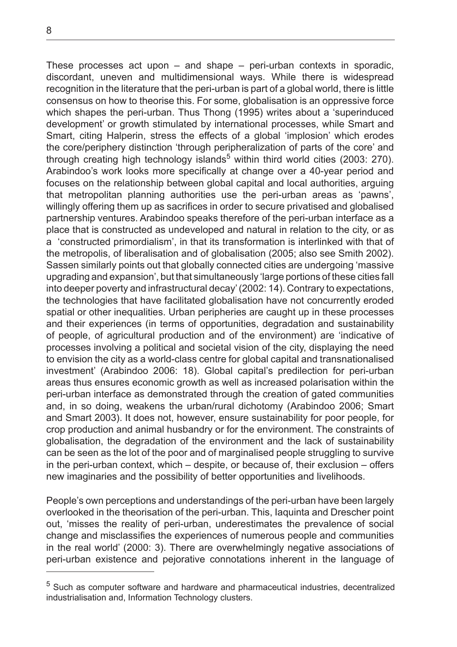These processes act upon – and shape – peri-urban contexts in sporadic, discordant, uneven and multidimensional ways. While there is widespread recognition in the literature that the peri-urban is part of a global world, there is little consensus on how to theorise this. For some, globalisation is an oppressive force which shapes the peri-urban. Thus Thong (1995) writes about a 'superinduced development' or growth stimulated by international processes, while Smart and Smart, citing Halperin, stress the effects of a global 'implosion' which erodes the core/periphery distinction 'through peripheralization of parts of the core' and through creating high technology islands<sup>5</sup> within third world cities (2003: 270). Arabindoo's work looks more specifically at change over a 40-year period and focuses on the relationship between global capital and local authorities, arguing that metropolitan planning authorities use the peri-urban areas as 'pawns', willingly offering them up as sacrifices in order to secure privatised and globalised partnership ventures. Arabindoo speaks therefore of the peri-urban interface as a place that is constructed as undeveloped and natural in relation to the city, or as a 'constructed primordialism', in that its transformation is interlinked with that of the metropolis, of liberalisation and of globalisation (2005; also see Smith 2002). Sassen similarly points out that globally connected cities are undergoing 'massive upgrading and expansion', but that simultaneously 'large portions of these cities fall into deeper poverty and infrastructural decay' (2002: 14). Contrary to expectations, the technologies that have facilitated globalisation have not concurrently eroded spatial or other inequalities. Urban peripheries are caught up in these processes and their experiences (in terms of opportunities, degradation and sustainability of people, of agricultural production and of the environment) are 'indicative of processes involving a political and societal vision of the city, displaying the need to envision the city as a world-class centre for global capital and transnationalised investment' (Arabindoo 2006: 18). Global capital's predilection for peri-urban areas thus ensures economic growth as well as increased polarisation within the peri-urban interface as demonstrated through the creation of gated communities and, in so doing, weakens the urban/rural dichotomy (Arabindoo 2006; Smart and Smart 2003). It does not, however, ensure sustainability for poor people, for crop production and animal husbandry or for the environment. The constraints of globalisation, the degradation of the environment and the lack of sustainability can be seen as the lot of the poor and of marginalised people struggling to survive in the peri-urban context, which – despite, or because of, their exclusion – offers new imaginaries and the possibility of better opportunities and livelihoods.

People's own perceptions and understandings of the peri-urban have been largely overlooked in the theorisation of the peri-urban. This, Iaquinta and Drescher point out, 'misses the reality of peri-urban, underestimates the prevalence of social change and misclassifies the experiences of numerous people and communities in the real world' (2000: 3). There are overwhelmingly negative associations of peri-urban existence and pejorative connotations inherent in the language of

<sup>&</sup>lt;sup>5</sup> Such as computer software and hardware and pharmaceutical industries, decentralized industrialisation and, Information Technology clusters.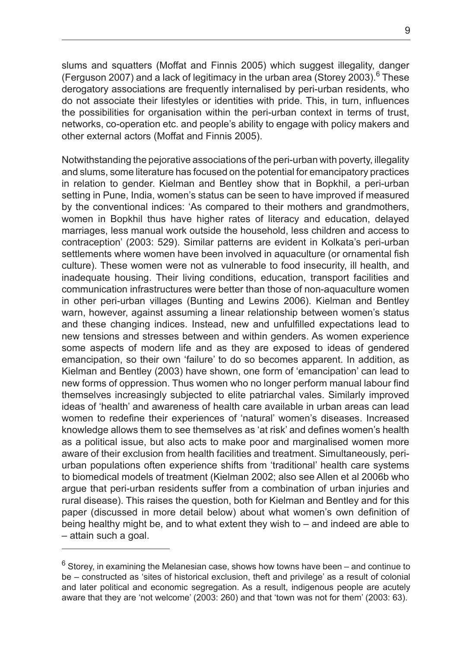slums and squatters (Moffat and Finnis 2005) which suggest illegality, danger (Ferguson 2007) and a lack of legitimacy in the urban area (Storey 2003).<sup>6</sup> These derogatory associations are frequently internalised by peri-urban residents, who do not associate their lifestyles or identities with pride. This, in turn, influences the possibilities for organisation within the peri-urban context in terms of trust, networks, co-operation etc. and people's ability to engage with policy makers and other external actors (Moffat and Finnis 2005).

Notwithstanding the pejorative associations of the peri-urban with poverty, illegality and slums, some literature has focused on the potential for emancipatory practices in relation to gender. Kielman and Bentley show that in Bopkhil, a peri-urban setting in Pune, India, women's status can be seen to have improved if measured by the conventional indices: 'As compared to their mothers and grandmothers, women in Bopkhil thus have higher rates of literacy and education, delayed marriages, less manual work outside the household, less children and access to contraception' (2003: 529). Similar patterns are evident in Kolkata's peri-urban settlements where women have been involved in aquaculture (or ornamental fish culture). These women were not as vulnerable to food insecurity, ill health, and inadequate housing. Their living conditions, education, transport facilities and communication infrastructures were better than those of non-aquaculture women in other peri-urban villages (Bunting and Lewins 2006). Kielman and Bentley warn, however, against assuming a linear relationship between women's status and these changing indices. Instead, new and unfulfilled expectations lead to new tensions and stresses between and within genders. As women experience some aspects of modern life and as they are exposed to ideas of gendered emancipation, so their own 'failure' to do so becomes apparent. In addition, as Kielman and Bentley (2003) have shown, one form of 'emancipation' can lead to new forms of oppression. Thus women who no longer perform manual labour find themselves increasingly subjected to elite patriarchal vales. Similarly improved ideas of 'health' and awareness of health care available in urban areas can lead women to redefine their experiences of 'natural' women's diseases. Increased knowledge allows them to see themselves as 'at risk' and defines women's health as a political issue, but also acts to make poor and marginalised women more aware of their exclusion from health facilities and treatment. Simultaneously, periurban populations often experience shifts from 'traditional' health care systems to biomedical models of treatment (Kielman 2002; also see Allen et al 2006b who argue that peri-urban residents suffer from a combination of urban injuries and rural disease). This raises the question, both for Kielman and Bentley and for this paper (discussed in more detail below) about what women's own definition of being healthy might be, and to what extent they wish to – and indeed are able to – attain such a goal.

 $^6$  Storey, in examining the Melanesian case, shows how towns have been – and continue to be – constructed as 'sites of historical exclusion, theft and privilege' as a result of colonial and later political and economic segregation. As a result, indigenous people are acutely aware that they are 'not welcome' (2003: 260) and that 'town was not for them' (2003: 63).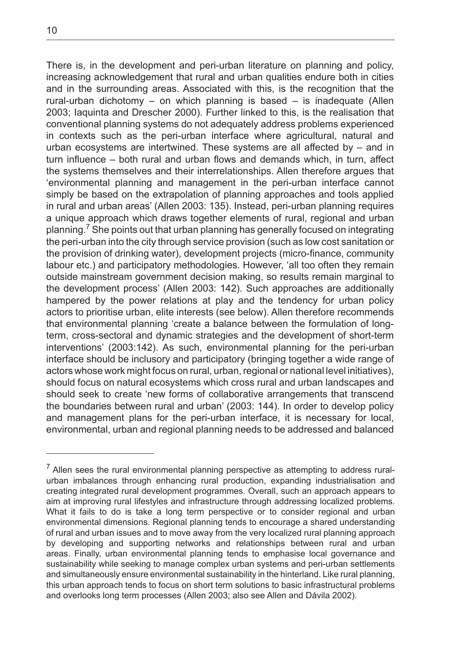There is, in the development and peri-urban literature on planning and policy, increasing acknowledgement that rural and urban qualities endure both in cities and in the surrounding areas. Associated with this, is the recognition that the rural-urban dichotomy – on which planning is based – is inadequate (Allen 2003; Iaquinta and Drescher 2000). Further linked to this, is the realisation that conventional planning systems do not adequately address problems experienced in contexts such as the peri-urban interface where agricultural, natural and urban ecosystems are intertwined. These systems are all affected by – and in turn influence – both rural and urban flows and demands which, in turn, affect the systems themselves and their interrelationships. Allen therefore argues that 'environmental planning and management in the peri-urban interface cannot simply be based on the extrapolation of planning approaches and tools applied in rural and urban areas' (Allen 2003: 135). Instead, peri-urban planning requires a unique approach which draws together elements of rural, regional and urban planning.<sup>7</sup> She points out that urban planning has generally focused on integrating the peri-urban into the city through service provision (such as low cost sanitation or the provision of drinking water), development projects (micro-finance, community labour etc.) and participatory methodologies. However, 'all too often they remain outside mainstream government decision making, so results remain marginal to the development process' (Allen 2003: 142). Such approaches are additionally hampered by the power relations at play and the tendency for urban policy actors to prioritise urban, elite interests (see below). Allen therefore recommends that environmental planning 'create a balance between the formulation of longterm, cross-sectoral and dynamic strategies and the development of short-term interventions' (2003:142). As such, environmental planning for the peri-urban interface should be inclusory and participatory (bringing together a wide range of actors whose work might focus on rural, urban, regional or national level initiatives), should focus on natural ecosystems which cross rural and urban landscapes and should seek to create 'new forms of collaborative arrangements that transcend the boundaries between rural and urban' (2003: 144). In order to develop policy and management plans for the peri-urban interface, it is necessary for local, environmental, urban and regional planning needs to be addressed and balanced

 $<sup>7</sup>$  Allen sees the rural environmental planning perspective as attempting to address rural-</sup> urban imbalances through enhancing rural production, expanding industrialisation and creating integrated rural development programmes. Overall, such an approach appears to aim at improving rural lifestyles and infrastructure through addressing localized problems. What it fails to do is take a long term perspective or to consider regional and urban environmental dimensions. Regional planning tends to encourage a shared understanding of rural and urban issues and to move away from the very localized rural planning approach by developing and supporting networks and relationships between rural and urban areas. Finally, urban environmental planning tends to emphasise local governance and sustainability while seeking to manage complex urban systems and peri-urban settlements and simultaneously ensure environmental sustainability in the hinterland. Like rural planning, this urban approach tends to focus on short term solutions to basic infrastructural problems and overlooks long term processes (Allen 2003; also see Allen and Dávila 2002).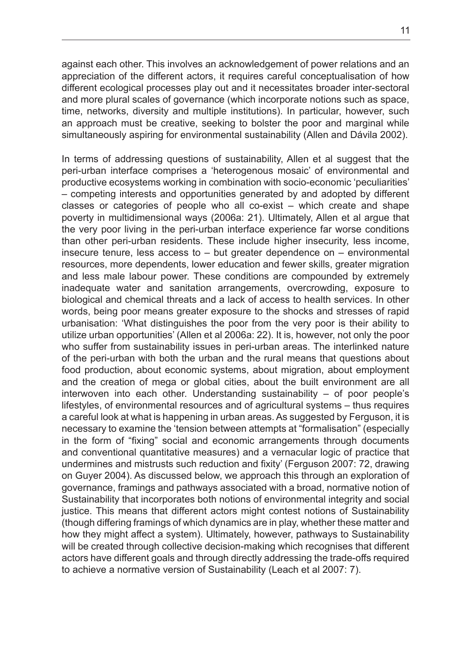against each other. This involves an acknowledgement of power relations and an appreciation of the different actors, it requires careful conceptualisation of how different ecological processes play out and it necessitates broader inter-sectoral and more plural scales of governance (which incorporate notions such as space, time, networks, diversity and multiple institutions). In particular, however, such an approach must be creative, seeking to bolster the poor and marginal while simultaneously aspiring for environmental sustainability (Allen and Dávila 2002).

In terms of addressing questions of sustainability, Allen et al suggest that the peri-urban interface comprises a 'heterogenous mosaic' of environmental and productive ecosystems working in combination with socio-economic 'peculiarities' – competing interests and opportunities generated by and adopted by different classes or categories of people who all co-exist – which create and shape poverty in multidimensional ways (2006a: 21). Ultimately, Allen et al argue that the very poor living in the peri-urban interface experience far worse conditions than other peri-urban residents. These include higher insecurity, less income, insecure tenure, less access to – but greater dependence on – environmental resources, more dependents, lower education and fewer skills, greater migration and less male labour power. These conditions are compounded by extremely inadequate water and sanitation arrangements, overcrowding, exposure to biological and chemical threats and a lack of access to health services. In other words, being poor means greater exposure to the shocks and stresses of rapid urbanisation: 'What distinguishes the poor from the very poor is their ability to utilize urban opportunities' (Allen et al 2006a: 22). It is, however, not only the poor who suffer from sustainability issues in peri-urban areas. The interlinked nature of the peri-urban with both the urban and the rural means that questions about food production, about economic systems, about migration, about employment and the creation of mega or global cities, about the built environment are all interwoven into each other. Understanding sustainability – of poor people's lifestyles, of environmental resources and of agricultural systems – thus requires a careful look at what is happening in urban areas. As suggested by Ferguson, it is necessary to examine the 'tension between attempts at "formalisation" (especially in the form of "fixing" social and economic arrangements through documents and conventional quantitative measures) and a vernacular logic of practice that undermines and mistrusts such reduction and fixity' (Ferguson 2007: 72, drawing on Guyer 2004). As discussed below, we approach this through an exploration of governance, framings and pathways associated with a broad, normative notion of Sustainability that incorporates both notions of environmental integrity and social justice. This means that different actors might contest notions of Sustainability (though differing framings of which dynamics are in play, whether these matter and how they might affect a system). Ultimately, however, pathways to Sustainability will be created through collective decision-making which recognises that different actors have different goals and through directly addressing the trade-offs required to achieve a normative version of Sustainability (Leach et al 2007: 7).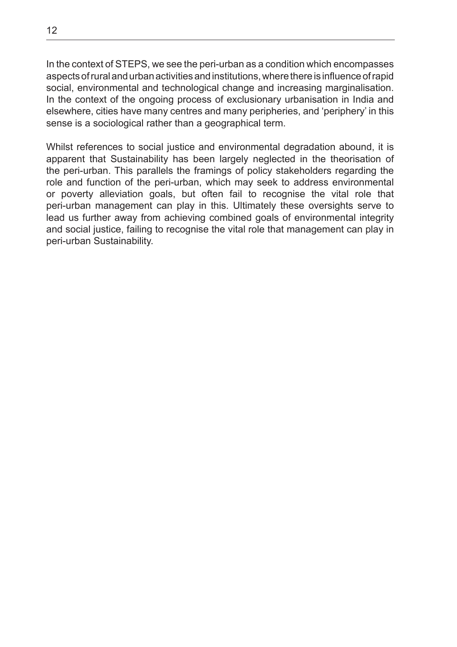In the context of STEPS, we see the peri-urban as a condition which encompasses aspects of rural and urban activities and institutions, where there is influence of rapid social, environmental and technological change and increasing marginalisation. In the context of the ongoing process of exclusionary urbanisation in India and elsewhere, cities have many centres and many peripheries, and 'periphery' in this sense is a sociological rather than a geographical term.

Whilst references to social justice and environmental degradation abound, it is apparent that Sustainability has been largely neglected in the theorisation of the peri-urban. This parallels the framings of policy stakeholders regarding the role and function of the peri-urban, which may seek to address environmental or poverty alleviation goals, but often fail to recognise the vital role that peri-urban management can play in this. Ultimately these oversights serve to lead us further away from achieving combined goals of environmental integrity and social justice, failing to recognise the vital role that management can play in peri-urban Sustainability.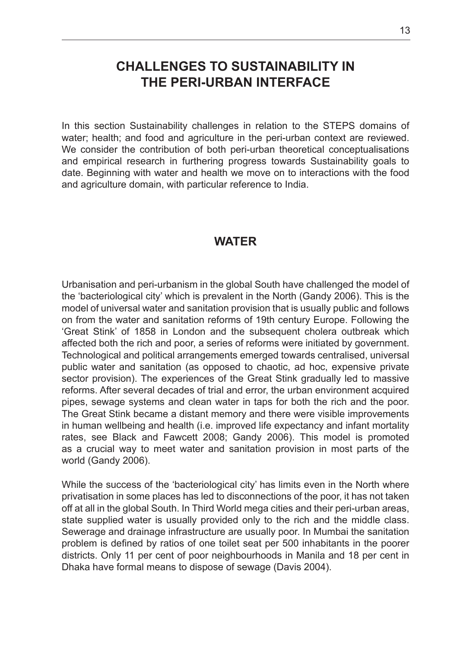#### **CHALLENGES TO SUSTAINABILITY IN THE PERI-URBAN INTERFACE**

In this section Sustainability challenges in relation to the STEPS domains of water; health; and food and agriculture in the peri-urban context are reviewed. We consider the contribution of both peri-urban theoretical conceptualisations and empirical research in furthering progress towards Sustainability goals to date. Beginning with water and health we move on to interactions with the food and agriculture domain, with particular reference to India.

#### **WATER**

Urbanisation and peri-urbanism in the global South have challenged the model of the 'bacteriological city' which is prevalent in the North (Gandy 2006). This is the model of universal water and sanitation provision that is usually public and follows on from the water and sanitation reforms of 19th century Europe. Following the 'Great Stink' of 1858 in London and the subsequent cholera outbreak which affected both the rich and poor, a series of reforms were initiated by government. Technological and political arrangements emerged towards centralised, universal public water and sanitation (as opposed to chaotic, ad hoc, expensive private sector provision). The experiences of the Great Stink gradually led to massive reforms. After several decades of trial and error, the urban environment acquired pipes, sewage systems and clean water in taps for both the rich and the poor. The Great Stink became a distant memory and there were visible improvements in human wellbeing and health (i.e. improved life expectancy and infant mortality rates, see Black and Fawcett 2008; Gandy 2006). This model is promoted as a crucial way to meet water and sanitation provision in most parts of the world (Gandy 2006).

While the success of the 'bacteriological city' has limits even in the North where privatisation in some places has led to disconnections of the poor, it has not taken off at all in the global South. In Third World mega cities and their peri-urban areas, state supplied water is usually provided only to the rich and the middle class. Sewerage and drainage infrastructure are usually poor. In Mumbai the sanitation problem is defined by ratios of one toilet seat per 500 inhabitants in the poorer districts. Only 11 per cent of poor neighbourhoods in Manila and 18 per cent in Dhaka have formal means to dispose of sewage (Davis 2004).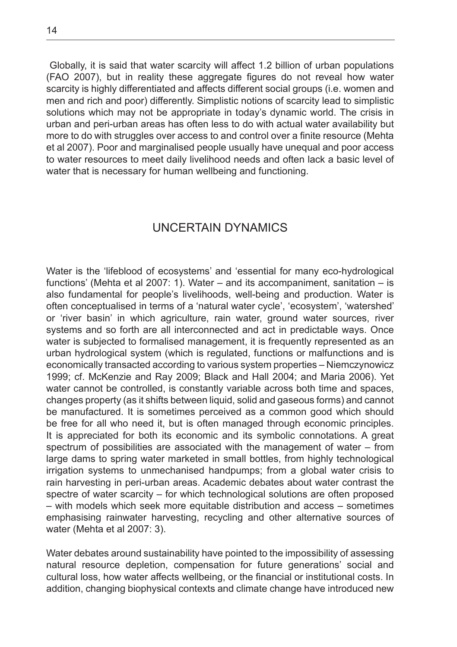Globally, it is said that water scarcity will affect 1.2 billion of urban populations (FAO 2007), but in reality these aggregate figures do not reveal how water scarcity is highly differentiated and affects different social groups (i.e. women and men and rich and poor) differently. Simplistic notions of scarcity lead to simplistic solutions which may not be appropriate in today's dynamic world. The crisis in urban and peri-urban areas has often less to do with actual water availability but more to do with struggles over access to and control over a finite resource (Mehta et al 2007). Poor and marginalised people usually have unequal and poor access to water resources to meet daily livelihood needs and often lack a basic level of

water that is necessary for human wellbeing and functioning.

#### UNCERTAIN DYNAMICS

Water is the 'lifeblood of ecosystems' and 'essential for many eco-hydrological functions' (Mehta et al 2007: 1). Water – and its accompaniment, sanitation – is also fundamental for people's livelihoods, well-being and production. Water is often conceptualised in terms of a 'natural water cycle', 'ecosystem', 'watershed' or 'river basin' in which agriculture, rain water, ground water sources, river systems and so forth are all interconnected and act in predictable ways. Once water is subjected to formalised management, it is frequently represented as an urban hydrological system (which is regulated, functions or malfunctions and is economically transacted according to various system properties – Niemczynowicz 1999; cf. McKenzie and Ray 2009; Black and Hall 2004; and Maria 2006). Yet water cannot be controlled, is constantly variable across both time and spaces, changes property (as it shifts between liquid, solid and gaseous forms) and cannot be manufactured. It is sometimes perceived as a common good which should be free for all who need it, but is often managed through economic principles. It is appreciated for both its economic and its symbolic connotations. A great spectrum of possibilities are associated with the management of water – from large dams to spring water marketed in small bottles, from highly technological irrigation systems to unmechanised handpumps; from a global water crisis to rain harvesting in peri-urban areas. Academic debates about water contrast the spectre of water scarcity – for which technological solutions are often proposed – with models which seek more equitable distribution and access – sometimes emphasising rainwater harvesting, recycling and other alternative sources of water (Mehta et al 2007: 3).

Water debates around sustainability have pointed to the impossibility of assessing natural resource depletion, compensation for future generations' social and cultural loss, how water affects wellbeing, or the financial or institutional costs. In addition, changing biophysical contexts and climate change have introduced new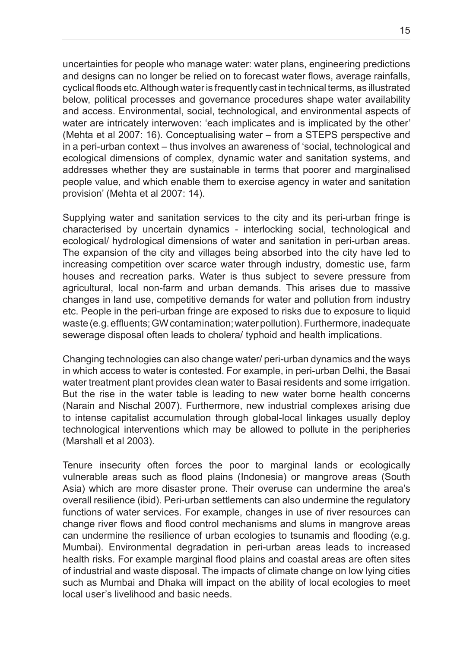uncertainties for people who manage water: water plans, engineering predictions and designs can no longer be relied on to forecast water flows, average rainfalls, cyclical floods etc. Although water is frequently cast in technical terms, as illustrated below, political processes and governance procedures shape water availability and access. Environmental, social, technological, and environmental aspects of water are intricately interwoven: 'each implicates and is implicated by the other' (Mehta et al 2007: 16). Conceptualising water – from a STEPS perspective and in a peri-urban context – thus involves an awareness of 'social, technological and ecological dimensions of complex, dynamic water and sanitation systems, and addresses whether they are sustainable in terms that poorer and marginalised people value, and which enable them to exercise agency in water and sanitation provision' (Mehta et al 2007: 14).

Supplying water and sanitation services to the city and its peri-urban fringe is characterised by uncertain dynamics - interlocking social, technological and ecological/ hydrological dimensions of water and sanitation in peri-urban areas. The expansion of the city and villages being absorbed into the city have led to increasing competition over scarce water through industry, domestic use, farm houses and recreation parks. Water is thus subject to severe pressure from agricultural, local non-farm and urban demands. This arises due to massive changes in land use, competitive demands for water and pollution from industry etc. People in the peri-urban fringe are exposed to risks due to exposure to liquid waste (e.g. effluents; GW contamination; water pollution). Furthermore, inadequate sewerage disposal often leads to cholera/ typhoid and health implications.

Changing technologies can also change water/ peri-urban dynamics and the ways in which access to water is contested. For example, in peri-urban Delhi, the Basai water treatment plant provides clean water to Basai residents and some irrigation. But the rise in the water table is leading to new water borne health concerns (Narain and Nischal 2007). Furthermore, new industrial complexes arising due to intense capitalist accumulation through global-local linkages usually deploy technological interventions which may be allowed to pollute in the peripheries (Marshall et al 2003).

Tenure insecurity often forces the poor to marginal lands or ecologically vulnerable areas such as flood plains (Indonesia) or mangrove areas (South Asia) which are more disaster prone. Their overuse can undermine the area's overall resilience (ibid). Peri-urban settlements can also undermine the regulatory functions of water services. For example, changes in use of river resources can change river flows and flood control mechanisms and slums in mangrove areas can undermine the resilience of urban ecologies to tsunamis and flooding (e.g. Mumbai). Environmental degradation in peri-urban areas leads to increased health risks. For example marginal flood plains and coastal areas are often sites of industrial and waste disposal. The impacts of climate change on low lying cities such as Mumbai and Dhaka will impact on the ability of local ecologies to meet local user's livelihood and basic needs.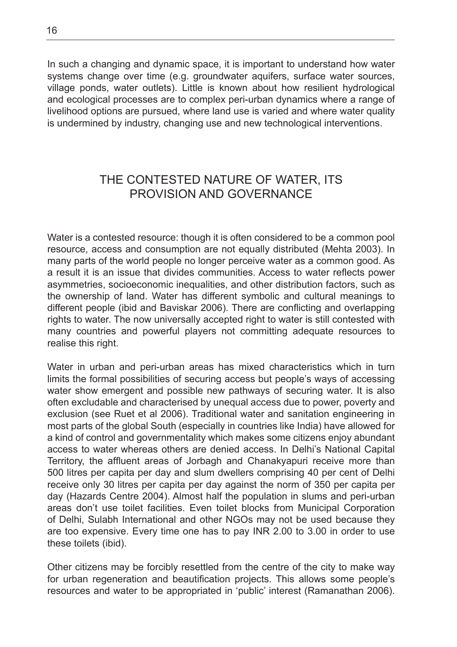In such a changing and dynamic space, it is important to understand how water systems change over time (e.g. groundwater aquifers, surface water sources, village ponds, water outlets). Little is known about how resilient hydrological and ecological processes are to complex peri-urban dynamics where a range of livelihood options are pursued, where land use is varied and where water quality is undermined by industry, changing use and new technological interventions.

#### THE CONTESTED NATURE OF WATER, ITS PROVISION AND GOVERNANCE

Water is a contested resource: though it is often considered to be a common pool resource, access and consumption are not equally distributed (Mehta 2003). In many parts of the world people no longer perceive water as a common good. As a result it is an issue that divides communities. Access to water reflects power asymmetries, socioeconomic inequalities, and other distribution factors, such as the ownership of land. Water has different symbolic and cultural meanings to different people (ibid and Baviskar 2006). There are conflicting and overlapping rights to water. The now universally accepted right to water is still contested with many countries and powerful players not committing adequate resources to realise this right.

Water in urban and peri-urban areas has mixed characteristics which in turn limits the formal possibilities of securing access but people's ways of accessing water show emergent and possible new pathways of securing water. It is also often excludable and characterised by unequal access due to power, poverty and exclusion (see Ruet et al 2006). Traditional water and sanitation engineering in most parts of the global South (especially in countries like India) have allowed for a kind of control and governmentality which makes some citizens enjoy abundant access to water whereas others are denied access. In Delhi's National Capital Territory, the affluent areas of Jorbagh and Chanakyapuri receive more than 500 litres per capita per day and slum dwellers comprising 40 per cent of Delhi receive only 30 litres per capita per day against the norm of 350 per capita per day (Hazards Centre 2004). Almost half the population in slums and peri-urban areas don't use toilet facilities. Even toilet blocks from Municipal Corporation of Delhi, Sulabh International and other NGOs may not be used because they are too expensive. Every time one has to pay INR 2.00 to 3.00 in order to use these toilets (ibid).

Other citizens may be forcibly resettled from the centre of the city to make way for urban regeneration and beautification projects. This allows some people's resources and water to be appropriated in 'public' interest (Ramanathan 2006).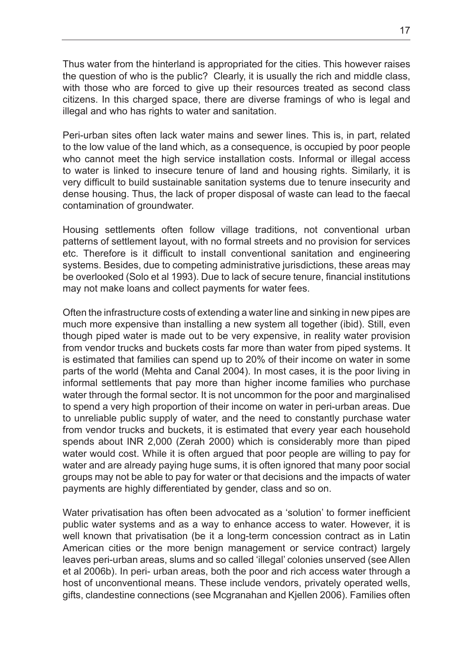Thus water from the hinterland is appropriated for the cities. This however raises the question of who is the public? Clearly, it is usually the rich and middle class, with those who are forced to give up their resources treated as second class citizens. In this charged space, there are diverse framings of who is legal and illegal and who has rights to water and sanitation.

Peri-urban sites often lack water mains and sewer lines. This is, in part, related to the low value of the land which, as a consequence, is occupied by poor people who cannot meet the high service installation costs. Informal or illegal access to water is linked to insecure tenure of land and housing rights. Similarly, it is very difficult to build sustainable sanitation systems due to tenure insecurity and dense housing. Thus, the lack of proper disposal of waste can lead to the faecal contamination of groundwater.

Housing settlements often follow village traditions, not conventional urban patterns of settlement layout, with no formal streets and no provision for services etc. Therefore is it difficult to install conventional sanitation and engineering systems. Besides, due to competing administrative jurisdictions, these areas may be overlooked (Solo et al 1993). Due to lack of secure tenure, financial institutions may not make loans and collect payments for water fees.

Often the infrastructure costs of extending a water line and sinking in new pipes are much more expensive than installing a new system all together (ibid). Still, even though piped water is made out to be very expensive, in reality water provision from vendor trucks and buckets costs far more than water from piped systems. It is estimated that families can spend up to 20% of their income on water in some parts of the world (Mehta and Canal 2004). In most cases, it is the poor living in informal settlements that pay more than higher income families who purchase water through the formal sector. It is not uncommon for the poor and marginalised to spend a very high proportion of their income on water in peri-urban areas. Due to unreliable public supply of water, and the need to constantly purchase water from vendor trucks and buckets, it is estimated that every year each household spends about INR 2,000 (Zerah 2000) which is considerably more than piped water would cost. While it is often argued that poor people are willing to pay for water and are already paying huge sums, it is often ignored that many poor social groups may not be able to pay for water or that decisions and the impacts of water payments are highly differentiated by gender, class and so on.

Water privatisation has often been advocated as a 'solution' to former inefficient public water systems and as a way to enhance access to water. However, it is well known that privatisation (be it a long-term concession contract as in Latin American cities or the more benign management or service contract) largely leaves peri-urban areas, slums and so called 'illegal' colonies unserved (see Allen et al 2006b). In peri- urban areas, both the poor and rich access water through a host of unconventional means. These include vendors, privately operated wells, gifts, clandestine connections (see Mcgranahan and Kjellen 2006). Families often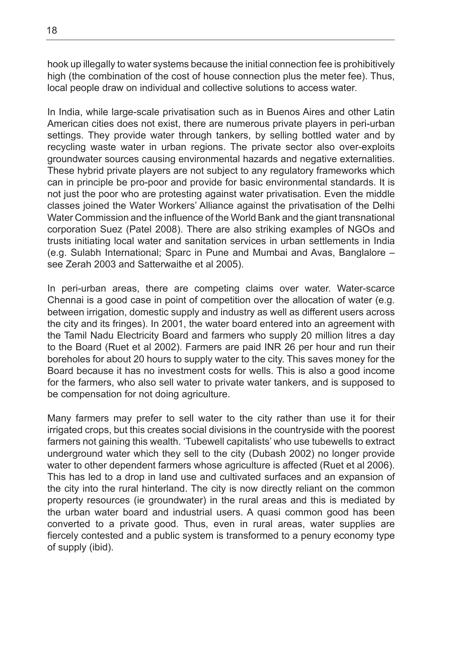hook up illegally to water systems because the initial connection fee is prohibitively high (the combination of the cost of house connection plus the meter fee). Thus, local people draw on individual and collective solutions to access water.

In India, while large-scale privatisation such as in Buenos Aires and other Latin American cities does not exist, there are numerous private players in peri-urban settings. They provide water through tankers, by selling bottled water and by recycling waste water in urban regions. The private sector also over-exploits groundwater sources causing environmental hazards and negative externalities. These hybrid private players are not subject to any regulatory frameworks which can in principle be pro-poor and provide for basic environmental standards. It is not just the poor who are protesting against water privatisation. Even the middle classes joined the Water Workers' Alliance against the privatisation of the Delhi Water Commission and the influence of the World Bank and the giant transnational corporation Suez (Patel 2008). There are also striking examples of NGOs and trusts initiating local water and sanitation services in urban settlements in India (e.g. Sulabh International; Sparc in Pune and Mumbai and Avas, Banglalore – see Zerah 2003 and Satterwaithe et al 2005).

In peri-urban areas, there are competing claims over water. Water-scarce Chennai is a good case in point of competition over the allocation of water (e.g. between irrigation, domestic supply and industry as well as different users across the city and its fringes). In 2001, the water board entered into an agreement with the Tamil Nadu Electricity Board and farmers who supply 20 million litres a day to the Board (Ruet et al 2002). Farmers are paid INR 26 per hour and run their boreholes for about 20 hours to supply water to the city. This saves money for the Board because it has no investment costs for wells. This is also a good income for the farmers, who also sell water to private water tankers, and is supposed to be compensation for not doing agriculture.

Many farmers may prefer to sell water to the city rather than use it for their irrigated crops, but this creates social divisions in the countryside with the poorest farmers not gaining this wealth. 'Tubewell capitalists' who use tubewells to extract underground water which they sell to the city (Dubash 2002) no longer provide water to other dependent farmers whose agriculture is affected (Ruet et al 2006). This has led to a drop in land use and cultivated surfaces and an expansion of the city into the rural hinterland. The city is now directly reliant on the common property resources (ie groundwater) in the rural areas and this is mediated by the urban water board and industrial users. A quasi common good has been converted to a private good. Thus, even in rural areas, water supplies are fiercely contested and a public system is transformed to a penury economy type of supply (ibid).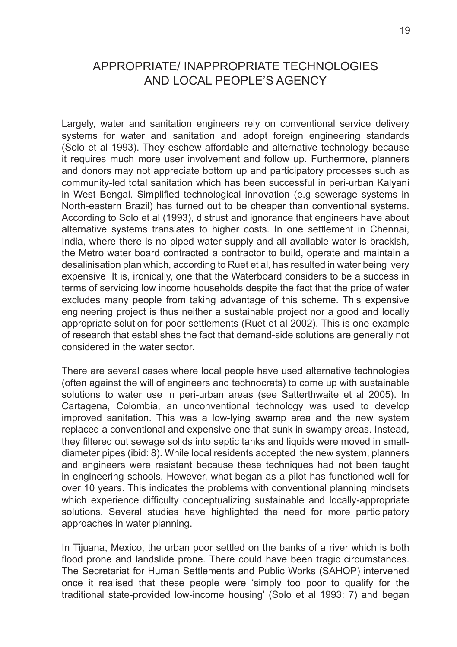#### APPROPRIATE/ INAPPROPRIATE TECHNOLOGIES AND LOCAL PEOPLE'S AGENCY

Largely, water and sanitation engineers rely on conventional service delivery systems for water and sanitation and adopt foreign engineering standards (Solo et al 1993). They eschew affordable and alternative technology because it requires much more user involvement and follow up. Furthermore, planners and donors may not appreciate bottom up and participatory processes such as community-led total sanitation which has been successful in peri-urban Kalyani in West Bengal. Simplified technological innovation (e.g sewerage systems in North-eastern Brazil) has turned out to be cheaper than conventional systems. According to Solo et al (1993), distrust and ignorance that engineers have about alternative systems translates to higher costs. In one settlement in Chennai, India, where there is no piped water supply and all available water is brackish, the Metro water board contracted a contractor to build, operate and maintain a desalinisation plan which, according to Ruet et al, has resulted in water being very expensive It is, ironically, one that the Waterboard considers to be a success in terms of servicing low income households despite the fact that the price of water excludes many people from taking advantage of this scheme. This expensive engineering project is thus neither a sustainable project nor a good and locally appropriate solution for poor settlements (Ruet et al 2002). This is one example of research that establishes the fact that demand-side solutions are generally not considered in the water sector.

There are several cases where local people have used alternative technologies (often against the will of engineers and technocrats) to come up with sustainable solutions to water use in peri-urban areas (see Satterthwaite et al 2005). In Cartagena, Colombia, an unconventional technology was used to develop improved sanitation. This was a low-lying swamp area and the new system replaced a conventional and expensive one that sunk in swampy areas. Instead, they filtered out sewage solids into septic tanks and liquids were moved in smalldiameter pipes (ibid: 8). While local residents accepted the new system, planners and engineers were resistant because these techniques had not been taught in engineering schools. However, what began as a pilot has functioned well for over 10 years. This indicates the problems with conventional planning mindsets which experience difficulty conceptualizing sustainable and locally-appropriate solutions. Several studies have highlighted the need for more participatory approaches in water planning.

In Tijuana, Mexico, the urban poor settled on the banks of a river which is both flood prone and landslide prone. There could have been tragic circumstances. The Secretariat for Human Settlements and Public Works (SAHOP) intervened once it realised that these people were 'simply too poor to qualify for the traditional state-provided low-income housing' (Solo et al 1993: 7) and began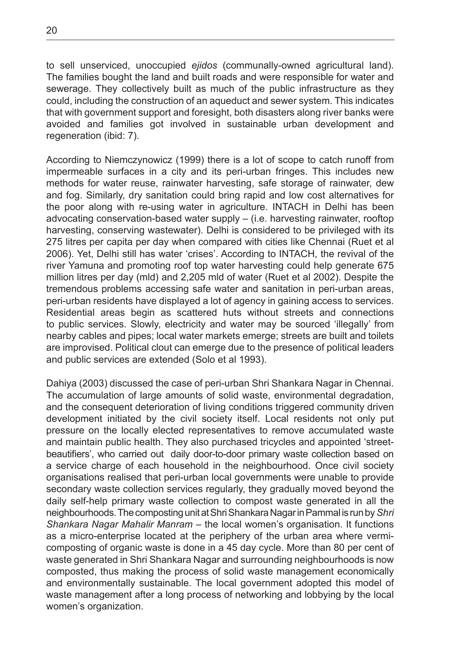to sell unserviced, unoccupied *ejidos* (communally-owned agricultural land). The families bought the land and built roads and were responsible for water and sewerage. They collectively built as much of the public infrastructure as they could, including the construction of an aqueduct and sewer system. This indicates that with government support and foresight, both disasters along river banks were avoided and families got involved in sustainable urban development and regeneration (ibid: 7).

According to Niemczynowicz (1999) there is a lot of scope to catch runoff from impermeable surfaces in a city and its peri-urban fringes. This includes new methods for water reuse, rainwater harvesting, safe storage of rainwater, dew and fog. Similarly, dry sanitation could bring rapid and low cost alternatives for the poor along with re-using water in agriculture. INTACH in Delhi has been advocating conservation-based water supply – (i.e. harvesting rainwater, rooftop harvesting, conserving wastewater). Delhi is considered to be privileged with its 275 litres per capita per day when compared with cities like Chennai (Ruet et al 2006). Yet, Delhi still has water 'crises'. According to INTACH, the revival of the river Yamuna and promoting roof top water harvesting could help generate 675 million litres per day (mld) and 2,205 mld of water (Ruet et al 2002). Despite the tremendous problems accessing safe water and sanitation in peri-urban areas, peri-urban residents have displayed a lot of agency in gaining access to services. Residential areas begin as scattered huts without streets and connections to public services. Slowly, electricity and water may be sourced 'illegally' from nearby cables and pipes; local water markets emerge; streets are built and toilets are improvised. Political clout can emerge due to the presence of political leaders and public services are extended (Solo et al 1993).

Dahiya (2003) discussed the case of peri-urban Shri Shankara Nagar in Chennai. The accumulation of large amounts of solid waste, environmental degradation, and the consequent deterioration of living conditions triggered community driven development initiated by the civil society itself. Local residents not only put pressure on the locally elected representatives to remove accumulated waste and maintain public health. They also purchased tricycles and appointed 'streetbeautifiers', who carried out daily door-to-door primary waste collection based on a service charge of each household in the neighbourhood. Once civil society organisations realised that peri-urban local governments were unable to provide secondary waste collection services regularly, they gradually moved beyond the daily self-help primary waste collection to compost waste generated in all the neighbourhoods. The composting unit at Shri Shankara Nagar in Pammal is run by *Shri Shankara Nagar Mahalir Manram* – the local women's organisation. It functions as a micro-enterprise located at the periphery of the urban area where vermicomposting of organic waste is done in a 45 day cycle. More than 80 per cent of waste generated in Shri Shankara Nagar and surrounding neighbourhoods is now composted, thus making the process of solid waste management economically and environmentally sustainable. The local government adopted this model of waste management after a long process of networking and lobbying by the local women's organization.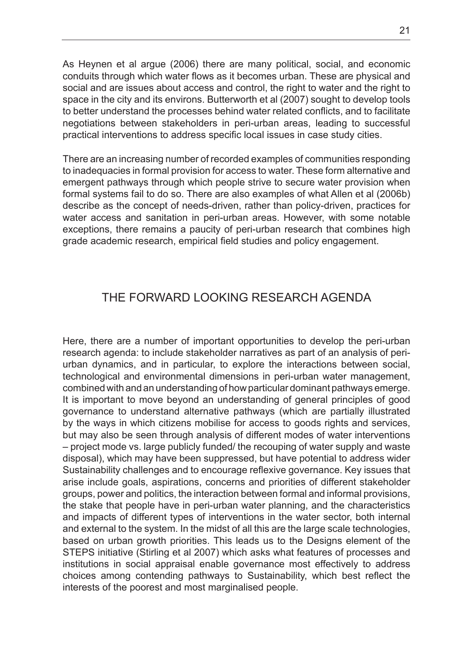As Heynen et al argue (2006) there are many political, social, and economic conduits through which water flows as it becomes urban. These are physical and social and are issues about access and control, the right to water and the right to space in the city and its environs. Butterworth et al (2007) sought to develop tools to better understand the processes behind water related conflicts, and to facilitate negotiations between stakeholders in peri-urban areas, leading to successful practical interventions to address specific local issues in case study cities.

There are an increasing number of recorded examples of communities responding to inadequacies in formal provision for access to water. These form alternative and emergent pathways through which people strive to secure water provision when formal systems fail to do so. There are also examples of what Allen et al (2006b) describe as the concept of needs-driven, rather than policy-driven, practices for water access and sanitation in peri-urban areas. However, with some notable exceptions, there remains a paucity of peri-urban research that combines high grade academic research, empirical field studies and policy engagement.

#### THE FORWARD LOOKING RESEARCH AGENDA

Here, there are a number of important opportunities to develop the peri-urban research agenda: to include stakeholder narratives as part of an analysis of periurban dynamics, and in particular, to explore the interactions between social, technological and environmental dimensions in peri-urban water management, combined with and an understanding of how particular dominant pathways emerge. It is important to move beyond an understanding of general principles of good governance to understand alternative pathways (which are partially illustrated by the ways in which citizens mobilise for access to goods rights and services, but may also be seen through analysis of different modes of water interventions – project mode vs. large publicly funded/ the recouping of water supply and waste disposal), which may have been suppressed, but have potential to address wider Sustainability challenges and to encourage reflexive governance. Key issues that arise include goals, aspirations, concerns and priorities of different stakeholder groups, power and politics, the interaction between formal and informal provisions, the stake that people have in peri-urban water planning, and the characteristics and impacts of different types of interventions in the water sector, both internal and external to the system. In the midst of all this are the large scale technologies, based on urban growth priorities. This leads us to the Designs element of the STEPS initiative (Stirling et al 2007) which asks what features of processes and institutions in social appraisal enable governance most effectively to address choices among contending pathways to Sustainability, which best reflect the interests of the poorest and most marginalised people.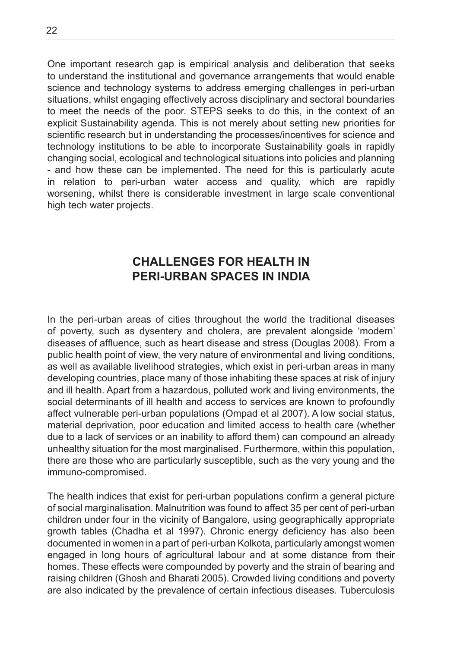One important research gap is empirical analysis and deliberation that seeks to understand the institutional and governance arrangements that would enable science and technology systems to address emerging challenges in peri-urban situations, whilst engaging effectively across disciplinary and sectoral boundaries to meet the needs of the poor. STEPS seeks to do this, in the context of an explicit Sustainability agenda. This is not merely about setting new priorities for scientific research but in understanding the processes/incentives for science and technology institutions to be able to incorporate Sustainability goals in rapidly changing social, ecological and technological situations into policies and planning - and how these can be implemented. The need for this is particularly acute in relation to peri-urban water access and quality, which are rapidly worsening, whilst there is considerable investment in large scale conventional high tech water projects.

#### **CHALLENGES FOR HEALTH IN PERI-URBAN SPACES IN INDIA**

In the peri-urban areas of cities throughout the world the traditional diseases of poverty, such as dysentery and cholera, are prevalent alongside 'modern' diseases of affluence, such as heart disease and stress (Douglas 2008). From a public health point of view, the very nature of environmental and living conditions, as well as available livelihood strategies, which exist in peri-urban areas in many developing countries, place many of those inhabiting these spaces at risk of injury and ill health. Apart from a hazardous, polluted work and living environments, the social determinants of ill health and access to services are known to profoundly affect vulnerable peri-urban populations (Ompad et al 2007). A low social status, material deprivation, poor education and limited access to health care (whether due to a lack of services or an inability to afford them) can compound an already unhealthy situation for the most marginalised. Furthermore, within this population, there are those who are particularly susceptible, such as the very young and the immuno-compromised.

The health indices that exist for peri-urban populations confirm a general picture of social marginalisation. Malnutrition was found to affect 35 per cent of peri-urban children under four in the vicinity of Bangalore, using geographically appropriate growth tables (Chadha et al 1997). Chronic energy deficiency has also been documented in women in a part of peri-urban Kolkota, particularly amongst women engaged in long hours of agricultural labour and at some distance from their homes. These effects were compounded by poverty and the strain of bearing and raising children (Ghosh and Bharati 2005). Crowded living conditions and poverty are also indicated by the prevalence of certain infectious diseases. Tuberculosis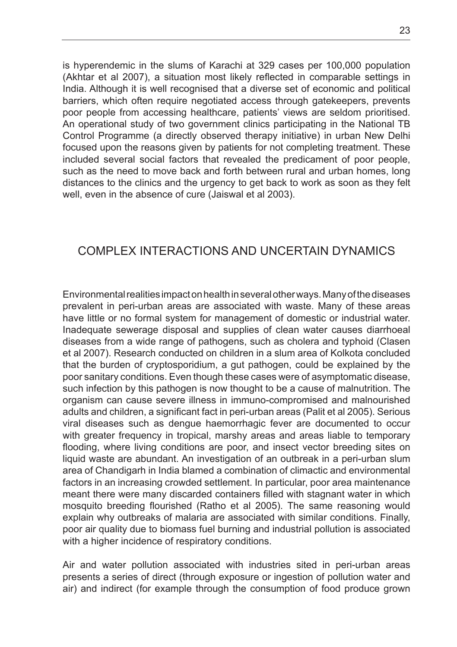is hyperendemic in the slums of Karachi at 329 cases per 100,000 population (Akhtar et al 2007), a situation most likely reflected in comparable settings in India. Although it is well recognised that a diverse set of economic and political barriers, which often require negotiated access through gatekeepers, prevents poor people from accessing healthcare, patients' views are seldom prioritised. An operational study of two government clinics participating in the National TB Control Programme (a directly observed therapy initiative) in urban New Delhi focused upon the reasons given by patients for not completing treatment. These included several social factors that revealed the predicament of poor people, such as the need to move back and forth between rural and urban homes, long distances to the clinics and the urgency to get back to work as soon as they felt well, even in the absence of cure (Jaiswal et al 2003).

#### COMPLEX INTERACTIONS AND UNCERTAIN DYNAMICS

Environmental realities impact on health in several other ways. Many of the diseases prevalent in peri-urban areas are associated with waste. Many of these areas have little or no formal system for management of domestic or industrial water. Inadequate sewerage disposal and supplies of clean water causes diarrhoeal diseases from a wide range of pathogens, such as cholera and typhoid (Clasen et al 2007). Research conducted on children in a slum area of Kolkota concluded that the burden of cryptosporidium, a gut pathogen, could be explained by the poor sanitary conditions. Even though these cases were of asymptomatic disease, such infection by this pathogen is now thought to be a cause of malnutrition. The organism can cause severe illness in immuno-compromised and malnourished adults and children, a significant fact in peri-urban areas (Palit et al 2005). Serious viral diseases such as dengue haemorrhagic fever are documented to occur with greater frequency in tropical, marshy areas and areas liable to temporary flooding, where living conditions are poor, and insect vector breeding sites on liquid waste are abundant. An investigation of an outbreak in a peri-urban slum area of Chandigarh in India blamed a combination of climactic and environmental factors in an increasing crowded settlement. In particular, poor area maintenance meant there were many discarded containers filled with stagnant water in which mosquito breeding flourished (Ratho et al 2005). The same reasoning would explain why outbreaks of malaria are associated with similar conditions. Finally, poor air quality due to biomass fuel burning and industrial pollution is associated with a higher incidence of respiratory conditions.

Air and water pollution associated with industries sited in peri-urban areas presents a series of direct (through exposure or ingestion of pollution water and air) and indirect (for example through the consumption of food produce grown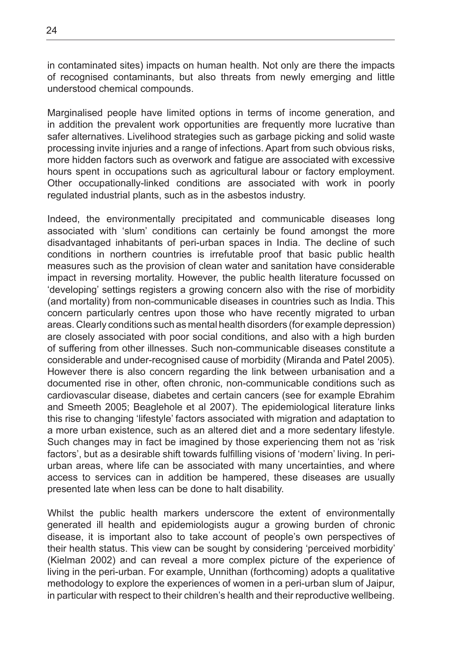in contaminated sites) impacts on human health. Not only are there the impacts of recognised contaminants, but also threats from newly emerging and little understood chemical compounds.

Marginalised people have limited options in terms of income generation, and in addition the prevalent work opportunities are frequently more lucrative than safer alternatives. Livelihood strategies such as garbage picking and solid waste processing invite injuries and a range of infections. Apart from such obvious risks, more hidden factors such as overwork and fatigue are associated with excessive hours spent in occupations such as agricultural labour or factory employment. Other occupationally-linked conditions are associated with work in poorly regulated industrial plants, such as in the asbestos industry.

Indeed, the environmentally precipitated and communicable diseases long associated with 'slum' conditions can certainly be found amongst the more disadvantaged inhabitants of peri-urban spaces in India. The decline of such conditions in northern countries is irrefutable proof that basic public health measures such as the provision of clean water and sanitation have considerable impact in reversing mortality. However, the public health literature focussed on 'developing' settings registers a growing concern also with the rise of morbidity (and mortality) from non-communicable diseases in countries such as India. This concern particularly centres upon those who have recently migrated to urban areas. Clearly conditions such as mental health disorders (for example depression) are closely associated with poor social conditions, and also with a high burden of suffering from other illnesses. Such non-communicable diseases constitute a considerable and under-recognised cause of morbidity (Miranda and Patel 2005). However there is also concern regarding the link between urbanisation and a documented rise in other, often chronic, non-communicable conditions such as cardiovascular disease, diabetes and certain cancers (see for example Ebrahim and Smeeth 2005; Beaglehole et al 2007). The epidemiological literature links this rise to changing 'lifestyle' factors associated with migration and adaptation to a more urban existence, such as an altered diet and a more sedentary lifestyle. Such changes may in fact be imagined by those experiencing them not as 'risk factors', but as a desirable shift towards fulfilling visions of 'modern' living. In periurban areas, where life can be associated with many uncertainties, and where access to services can in addition be hampered, these diseases are usually presented late when less can be done to halt disability.

Whilst the public health markers underscore the extent of environmentally generated ill health and epidemiologists augur a growing burden of chronic disease, it is important also to take account of people's own perspectives of their health status. This view can be sought by considering 'perceived morbidity' (Kielman 2002) and can reveal a more complex picture of the experience of living in the peri-urban. For example, Unnithan (forthcoming) adopts a qualitative methodology to explore the experiences of women in a peri-urban slum of Jaipur, in particular with respect to their children's health and their reproductive wellbeing.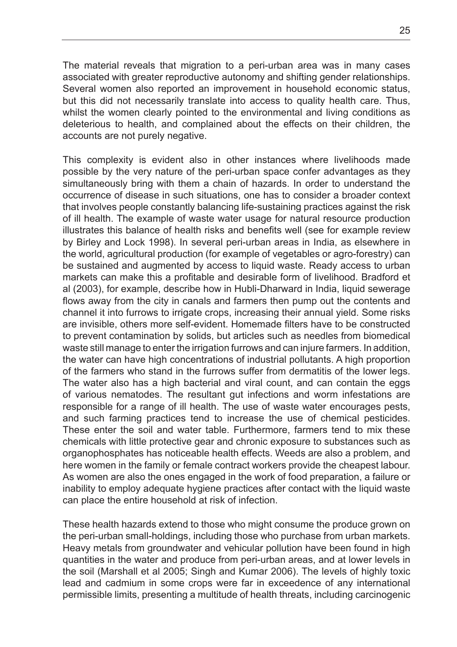The material reveals that migration to a peri-urban area was in many cases associated with greater reproductive autonomy and shifting gender relationships. Several women also reported an improvement in household economic status, but this did not necessarily translate into access to quality health care. Thus, whilst the women clearly pointed to the environmental and living conditions as deleterious to health, and complained about the effects on their children, the accounts are not purely negative.

This complexity is evident also in other instances where livelihoods made possible by the very nature of the peri-urban space confer advantages as they simultaneously bring with them a chain of hazards. In order to understand the occurrence of disease in such situations, one has to consider a broader context that involves people constantly balancing life-sustaining practices against the risk of ill health. The example of waste water usage for natural resource production illustrates this balance of health risks and benefits well (see for example review by Birley and Lock 1998). In several peri-urban areas in India, as elsewhere in the world, agricultural production (for example of vegetables or agro-forestry) can be sustained and augmented by access to liquid waste. Ready access to urban markets can make this a profitable and desirable form of livelihood. Bradford et al (2003), for example, describe how in Hubli-Dharward in India, liquid sewerage flows away from the city in canals and farmers then pump out the contents and channel it into furrows to irrigate crops, increasing their annual yield. Some risks are invisible, others more self-evident. Homemade filters have to be constructed to prevent contamination by solids, but articles such as needles from biomedical waste still manage to enter the irrigation furrows and can injure farmers. In addition, the water can have high concentrations of industrial pollutants. A high proportion of the farmers who stand in the furrows suffer from dermatitis of the lower legs. The water also has a high bacterial and viral count, and can contain the eggs of various nematodes. The resultant gut infections and worm infestations are responsible for a range of ill health. The use of waste water encourages pests, and such farming practices tend to increase the use of chemical pesticides. These enter the soil and water table. Furthermore, farmers tend to mix these chemicals with little protective gear and chronic exposure to substances such as organophosphates has noticeable health effects. Weeds are also a problem, and here women in the family or female contract workers provide the cheapest labour. As women are also the ones engaged in the work of food preparation, a failure or inability to employ adequate hygiene practices after contact with the liquid waste can place the entire household at risk of infection.

These health hazards extend to those who might consume the produce grown on the peri-urban small-holdings, including those who purchase from urban markets. Heavy metals from groundwater and vehicular pollution have been found in high quantities in the water and produce from peri-urban areas, and at lower levels in the soil (Marshall et al 2005; Singh and Kumar 2006). The levels of highly toxic lead and cadmium in some crops were far in exceedence of any international permissible limits, presenting a multitude of health threats, including carcinogenic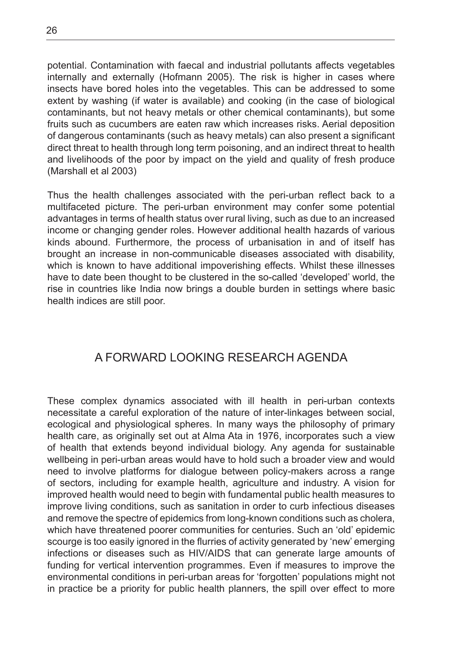potential. Contamination with faecal and industrial pollutants affects vegetables internally and externally (Hofmann 2005). The risk is higher in cases where insects have bored holes into the vegetables. This can be addressed to some extent by washing (if water is available) and cooking (in the case of biological contaminants, but not heavy metals or other chemical contaminants), but some fruits such as cucumbers are eaten raw which increases risks. Aerial deposition of dangerous contaminants (such as heavy metals) can also present a significant direct threat to health through long term poisoning, and an indirect threat to health and livelihoods of the poor by impact on the yield and quality of fresh produce (Marshall et al 2003)

Thus the health challenges associated with the peri-urban reflect back to a multifaceted picture. The peri-urban environment may confer some potential advantages in terms of health status over rural living, such as due to an increased income or changing gender roles. However additional health hazards of various kinds abound. Furthermore, the process of urbanisation in and of itself has brought an increase in non-communicable diseases associated with disability, which is known to have additional impoverishing effects. Whilst these illnesses have to date been thought to be clustered in the so-called 'developed' world, the rise in countries like India now brings a double burden in settings where basic health indices are still poor.

#### A FORWARD LOOKING RESEARCH AGENDA

These complex dynamics associated with ill health in peri-urban contexts necessitate a careful exploration of the nature of inter-linkages between social, ecological and physiological spheres. In many ways the philosophy of primary health care, as originally set out at Alma Ata in 1976, incorporates such a view of health that extends beyond individual biology. Any agenda for sustainable wellbeing in peri-urban areas would have to hold such a broader view and would need to involve platforms for dialogue between policy-makers across a range of sectors, including for example health, agriculture and industry. A vision for improved health would need to begin with fundamental public health measures to improve living conditions, such as sanitation in order to curb infectious diseases and remove the spectre of epidemics from long-known conditions such as cholera, which have threatened poorer communities for centuries. Such an 'old' epidemic scourge is too easily ignored in the flurries of activity generated by 'new' emerging infections or diseases such as HIV/AIDS that can generate large amounts of funding for vertical intervention programmes. Even if measures to improve the environmental conditions in peri-urban areas for 'forgotten' populations might not in practice be a priority for public health planners, the spill over effect to more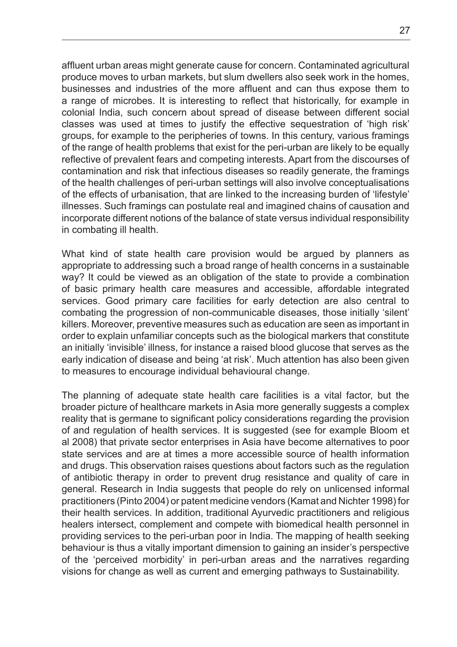affluent urban areas might generate cause for concern. Contaminated agricultural produce moves to urban markets, but slum dwellers also seek work in the homes, businesses and industries of the more affluent and can thus expose them to a range of microbes. It is interesting to reflect that historically, for example in colonial India, such concern about spread of disease between different social classes was used at times to justify the effective sequestration of 'high risk' groups, for example to the peripheries of towns. In this century, various framings of the range of health problems that exist for the peri-urban are likely to be equally reflective of prevalent fears and competing interests. Apart from the discourses of contamination and risk that infectious diseases so readily generate, the framings of the health challenges of peri-urban settings will also involve conceptualisations of the effects of urbanisation, that are linked to the increasing burden of 'lifestyle' illnesses. Such framings can postulate real and imagined chains of causation and incorporate different notions of the balance of state versus individual responsibility in combating ill health.

What kind of state health care provision would be argued by planners as appropriate to addressing such a broad range of health concerns in a sustainable way? It could be viewed as an obligation of the state to provide a combination of basic primary health care measures and accessible, affordable integrated services. Good primary care facilities for early detection are also central to combating the progression of non-communicable diseases, those initially 'silent' killers. Moreover, preventive measures such as education are seen as important in order to explain unfamiliar concepts such as the biological markers that constitute an initially 'invisible' illness, for instance a raised blood glucose that serves as the early indication of disease and being 'at risk'. Much attention has also been given to measures to encourage individual behavioural change.

The planning of adequate state health care facilities is a vital factor, but the broader picture of healthcare markets in Asia more generally suggests a complex reality that is germane to significant policy considerations regarding the provision of and regulation of health services. It is suggested (see for example Bloom et al 2008) that private sector enterprises in Asia have become alternatives to poor state services and are at times a more accessible source of health information and drugs. This observation raises questions about factors such as the regulation of antibiotic therapy in order to prevent drug resistance and quality of care in general. Research in India suggests that people do rely on unlicensed informal practitioners (Pinto 2004) or patent medicine vendors (Kamat and Nichter 1998) for their health services. In addition, traditional Ayurvedic practitioners and religious healers intersect, complement and compete with biomedical health personnel in providing services to the peri-urban poor in India. The mapping of health seeking behaviour is thus a vitally important dimension to gaining an insider's perspective of the 'perceived morbidity' in peri-urban areas and the narratives regarding visions for change as well as current and emerging pathways to Sustainability.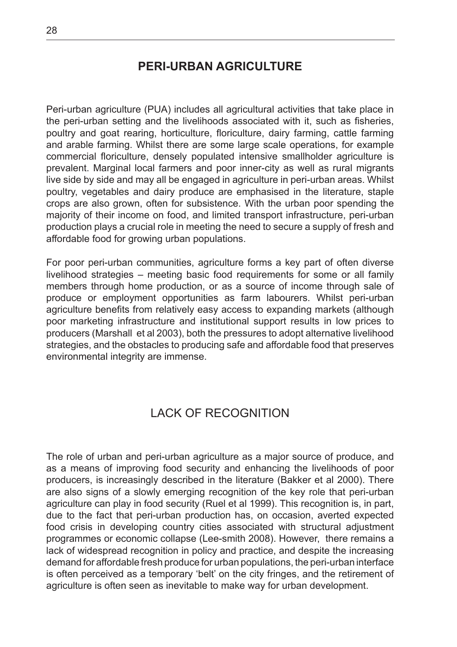#### **PERI-URBAN AGRICULTURE**

Peri-urban agriculture (PUA) includes all agricultural activities that take place in the peri-urban setting and the livelihoods associated with it, such as fisheries, poultry and goat rearing, horticulture, floriculture, dairy farming, cattle farming and arable farming. Whilst there are some large scale operations, for example commercial floriculture, densely populated intensive smallholder agriculture is prevalent. Marginal local farmers and poor inner-city as well as rural migrants live side by side and may all be engaged in agriculture in peri-urban areas. Whilst poultry, vegetables and dairy produce are emphasised in the literature, staple crops are also grown, often for subsistence. With the urban poor spending the majority of their income on food, and limited transport infrastructure, peri-urban production plays a crucial role in meeting the need to secure a supply of fresh and affordable food for growing urban populations.

For poor peri-urban communities, agriculture forms a key part of often diverse livelihood strategies – meeting basic food requirements for some or all family members through home production, or as a source of income through sale of produce or employment opportunities as farm labourers. Whilst peri-urban agriculture benefits from relatively easy access to expanding markets (although poor marketing infrastructure and institutional support results in low prices to producers (Marshall et al 2003), both the pressures to adopt alternative livelihood strategies, and the obstacles to producing safe and affordable food that preserves environmental integrity are immense.

#### LACK OF RECOGNITION

The role of urban and peri-urban agriculture as a major source of produce, and as a means of improving food security and enhancing the livelihoods of poor producers, is increasingly described in the literature (Bakker et al 2000). There are also signs of a slowly emerging recognition of the key role that peri-urban agriculture can play in food security (Ruel et al 1999). This recognition is, in part, due to the fact that peri-urban production has, on occasion, averted expected food crisis in developing country cities associated with structural adjustment programmes or economic collapse (Lee-smith 2008). However, there remains a lack of widespread recognition in policy and practice, and despite the increasing demand for affordable fresh produce for urban populations, the peri-urban interface is often perceived as a temporary 'belt' on the city fringes, and the retirement of agriculture is often seen as inevitable to make way for urban development.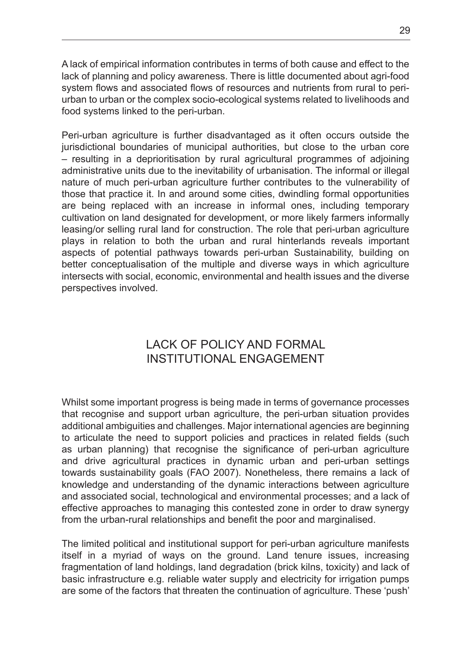A lack of empirical information contributes in terms of both cause and effect to the lack of planning and policy awareness. There is little documented about agri-food system flows and associated flows of resources and nutrients from rural to periurban to urban or the complex socio-ecological systems related to livelihoods and food systems linked to the peri-urban.

Peri-urban agriculture is further disadvantaged as it often occurs outside the jurisdictional boundaries of municipal authorities, but close to the urban core – resulting in a deprioritisation by rural agricultural programmes of adjoining administrative units due to the inevitability of urbanisation. The informal or illegal nature of much peri-urban agriculture further contributes to the vulnerability of those that practice it. In and around some cities, dwindling formal opportunities are being replaced with an increase in informal ones, including temporary cultivation on land designated for development, or more likely farmers informally leasing/or selling rural land for construction. The role that peri-urban agriculture plays in relation to both the urban and rural hinterlands reveals important aspects of potential pathways towards peri-urban Sustainability, building on better conceptualisation of the multiple and diverse ways in which agriculture intersects with social, economic, environmental and health issues and the diverse perspectives involved.

## LACK OF POLICY AND FORMAL INSTITUTIONAL ENGAGEMENT

Whilst some important progress is being made in terms of governance processes that recognise and support urban agriculture, the peri-urban situation provides additional ambiguities and challenges. Major international agencies are beginning to articulate the need to support policies and practices in related fields (such as urban planning) that recognise the significance of peri-urban agriculture and drive agricultural practices in dynamic urban and peri-urban settings towards sustainability goals (FAO 2007). Nonetheless, there remains a lack of knowledge and understanding of the dynamic interactions between agriculture and associated social, technological and environmental processes; and a lack of effective approaches to managing this contested zone in order to draw synergy from the urban-rural relationships and benefit the poor and marginalised.

The limited political and institutional support for peri-urban agriculture manifests itself in a myriad of ways on the ground. Land tenure issues, increasing fragmentation of land holdings, land degradation (brick kilns, toxicity) and lack of basic infrastructure e.g. reliable water supply and electricity for irrigation pumps are some of the factors that threaten the continuation of agriculture. These 'push'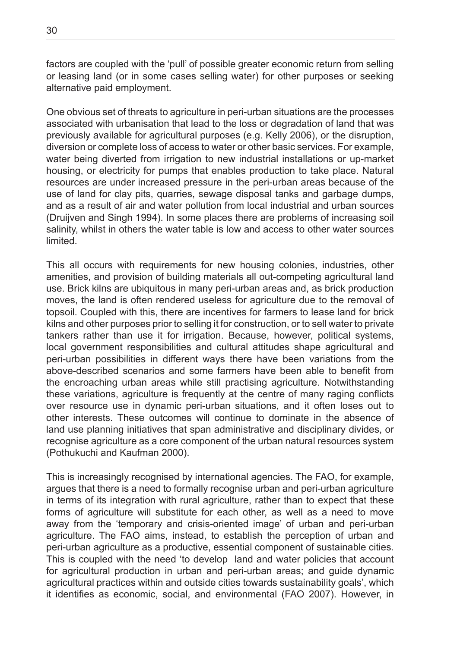factors are coupled with the 'pull' of possible greater economic return from selling or leasing land (or in some cases selling water) for other purposes or seeking alternative paid employment.

One obvious set of threats to agriculture in peri-urban situations are the processes associated with urbanisation that lead to the loss or degradation of land that was previously available for agricultural purposes (e.g. Kelly 2006), or the disruption, diversion or complete loss of access to water or other basic services. For example, water being diverted from irrigation to new industrial installations or up-market housing, or electricity for pumps that enables production to take place. Natural resources are under increased pressure in the peri-urban areas because of the use of land for clay pits, quarries, sewage disposal tanks and garbage dumps, and as a result of air and water pollution from local industrial and urban sources (Druijven and Singh 1994). In some places there are problems of increasing soil salinity, whilst in others the water table is low and access to other water sources limited.

This all occurs with requirements for new housing colonies, industries, other amenities, and provision of building materials all out-competing agricultural land use. Brick kilns are ubiquitous in many peri-urban areas and, as brick production moves, the land is often rendered useless for agriculture due to the removal of topsoil. Coupled with this, there are incentives for farmers to lease land for brick kilns and other purposes prior to selling it for construction, or to sell water to private tankers rather than use it for irrigation. Because, however, political systems, local government responsibilities and cultural attitudes shape agricultural and peri-urban possibilities in different ways there have been variations from the above-described scenarios and some farmers have been able to benefit from the encroaching urban areas while still practising agriculture. Notwithstanding these variations, agriculture is frequently at the centre of many raging conflicts over resource use in dynamic peri-urban situations, and it often loses out to other interests. These outcomes will continue to dominate in the absence of land use planning initiatives that span administrative and disciplinary divides, or recognise agriculture as a core component of the urban natural resources system (Pothukuchi and Kaufman 2000).

This is increasingly recognised by international agencies. The FAO, for example, argues that there is a need to formally recognise urban and peri-urban agriculture in terms of its integration with rural agriculture, rather than to expect that these forms of agriculture will substitute for each other, as well as a need to move away from the 'temporary and crisis-oriented image' of urban and peri-urban agriculture. The FAO aims, instead, to establish the perception of urban and peri-urban agriculture as a productive, essential component of sustainable cities. This is coupled with the need 'to develop land and water policies that account for agricultural production in urban and peri-urban areas; and guide dynamic agricultural practices within and outside cities towards sustainability goals', which it identifies as economic, social, and environmental (FAO 2007). However, in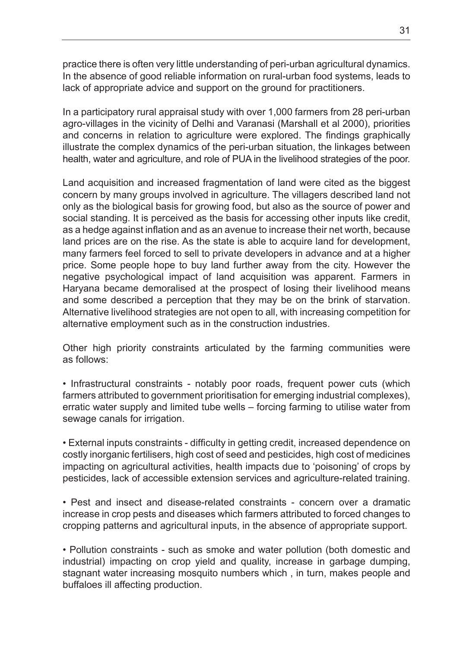practice there is often very little understanding of peri-urban agricultural dynamics. In the absence of good reliable information on rural-urban food systems, leads to lack of appropriate advice and support on the ground for practitioners.

In a participatory rural appraisal study with over 1,000 farmers from 28 peri-urban agro-villages in the vicinity of Delhi and Varanasi (Marshall et al 2000), priorities and concerns in relation to agriculture were explored. The findings graphically illustrate the complex dynamics of the peri-urban situation, the linkages between health, water and agriculture, and role of PUA in the livelihood strategies of the poor.

Land acquisition and increased fragmentation of land were cited as the biggest concern by many groups involved in agriculture. The villagers described land not only as the biological basis for growing food, but also as the source of power and social standing. It is perceived as the basis for accessing other inputs like credit, as a hedge against inflation and as an avenue to increase their net worth, because land prices are on the rise. As the state is able to acquire land for development, many farmers feel forced to sell to private developers in advance and at a higher price. Some people hope to buy land further away from the city. However the negative psychological impact of land acquisition was apparent. Farmers in Haryana became demoralised at the prospect of losing their livelihood means and some described a perception that they may be on the brink of starvation. Alternative livelihood strategies are not open to all, with increasing competition for alternative employment such as in the construction industries.

Other high priority constraints articulated by the farming communities were as follows:

• Infrastructural constraints - notably poor roads, frequent power cuts (which farmers attributed to government prioritisation for emerging industrial complexes), erratic water supply and limited tube wells – forcing farming to utilise water from sewage canals for irrigation.

• External inputs constraints - difficulty in getting credit, increased dependence on costly inorganic fertilisers, high cost of seed and pesticides, high cost of medicines impacting on agricultural activities, health impacts due to 'poisoning' of crops by pesticides, lack of accessible extension services and agriculture-related training.

• Pest and insect and disease-related constraints - concern over a dramatic increase in crop pests and diseases which farmers attributed to forced changes to cropping patterns and agricultural inputs, in the absence of appropriate support.

• Pollution constraints - such as smoke and water pollution (both domestic and industrial) impacting on crop yield and quality, increase in garbage dumping, stagnant water increasing mosquito numbers which , in turn, makes people and buffaloes ill affecting production.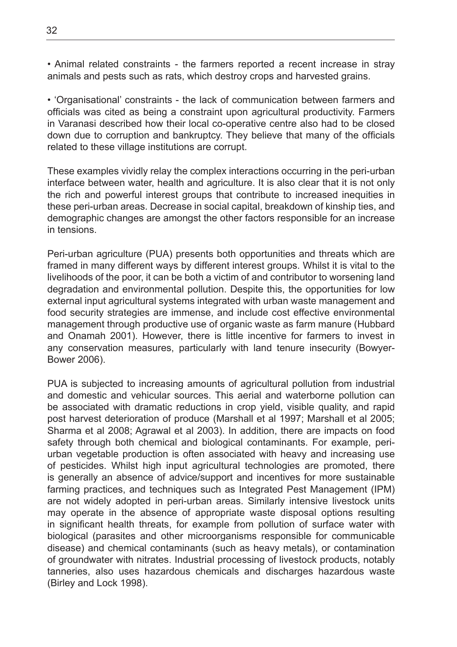• Animal related constraints - the farmers reported a recent increase in stray animals and pests such as rats, which destroy crops and harvested grains.

• 'Organisational' constraints - the lack of communication between farmers and officials was cited as being a constraint upon agricultural productivity. Farmers in Varanasi described how their local co-operative centre also had to be closed down due to corruption and bankruptcy. They believe that many of the officials related to these village institutions are corrupt.

These examples vividly relay the complex interactions occurring in the peri-urban interface between water, health and agriculture. It is also clear that it is not only the rich and powerful interest groups that contribute to increased inequities in these peri-urban areas. Decrease in social capital, breakdown of kinship ties, and demographic changes are amongst the other factors responsible for an increase in tensions.

Peri-urban agriculture (PUA) presents both opportunities and threats which are framed in many different ways by different interest groups. Whilst it is vital to the livelihoods of the poor, it can be both a victim of and contributor to worsening land degradation and environmental pollution. Despite this, the opportunities for low external input agricultural systems integrated with urban waste management and food security strategies are immense, and include cost effective environmental management through productive use of organic waste as farm manure (Hubbard and Onamah 2001). However, there is little incentive for farmers to invest in any conservation measures, particularly with land tenure insecurity (Bowyer-Bower 2006).

PUA is subjected to increasing amounts of agricultural pollution from industrial and domestic and vehicular sources. This aerial and waterborne pollution can be associated with dramatic reductions in crop yield, visible quality, and rapid post harvest deterioration of produce (Marshall et al 1997; Marshall et al 2005; Sharma et al 2008; Agrawal et al 2003). In addition, there are impacts on food safety through both chemical and biological contaminants. For example, periurban vegetable production is often associated with heavy and increasing use of pesticides. Whilst high input agricultural technologies are promoted, there is generally an absence of advice/support and incentives for more sustainable farming practices, and techniques such as Integrated Pest Management (IPM) are not widely adopted in peri-urban areas. Similarly intensive livestock units may operate in the absence of appropriate waste disposal options resulting in significant health threats, for example from pollution of surface water with biological (parasites and other microorganisms responsible for communicable disease) and chemical contaminants (such as heavy metals), or contamination of groundwater with nitrates. Industrial processing of livestock products, notably tanneries, also uses hazardous chemicals and discharges hazardous waste (Birley and Lock 1998).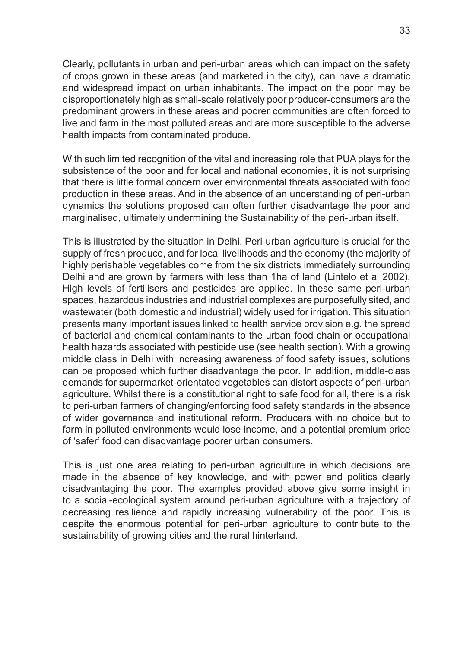Clearly, pollutants in urban and peri-urban areas which can impact on the safety of crops grown in these areas (and marketed in the city), can have a dramatic and widespread impact on urban inhabitants. The impact on the poor may be disproportionately high as small-scale relatively poor producer-consumers are the predominant growers in these areas and poorer communities are often forced to live and farm in the most polluted areas and are more susceptible to the adverse health impacts from contaminated produce.

With such limited recognition of the vital and increasing role that PUA plays for the subsistence of the poor and for local and national economies, it is not surprising that there is little formal concern over environmental threats associated with food production in these areas. And in the absence of an understanding of peri-urban dynamics the solutions proposed can often further disadvantage the poor and marginalised, ultimately undermining the Sustainability of the peri-urban itself.

This is illustrated by the situation in Delhi. Peri-urban agriculture is crucial for the supply of fresh produce, and for local livelihoods and the economy (the majority of highly perishable vegetables come from the six districts immediately surrounding Delhi and are grown by farmers with less than 1ha of land (Lintelo et al 2002). High levels of fertilisers and pesticides are applied. In these same peri-urban spaces, hazardous industries and industrial complexes are purposefully sited, and wastewater (both domestic and industrial) widely used for irrigation. This situation presents many important issues linked to health service provision e.g. the spread of bacterial and chemical contaminants to the urban food chain or occupational health hazards associated with pesticide use (see health section). With a growing middle class in Delhi with increasing awareness of food safety issues, solutions can be proposed which further disadvantage the poor. In addition, middle-class demands for supermarket-orientated vegetables can distort aspects of peri-urban agriculture. Whilst there is a constitutional right to safe food for all, there is a risk to peri-urban farmers of changing/enforcing food safety standards in the absence of wider governance and institutional reform. Producers with no choice but to farm in polluted environments would lose income, and a potential premium price of 'safer' food can disadvantage poorer urban consumers.

This is just one area relating to peri-urban agriculture in which decisions are made in the absence of key knowledge, and with power and politics clearly disadvantaging the poor. The examples provided above give some insight in to a social-ecological system around peri-urban agriculture with a trajectory of decreasing resilience and rapidly increasing vulnerability of the poor. This is despite the enormous potential for peri-urban agriculture to contribute to the sustainability of growing cities and the rural hinterland.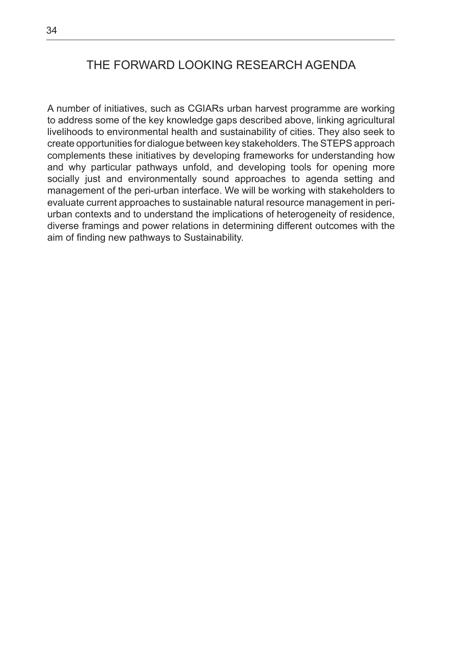THE FORWARD LOOKING RESEARCH AGENDA

A number of initiatives, such as CGIARs urban harvest programme are working to address some of the key knowledge gaps described above, linking agricultural livelihoods to environmental health and sustainability of cities. They also seek to create opportunities for dialogue between key stakeholders. The STEPS approach complements these initiatives by developing frameworks for understanding how and why particular pathways unfold, and developing tools for opening more socially just and environmentally sound approaches to agenda setting and management of the peri-urban interface. We will be working with stakeholders to evaluate current approaches to sustainable natural resource management in periurban contexts and to understand the implications of heterogeneity of residence, diverse framings and power relations in determining different outcomes with the aim of finding new pathways to Sustainability.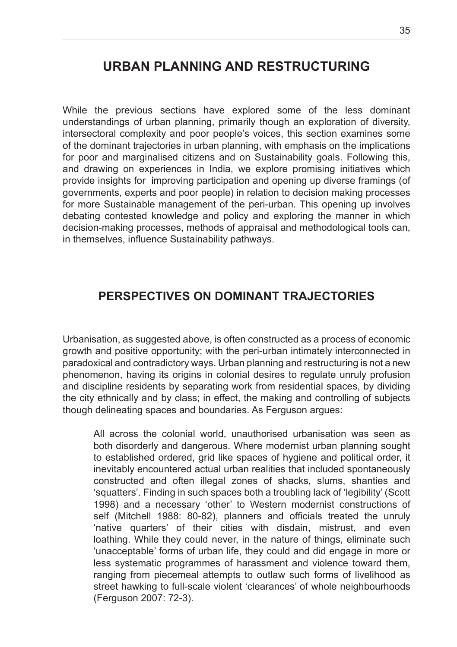# **URBAN PLANNING AND RESTRUCTURING**

While the previous sections have explored some of the less dominant understandings of urban planning, primarily though an exploration of diversity, intersectoral complexity and poor people's voices, this section examines some of the dominant trajectories in urban planning, with emphasis on the implications for poor and marginalised citizens and on Sustainability goals. Following this, and drawing on experiences in India, we explore promising initiatives which provide insights for improving participation and opening up diverse framings (of governments, experts and poor people) in relation to decision making processes for more Sustainable management of the peri-urban. This opening up involves debating contested knowledge and policy and exploring the manner in which decision-making processes, methods of appraisal and methodological tools can, in themselves, influence Sustainability pathways.

#### **PERSPECTIVES ON DOMINANT TRAJECTORIES**

Urbanisation, as suggested above, is often constructed as a process of economic growth and positive opportunity; with the peri-urban intimately interconnected in paradoxical and contradictory ways. Urban planning and restructuring is not a new phenomenon, having its origins in colonial desires to regulate unruly profusion and discipline residents by separating work from residential spaces, by dividing the city ethnically and by class; in effect, the making and controlling of subjects though delineating spaces and boundaries. As Ferguson argues:

All across the colonial world, unauthorised urbanisation was seen as both disorderly and dangerous. Where modernist urban planning sought to established ordered, grid like spaces of hygiene and political order, it inevitably encountered actual urban realities that included spontaneously constructed and often illegal zones of shacks, slums, shanties and 'squatters'. Finding in such spaces both a troubling lack of 'legibility' (Scott 1998) and a necessary 'other' to Western modernist constructions of self (Mitchell 1988: 80-82), planners and officials treated the unruly 'native quarters' of their cities with disdain, mistrust, and even loathing. While they could never, in the nature of things, eliminate such 'unacceptable' forms of urban life, they could and did engage in more or less systematic programmes of harassment and violence toward them, ranging from piecemeal attempts to outlaw such forms of livelihood as street hawking to full-scale violent 'clearances' of whole neighbourhoods (Ferguson 2007: 72-3).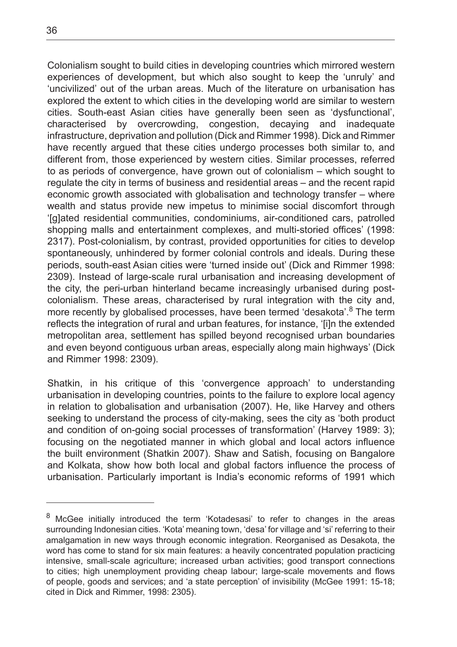36

Colonialism sought to build cities in developing countries which mirrored western experiences of development, but which also sought to keep the 'unruly' and 'uncivilized' out of the urban areas. Much of the literature on urbanisation has explored the extent to which cities in the developing world are similar to western cities. South-east Asian cities have generally been seen as 'dysfunctional', characterised by overcrowding, congestion, decaying and inadequate infrastructure, deprivation and pollution (Dick and Rimmer 1998). Dick and Rimmer have recently argued that these cities undergo processes both similar to, and different from, those experienced by western cities. Similar processes, referred to as periods of convergence, have grown out of colonialism – which sought to regulate the city in terms of business and residential areas – and the recent rapid economic growth associated with globalisation and technology transfer – where wealth and status provide new impetus to minimise social discomfort through '[g]ated residential communities, condominiums, air-conditioned cars, patrolled shopping malls and entertainment complexes, and multi-storied offices' (1998: 2317). Post-colonialism, by contrast, provided opportunities for cities to develop spontaneously, unhindered by former colonial controls and ideals. During these periods, south-east Asian cities were 'turned inside out' (Dick and Rimmer 1998: 2309). Instead of large-scale rural urbanisation and increasing development of the city, the peri-urban hinterland became increasingly urbanised during postcolonialism. These areas, characterised by rural integration with the city and, more recently by globalised processes, have been termed 'desakota'.<sup>8</sup> The term reflects the integration of rural and urban features, for instance, '[i]n the extended metropolitan area, settlement has spilled beyond recognised urban boundaries and even beyond contiguous urban areas, especially along main highways' (Dick and Rimmer 1998: 2309).

Shatkin, in his critique of this 'convergence approach' to understanding urbanisation in developing countries, points to the failure to explore local agency in relation to globalisation and urbanisation (2007). He, like Harvey and others seeking to understand the process of city-making, sees the city as 'both product and condition of on-going social processes of transformation' (Harvey 1989: 3); focusing on the negotiated manner in which global and local actors influence the built environment (Shatkin 2007). Shaw and Satish, focusing on Bangalore and Kolkata, show how both local and global factors influence the process of urbanisation. Particularly important is India's economic reforms of 1991 which

<sup>8</sup> McGee initially introduced the term 'Kotadesasi' to refer to changes in the areas surrounding Indonesian cities. 'Kota' meaning town, 'desa' for village and 'si' referring to their amalgamation in new ways through economic integration. Reorganised as Desakota, the word has come to stand for six main features: a heavily concentrated population practicing intensive, small-scale agriculture; increased urban activities; good transport connections to cities; high unemployment providing cheap labour; large-scale movements and flows of people, goods and services; and 'a state perception' of invisibility (McGee 1991: 15-18; cited in Dick and Rimmer, 1998: 2305).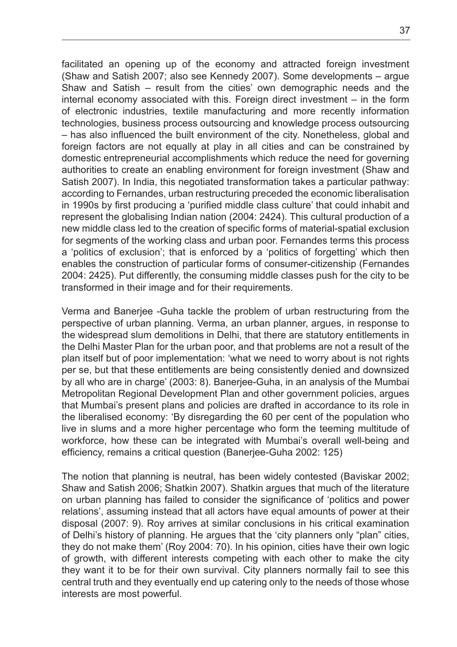facilitated an opening up of the economy and attracted foreign investment (Shaw and Satish 2007; also see Kennedy 2007). Some developments – argue Shaw and Satish – result from the cities' own demographic needs and the internal economy associated with this. Foreign direct investment – in the form of electronic industries, textile manufacturing and more recently information technologies, business process outsourcing and knowledge process outsourcing – has also influenced the built environment of the city. Nonetheless, global and foreign factors are not equally at play in all cities and can be constrained by domestic entrepreneurial accomplishments which reduce the need for governing authorities to create an enabling environment for foreign investment (Shaw and Satish 2007). In India, this negotiated transformation takes a particular pathway: according to Fernandes, urban restructuring preceded the economic liberalisation in 1990s by first producing a 'purified middle class culture' that could inhabit and represent the globalising Indian nation (2004: 2424). This cultural production of a new middle class led to the creation of specific forms of material-spatial exclusion for segments of the working class and urban poor. Fernandes terms this process a 'politics of exclusion'; that is enforced by a 'politics of forgetting' which then enables the construction of particular forms of consumer-citizenship (Fernandes 2004: 2425). Put differently, the consuming middle classes push for the city to be transformed in their image and for their requirements.

Verma and Banerjee -Guha tackle the problem of urban restructuring from the perspective of urban planning. Verma, an urban planner, argues, in response to the widespread slum demolitions in Delhi, that there are statutory entitlements in the Delhi Master Plan for the urban poor, and that problems are not a result of the plan itself but of poor implementation: 'what we need to worry about is not rights per se, but that these entitlements are being consistently denied and downsized by all who are in charge' (2003: 8). Banerjee-Guha, in an analysis of the Mumbai Metropolitan Regional Development Plan and other government policies, argues that Mumbai's present plans and policies are drafted in accordance to its role in the liberalised economy: 'By disregarding the 60 per cent of the population who live in slums and a more higher percentage who form the teeming multitude of workforce, how these can be integrated with Mumbai's overall well-being and efficiency, remains a critical question (Banerjee-Guha 2002: 125)

The notion that planning is neutral, has been widely contested (Baviskar 2002; Shaw and Satish 2006; Shatkin 2007). Shatkin argues that much of the literature on urban planning has failed to consider the significance of 'politics and power relations', assuming instead that all actors have equal amounts of power at their disposal (2007: 9). Roy arrives at similar conclusions in his critical examination of Delhi's history of planning. He argues that the 'city planners only "plan" cities, they do not make them' (Roy 2004: 70). In his opinion, cities have their own logic of growth, with different interests competing with each other to make the city they want it to be for their own survival. City planners normally fail to see this central truth and they eventually end up catering only to the needs of those whose interests are most powerful.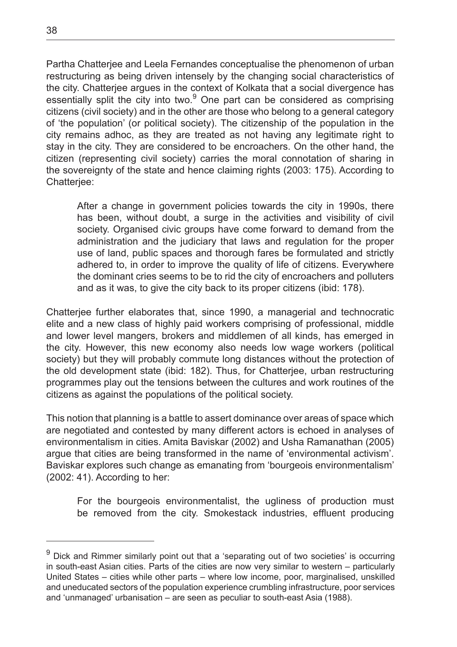Partha Chatterjee and Leela Fernandes conceptualise the phenomenon of urban restructuring as being driven intensely by the changing social characteristics of the city. Chatterjee argues in the context of Kolkata that a social divergence has essentially split the city into two.<sup>9</sup> One part can be considered as comprising citizens (civil society) and in the other are those who belong to a general category of 'the population' (or political society). The citizenship of the population in the city remains adhoc, as they are treated as not having any legitimate right to stay in the city. They are considered to be encroachers. On the other hand, the citizen (representing civil society) carries the moral connotation of sharing in the sovereignty of the state and hence claiming rights (2003: 175). According to Chatteriee:

After a change in government policies towards the city in 1990s, there has been, without doubt, a surge in the activities and visibility of civil society. Organised civic groups have come forward to demand from the administration and the judiciary that laws and regulation for the proper use of land, public spaces and thorough fares be formulated and strictly adhered to, in order to improve the quality of life of citizens. Everywhere the dominant cries seems to be to rid the city of encroachers and polluters and as it was, to give the city back to its proper citizens (ibid: 178).

Chatterjee further elaborates that, since 1990, a managerial and technocratic elite and a new class of highly paid workers comprising of professional, middle and lower level mangers, brokers and middlemen of all kinds, has emerged in the city. However, this new economy also needs low wage workers (political society) but they will probably commute long distances without the protection of the old development state (ibid: 182). Thus, for Chatterjee, urban restructuring programmes play out the tensions between the cultures and work routines of the citizens as against the populations of the political society.

This notion that planning is a battle to assert dominance over areas of space which are negotiated and contested by many different actors is echoed in analyses of environmentalism in cities. Amita Baviskar (2002) and Usha Ramanathan (2005) argue that cities are being transformed in the name of 'environmental activism'. Baviskar explores such change as emanating from 'bourgeois environmentalism' (2002: 41). According to her:

For the bourgeois environmentalist, the ugliness of production must be removed from the city. Smokestack industries, effluent producing

<sup>&</sup>lt;sup>9</sup> Dick and Rimmer similarly point out that a 'separating out of two societies' is occurring in south-east Asian cities. Parts of the cities are now very similar to western – particularly United States – cities while other parts – where low income, poor, marginalised, unskilled and uneducated sectors of the population experience crumbling infrastructure, poor services and 'unmanaged' urbanisation – are seen as peculiar to south-east Asia (1988).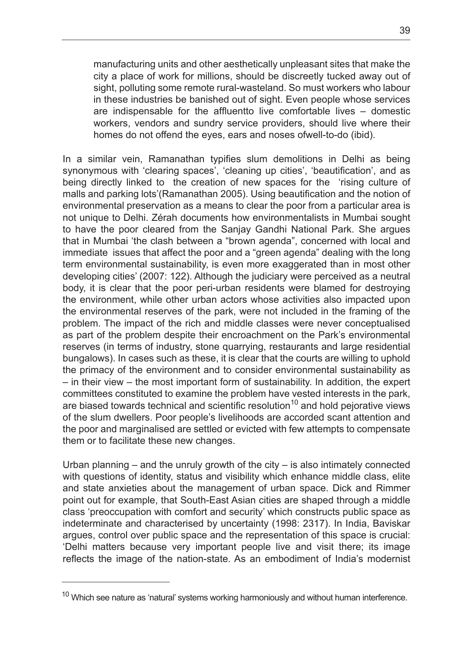manufacturing units and other aesthetically unpleasant sites that make the city a place of work for millions, should be discreetly tucked away out of sight, polluting some remote rural-wasteland. So must workers who labour in these industries be banished out of sight. Even people whose services are indispensable for the affluentto live comfortable lives – domestic workers, vendors and sundry service providers, should live where their homes do not offend the eyes, ears and noses ofwell-to-do (ibid).

In a similar vein, Ramanathan typifies slum demolitions in Delhi as being synonymous with 'clearing spaces', 'cleaning up cities', 'beautification', and as being directly linked to the creation of new spaces for the 'rising culture of malls and parking lots'(Ramanathan 2005). Using beautification and the notion of environmental preservation as a means to clear the poor from a particular area is not unique to Delhi. Zérah documents how environmentalists in Mumbai sought to have the poor cleared from the Sanjay Gandhi National Park. She argues that in Mumbai 'the clash between a "brown agenda", concerned with local and immediate issues that affect the poor and a "green agenda" dealing with the long term environmental sustainability, is even more exaggerated than in most other developing cities' (2007: 122). Although the judiciary were perceived as a neutral body, it is clear that the poor peri-urban residents were blamed for destroying the environment, while other urban actors whose activities also impacted upon the environmental reserves of the park, were not included in the framing of the problem. The impact of the rich and middle classes were never conceptualised as part of the problem despite their encroachment on the Park's environmental reserves (in terms of industry, stone quarrying, restaurants and large residential bungalows). In cases such as these, it is clear that the courts are willing to uphold the primacy of the environment and to consider environmental sustainability as – in their view – the most important form of sustainability. In addition, the expert committees constituted to examine the problem have vested interests in the park, are biased towards technical and scientific resolution<sup>10</sup> and hold pejorative views of the slum dwellers. Poor people's livelihoods are accorded scant attention and the poor and marginalised are settled or evicted with few attempts to compensate them or to facilitate these new changes.

Urban planning – and the unruly growth of the city – is also intimately connected with questions of identity, status and visibility which enhance middle class, elite and state anxieties about the management of urban space. Dick and Rimmer point out for example, that South-East Asian cities are shaped through a middle class 'preoccupation with comfort and security' which constructs public space as indeterminate and characterised by uncertainty (1998: 2317). In India, Baviskar argues, control over public space and the representation of this space is crucial: 'Delhi matters because very important people live and visit there; its image reflects the image of the nation-state. As an embodiment of India's modernist

 $10$  Which see nature as 'natural' systems working harmoniously and without human interference.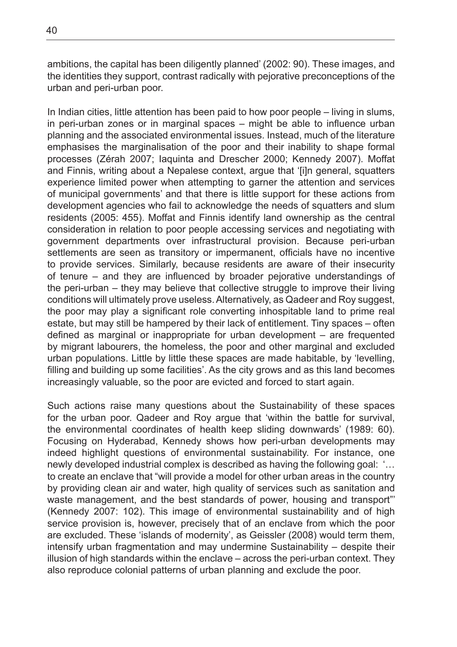ambitions, the capital has been diligently planned' (2002: 90). These images, and the identities they support, contrast radically with pejorative preconceptions of the urban and peri-urban poor.

In Indian cities, little attention has been paid to how poor people – living in slums, in peri-urban zones or in marginal spaces – might be able to influence urban planning and the associated environmental issues. Instead, much of the literature emphasises the marginalisation of the poor and their inability to shape formal processes (Zérah 2007; Iaquinta and Drescher 2000; Kennedy 2007). Moffat and Finnis, writing about a Nepalese context, argue that '[i]n general, squatters experience limited power when attempting to garner the attention and services of municipal governments' and that there is little support for these actions from development agencies who fail to acknowledge the needs of squatters and slum residents (2005: 455). Moffat and Finnis identify land ownership as the central consideration in relation to poor people accessing services and negotiating with government departments over infrastructural provision. Because peri-urban settlements are seen as transitory or impermanent, officials have no incentive to provide services. Similarly, because residents are aware of their insecurity of tenure – and they are influenced by broader pejorative understandings of the peri-urban – they may believe that collective struggle to improve their living conditions will ultimately prove useless. Alternatively, as Qadeer and Roy suggest, the poor may play a significant role converting inhospitable land to prime real estate, but may still be hampered by their lack of entitlement. Tiny spaces – often defined as marginal or inappropriate for urban development – are frequented by migrant labourers, the homeless, the poor and other marginal and excluded urban populations. Little by little these spaces are made habitable, by 'levelling, filling and building up some facilities'. As the city grows and as this land becomes increasingly valuable, so the poor are evicted and forced to start again.

Such actions raise many questions about the Sustainability of these spaces for the urban poor. Qadeer and Roy argue that 'within the battle for survival, the environmental coordinates of health keep sliding downwards' (1989: 60). Focusing on Hyderabad, Kennedy shows how peri-urban developments may indeed highlight questions of environmental sustainability. For instance, one newly developed industrial complex is described as having the following goal: '… to create an enclave that "will provide a model for other urban areas in the country by providing clean air and water, high quality of services such as sanitation and waste management, and the best standards of power, housing and transport" (Kennedy 2007: 102). This image of environmental sustainability and of high service provision is, however, precisely that of an enclave from which the poor are excluded. These 'islands of modernity', as Geissler (2008) would term them, intensify urban fragmentation and may undermine Sustainability – despite their illusion of high standards within the enclave – across the peri-urban context. They also reproduce colonial patterns of urban planning and exclude the poor.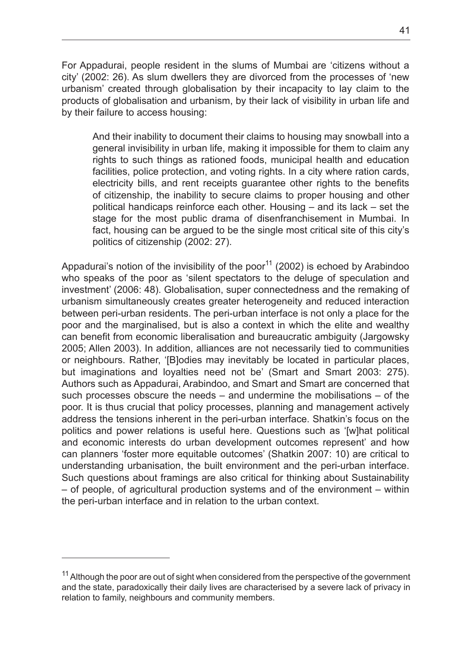For Appadurai, people resident in the slums of Mumbai are 'citizens without a city' (2002: 26). As slum dwellers they are divorced from the processes of 'new urbanism' created through globalisation by their incapacity to lay claim to the products of globalisation and urbanism, by their lack of visibility in urban life and by their failure to access housing:

And their inability to document their claims to housing may snowball into a general invisibility in urban life, making it impossible for them to claim any rights to such things as rationed foods, municipal health and education facilities, police protection, and voting rights. In a city where ration cards, electricity bills, and rent receipts guarantee other rights to the benefits of citizenship, the inability to secure claims to proper housing and other political handicaps reinforce each other. Housing – and its lack – set the stage for the most public drama of disenfranchisement in Mumbai. In fact, housing can be argued to be the single most critical site of this city's politics of citizenship (2002: 27).

Appadurai's notion of the invisibility of the poor<sup>11</sup> (2002) is echoed by Arabindoo who speaks of the poor as 'silent spectators to the deluge of speculation and investment' (2006: 48). Globalisation, super connectedness and the remaking of urbanism simultaneously creates greater heterogeneity and reduced interaction between peri-urban residents. The peri-urban interface is not only a place for the poor and the marginalised, but is also a context in which the elite and wealthy can benefit from economic liberalisation and bureaucratic ambiguity (Jargowsky 2005; Allen 2003). In addition, alliances are not necessarily tied to communities or neighbours. Rather, '[B]odies may inevitably be located in particular places, but imaginations and loyalties need not be' (Smart and Smart 2003: 275). Authors such as Appadurai, Arabindoo, and Smart and Smart are concerned that such processes obscure the needs – and undermine the mobilisations – of the poor. It is thus crucial that policy processes, planning and management actively address the tensions inherent in the peri-urban interface. Shatkin's focus on the politics and power relations is useful here. Questions such as '[w]hat political and economic interests do urban development outcomes represent' and how can planners 'foster more equitable outcomes' (Shatkin 2007: 10) are critical to understanding urbanisation, the built environment and the peri-urban interface. Such questions about framings are also critical for thinking about Sustainability – of people, of agricultural production systems and of the environment – within the peri-urban interface and in relation to the urban context.

 $11$  Although the poor are out of sight when considered from the perspective of the government and the state, paradoxically their daily lives are characterised by a severe lack of privacy in relation to family, neighbours and community members.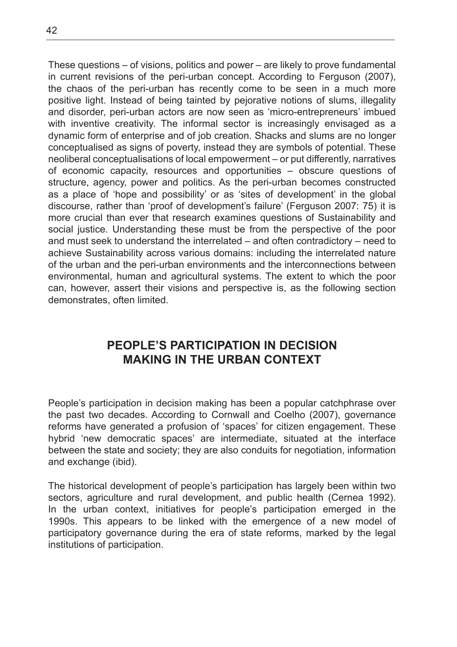These questions – of visions, politics and power – are likely to prove fundamental in current revisions of the peri-urban concept. According to Ferguson (2007), the chaos of the peri-urban has recently come to be seen in a much more positive light. Instead of being tainted by pejorative notions of slums, illegality and disorder, peri-urban actors are now seen as 'micro-entrepreneurs' imbued with inventive creativity. The informal sector is increasingly envisaged as a dynamic form of enterprise and of job creation. Shacks and slums are no longer conceptualised as signs of poverty, instead they are symbols of potential. These neoliberal conceptualisations of local empowerment – or put differently, narratives of economic capacity, resources and opportunities – obscure questions of structure, agency, power and politics. As the peri-urban becomes constructed as a place of 'hope and possibility' or as 'sites of development' in the global discourse, rather than 'proof of development's failure' (Ferguson 2007: 75) it is more crucial than ever that research examines questions of Sustainability and social justice. Understanding these must be from the perspective of the poor and must seek to understand the interrelated – and often contradictory – need to achieve Sustainability across various domains: including the interrelated nature of the urban and the peri-urban environments and the interconnections between environmental, human and agricultural systems. The extent to which the poor can, however, assert their visions and perspective is, as the following section demonstrates, often limited.

# **PEOPLE'S PARTICIPATION IN DECISION MAKING IN THE URBAN CONTEXT**

People's participation in decision making has been a popular catchphrase over the past two decades. According to Cornwall and Coelho (2007), governance reforms have generated a profusion of 'spaces' for citizen engagement. These hybrid 'new democratic spaces' are intermediate, situated at the interface between the state and society; they are also conduits for negotiation, information and exchange (ibid).

The historical development of people's participation has largely been within two sectors, agriculture and rural development, and public health (Cernea 1992). In the urban context, initiatives for people's participation emerged in the 1990s. This appears to be linked with the emergence of a new model of participatory governance during the era of state reforms, marked by the legal institutions of participation.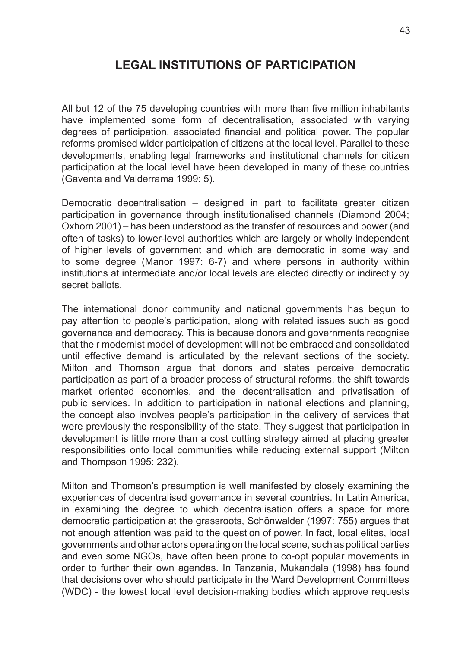# **LEGAL INSTITUTIONS OF PARTICIPATION**

All but 12 of the 75 developing countries with more than five million inhabitants have implemented some form of decentralisation, associated with varying degrees of participation, associated financial and political power. The popular reforms promised wider participation of citizens at the local level. Parallel to these developments, enabling legal frameworks and institutional channels for citizen participation at the local level have been developed in many of these countries (Gaventa and Valderrama 1999: 5).

Democratic decentralisation – designed in part to facilitate greater citizen participation in governance through institutionalised channels (Diamond 2004; Oxhorn 2001) – has been understood as the transfer of resources and power (and often of tasks) to lower-level authorities which are largely or wholly independent of higher levels of government and which are democratic in some way and to some degree (Manor 1997: 6-7) and where persons in authority within institutions at intermediate and/or local levels are elected directly or indirectly by secret ballots.

The international donor community and national governments has begun to pay attention to people's participation, along with related issues such as good governance and democracy. This is because donors and governments recognise that their modernist model of development will not be embraced and consolidated until effective demand is articulated by the relevant sections of the society. Milton and Thomson argue that donors and states perceive democratic participation as part of a broader process of structural reforms, the shift towards market oriented economies, and the decentralisation and privatisation of public services. In addition to participation in national elections and planning, the concept also involves people's participation in the delivery of services that were previously the responsibility of the state. They suggest that participation in development is little more than a cost cutting strategy aimed at placing greater responsibilities onto local communities while reducing external support (Milton and Thompson 1995: 232).

Milton and Thomson's presumption is well manifested by closely examining the experiences of decentralised governance in several countries. In Latin America, in examining the degree to which decentralisation offers a space for more democratic participation at the grassroots, Schönwalder (1997: 755) argues that not enough attention was paid to the question of power. In fact, local elites, local governments and other actors operating on the local scene, such as political parties and even some NGOs, have often been prone to co-opt popular movements in order to further their own agendas. In Tanzania, Mukandala (1998) has found that decisions over who should participate in the Ward Development Committees (WDC) - the lowest local level decision-making bodies which approve requests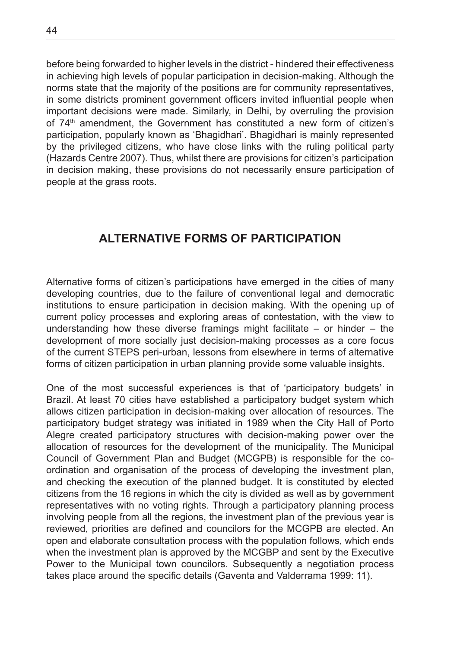before being forwarded to higher levels in the district - hindered their effectiveness in achieving high levels of popular participation in decision-making. Although the norms state that the majority of the positions are for community representatives, in some districts prominent government officers invited influential people when important decisions were made. Similarly, in Delhi, by overruling the provision of  $74<sup>th</sup>$  amendment, the Government has constituted a new form of citizen's participation, popularly known as 'Bhagidhari'. Bhagidhari is mainly represented by the privileged citizens, who have close links with the ruling political party (Hazards Centre 2007). Thus, whilst there are provisions for citizen's participation in decision making, these provisions do not necessarily ensure participation of people at the grass roots.

#### **ALTERNATIVE FORMS OF PARTICIPATION**

Alternative forms of citizen's participations have emerged in the cities of many developing countries, due to the failure of conventional legal and democratic institutions to ensure participation in decision making. With the opening up of current policy processes and exploring areas of contestation, with the view to understanding how these diverse framings might facilitate – or hinder – the development of more socially just decision-making processes as a core focus of the current STEPS peri-urban, lessons from elsewhere in terms of alternative forms of citizen participation in urban planning provide some valuable insights.

One of the most successful experiences is that of 'participatory budgets' in Brazil. At least 70 cities have established a participatory budget system which allows citizen participation in decision-making over allocation of resources. The participatory budget strategy was initiated in 1989 when the City Hall of Porto Alegre created participatory structures with decision-making power over the allocation of resources for the development of the municipality. The Municipal Council of Government Plan and Budget (MCGPB) is responsible for the coordination and organisation of the process of developing the investment plan, and checking the execution of the planned budget. It is constituted by elected citizens from the 16 regions in which the city is divided as well as by government representatives with no voting rights. Through a participatory planning process involving people from all the regions, the investment plan of the previous year is reviewed, priorities are defined and councilors for the MCGPB are elected. An open and elaborate consultation process with the population follows, which ends when the investment plan is approved by the MCGBP and sent by the Executive Power to the Municipal town councilors. Subsequently a negotiation process takes place around the specific details (Gaventa and Valderrama 1999: 11).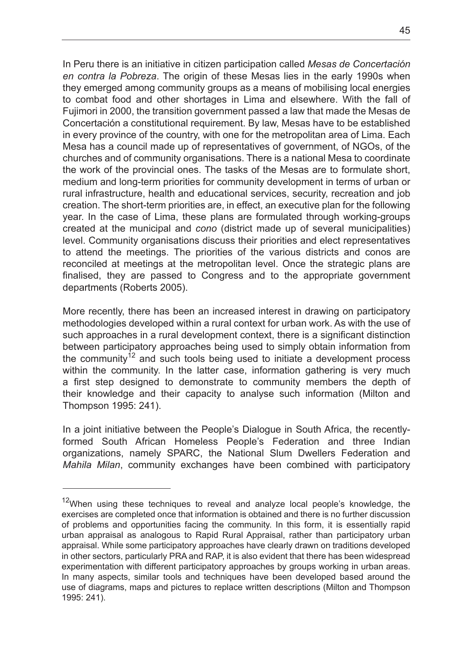In Peru there is an initiative in citizen participation called *Mesas de Concertación en contra la Pobreza*. The origin of these Mesas lies in the early 1990s when they emerged among community groups as a means of mobilising local energies to combat food and other shortages in Lima and elsewhere. With the fall of Fujimori in 2000, the transition government passed a law that made the Mesas de Concertación a constitutional requirement. By law, Mesas have to be established in every province of the country, with one for the metropolitan area of Lima. Each Mesa has a council made up of representatives of government, of NGOs, of the churches and of community organisations. There is a national Mesa to coordinate the work of the provincial ones. The tasks of the Mesas are to formulate short, medium and long-term priorities for community development in terms of urban or rural infrastructure, health and educational services, security, recreation and job creation. The short-term priorities are, in effect, an executive plan for the following year. In the case of Lima, these plans are formulated through working-groups created at the municipal and *cono* (district made up of several municipalities) level. Community organisations discuss their priorities and elect representatives to attend the meetings. The priorities of the various districts and conos are reconciled at meetings at the metropolitan level. Once the strategic plans are finalised, they are passed to Congress and to the appropriate government departments (Roberts 2005).

More recently, there has been an increased interest in drawing on participatory methodologies developed within a rural context for urban work. As with the use of such approaches in a rural development context, there is a significant distinction between participatory approaches being used to simply obtain information from the community<sup>12</sup> and such tools being used to initiate a development process within the community. In the latter case, information gathering is very much a first step designed to demonstrate to community members the depth of their knowledge and their capacity to analyse such information (Milton and Thompson 1995: 241).

In a joint initiative between the People's Dialogue in South Africa, the recentlyformed South African Homeless People's Federation and three Indian organizations, namely SPARC, the National Slum Dwellers Federation and *Mahila Milan*, community exchanges have been combined with participatory

 $12$ When using these techniques to reveal and analyze local people's knowledge, the exercises are completed once that information is obtained and there is no further discussion of problems and opportunities facing the community. In this form, it is essentially rapid urban appraisal as analogous to Rapid Rural Appraisal, rather than participatory urban appraisal. While some participatory approaches have clearly drawn on traditions developed in other sectors, particularly PRA and RAP, it is also evident that there has been widespread experimentation with different participatory approaches by groups working in urban areas. In many aspects, similar tools and techniques have been developed based around the use of diagrams, maps and pictures to replace written descriptions (Milton and Thompson  $1995:241$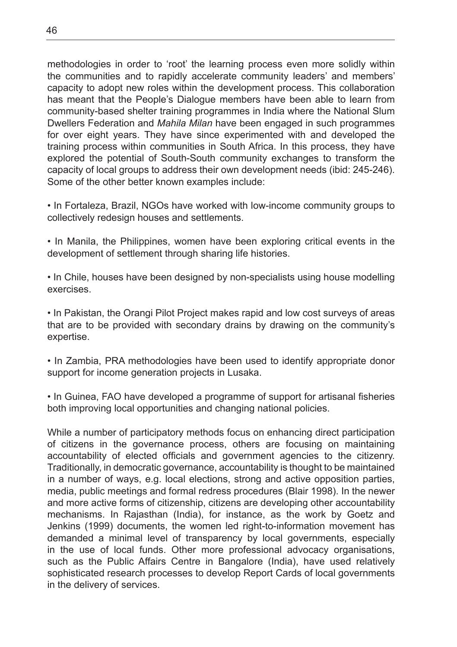methodologies in order to 'root' the learning process even more solidly within the communities and to rapidly accelerate community leaders' and members' capacity to adopt new roles within the development process. This collaboration has meant that the People's Dialogue members have been able to learn from community-based shelter training programmes in India where the National Slum Dwellers Federation and *Mahila Milan* have been engaged in such programmes for over eight years. They have since experimented with and developed the training process within communities in South Africa. In this process, they have explored the potential of South-South community exchanges to transform the capacity of local groups to address their own development needs (ibid: 245-246). Some of the other better known examples include:

• In Fortaleza, Brazil, NGOs have worked with low-income community groups to collectively redesign houses and settlements.

• In Manila, the Philippines, women have been exploring critical events in the development of settlement through sharing life histories.

• In Chile, houses have been designed by non-specialists using house modelling exercises.

• In Pakistan, the Orangi Pilot Project makes rapid and low cost surveys of areas that are to be provided with secondary drains by drawing on the community's expertise.

• In Zambia, PRA methodologies have been used to identify appropriate donor support for income generation projects in Lusaka.

• In Guinea, FAO have developed a programme of support for artisanal fisheries both improving local opportunities and changing national policies.

While a number of participatory methods focus on enhancing direct participation of citizens in the governance process, others are focusing on maintaining accountability of elected officials and government agencies to the citizenry. Traditionally, in democratic governance, accountability is thought to be maintained in a number of ways, e.g. local elections, strong and active opposition parties, media, public meetings and formal redress procedures (Blair 1998). In the newer and more active forms of citizenship, citizens are developing other accountability mechanisms. In Rajasthan (India), for instance, as the work by Goetz and Jenkins (1999) documents, the women led right-to-information movement has demanded a minimal level of transparency by local governments, especially in the use of local funds. Other more professional advocacy organisations, such as the Public Affairs Centre in Bangalore (India), have used relatively sophisticated research processes to develop Report Cards of local governments in the delivery of services.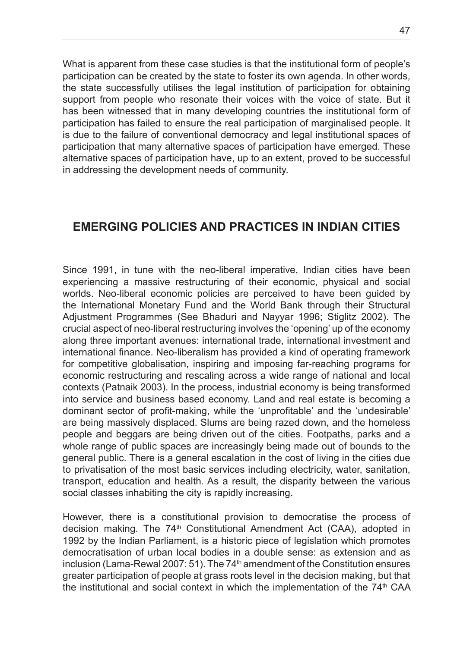What is apparent from these case studies is that the institutional form of people's participation can be created by the state to foster its own agenda. In other words, the state successfully utilises the legal institution of participation for obtaining support from people who resonate their voices with the voice of state. But it has been witnessed that in many developing countries the institutional form of participation has failed to ensure the real participation of marginalised people. It is due to the failure of conventional democracy and legal institutional spaces of participation that many alternative spaces of participation have emerged. These alternative spaces of participation have, up to an extent, proved to be successful in addressing the development needs of community.

## **EMERGING POLICIES AND PRACTICES IN INDIAN CITIES**

Since 1991, in tune with the neo-liberal imperative, Indian cities have been experiencing a massive restructuring of their economic, physical and social worlds. Neo-liberal economic policies are perceived to have been guided by the International Monetary Fund and the World Bank through their Structural Adjustment Programmes (See Bhaduri and Nayyar 1996; Stiglitz 2002). The crucial aspect of neo-liberal restructuring involves the 'opening' up of the economy along three important avenues: international trade, international investment and international finance. Neo-liberalism has provided a kind of operating framework for competitive globalisation, inspiring and imposing far-reaching programs for economic restructuring and rescaling across a wide range of national and local contexts (Patnaik 2003). In the process, industrial economy is being transformed into service and business based economy. Land and real estate is becoming a dominant sector of profit-making, while the 'unprofitable' and the 'undesirable' are being massively displaced. Slums are being razed down, and the homeless people and beggars are being driven out of the cities. Footpaths, parks and a whole range of public spaces are increasingly being made out of bounds to the general public. There is a general escalation in the cost of living in the cities due to privatisation of the most basic services including electricity, water, sanitation, transport, education and health. As a result, the disparity between the various social classes inhabiting the city is rapidly increasing.

However, there is a constitutional provision to democratise the process of decision making. The 74<sup>th</sup> Constitutional Amendment Act (CAA), adopted in 1992 by the Indian Parliament, is a historic piece of legislation which promotes democratisation of urban local bodies in a double sense: as extension and as inclusion (Lama-Rewal 2007: 51). The 74<sup>th</sup> amendment of the Constitution ensures greater participation of people at grass roots level in the decision making, but that the institutional and social context in which the implementation of the  $74<sup>th</sup>$  CAA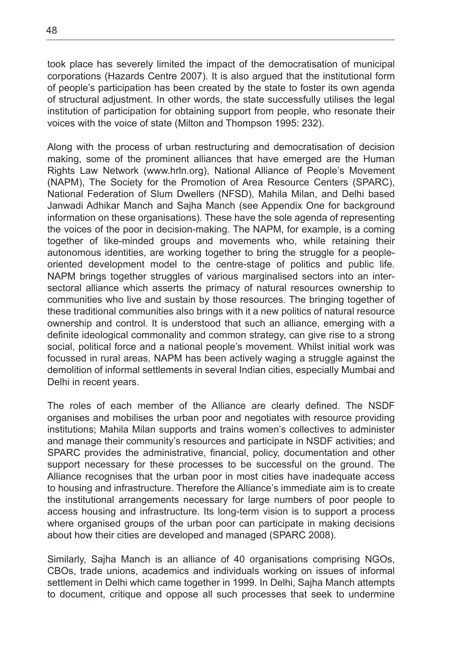took place has severely limited the impact of the democratisation of municipal corporations (Hazards Centre 2007). It is also argued that the institutional form of people's participation has been created by the state to foster its own agenda of structural adjustment. In other words, the state successfully utilises the legal institution of participation for obtaining support from people, who resonate their voices with the voice of state (Milton and Thompson 1995: 232).

Along with the process of urban restructuring and democratisation of decision making, some of the prominent alliances that have emerged are the Human Rights Law Network (www.hrln.org), National Alliance of People's Movement (NAPM), The Society for the Promotion of Area Resource Centers (SPARC), National Federation of Slum Dwellers (NFSD), Mahila Milan, and Delhi based Janwadi Adhikar Manch and Sajha Manch (see Appendix One for background information on these organisations). These have the sole agenda of representing the voices of the poor in decision-making. The NAPM, for example, is a coming together of like-minded groups and movements who, while retaining their autonomous identities, are working together to bring the struggle for a peopleoriented development model to the centre-stage of politics and public life. NAPM brings together struggles of various marginalised sectors into an intersectoral alliance which asserts the primacy of natural resources ownership to communities who live and sustain by those resources. The bringing together of these traditional communities also brings with it a new politics of natural resource ownership and control. It is understood that such an alliance, emerging with a definite ideological commonality and common strategy, can give rise to a strong social, political force and a national people's movement. Whilst initial work was focussed in rural areas, NAPM has been actively waging a struggle against the demolition of informal settlements in several Indian cities, especially Mumbai and Delhi in recent years.

The roles of each member of the Alliance are clearly defined. The NSDF organises and mobilises the urban poor and negotiates with resource providing institutions; Mahila Milan supports and trains women's collectives to administer and manage their community's resources and participate in NSDF activities; and SPARC provides the administrative, financial, policy, documentation and other support necessary for these processes to be successful on the ground. The Alliance recognises that the urban poor in most cities have inadequate access to housing and infrastructure. Therefore the Alliance's immediate aim is to create the institutional arrangements necessary for large numbers of poor people to access housing and infrastructure. Its long-term vision is to support a process where organised groups of the urban poor can participate in making decisions about how their cities are developed and managed (SPARC 2008).

Similarly, Sajha Manch is an alliance of 40 organisations comprising NGOs, CBOs, trade unions, academics and individuals working on issues of informal settlement in Delhi which came together in 1999. In Delhi, Sajha Manch attempts to document, critique and oppose all such processes that seek to undermine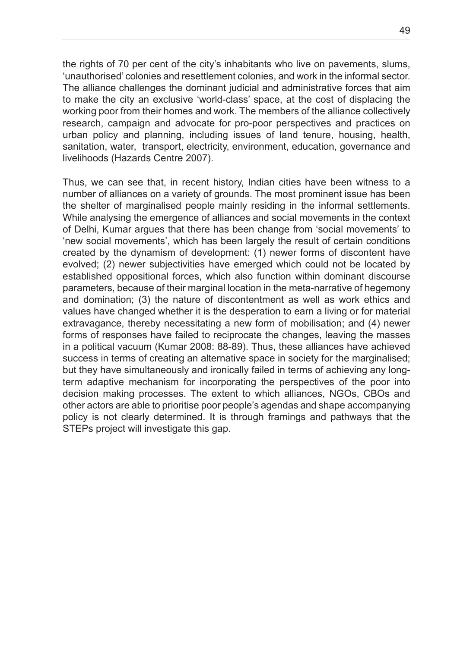the rights of 70 per cent of the city's inhabitants who live on pavements, slums, 'unauthorised' colonies and resettlement colonies, and work in the informal sector. The alliance challenges the dominant judicial and administrative forces that aim to make the city an exclusive 'world-class' space, at the cost of displacing the working poor from their homes and work. The members of the alliance collectively research, campaign and advocate for pro-poor perspectives and practices on urban policy and planning, including issues of land tenure, housing, health, sanitation, water, transport, electricity, environment, education, governance and livelihoods (Hazards Centre 2007).

Thus, we can see that, in recent history, Indian cities have been witness to a number of alliances on a variety of grounds. The most prominent issue has been the shelter of marginalised people mainly residing in the informal settlements. While analysing the emergence of alliances and social movements in the context of Delhi, Kumar argues that there has been change from 'social movements' to 'new social movements', which has been largely the result of certain conditions created by the dynamism of development: (1) newer forms of discontent have evolved; (2) newer subjectivities have emerged which could not be located by established oppositional forces, which also function within dominant discourse parameters, because of their marginal location in the meta-narrative of hegemony and domination; (3) the nature of discontentment as well as work ethics and values have changed whether it is the desperation to earn a living or for material extravagance, thereby necessitating a new form of mobilisation; and (4) newer forms of responses have failed to reciprocate the changes, leaving the masses in a political vacuum (Kumar 2008: 88-89). Thus, these alliances have achieved success in terms of creating an alternative space in society for the marginalised; but they have simultaneously and ironically failed in terms of achieving any longterm adaptive mechanism for incorporating the perspectives of the poor into decision making processes. The extent to which alliances, NGOs, CBOs and other actors are able to prioritise poor people's agendas and shape accompanying policy is not clearly determined. It is through framings and pathways that the STEPs project will investigate this gap.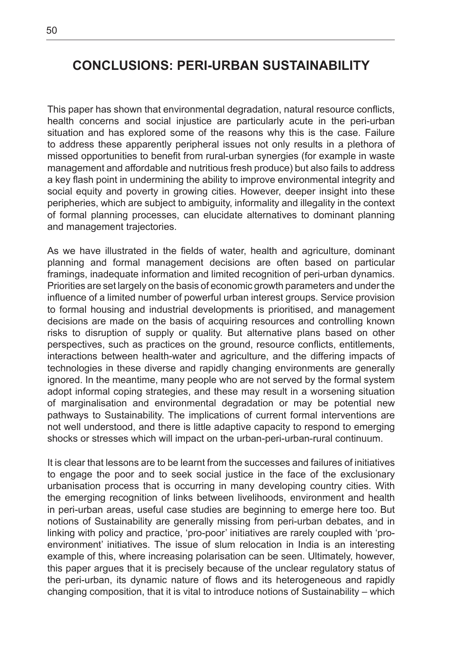### **CONCLUSIONS: PERI-URBAN SUSTAINABILITY**

This paper has shown that environmental degradation, natural resource conflicts, health concerns and social injustice are particularly acute in the peri-urban situation and has explored some of the reasons why this is the case. Failure to address these apparently peripheral issues not only results in a plethora of missed opportunities to benefit from rural-urban synergies (for example in waste management and affordable and nutritious fresh produce) but also fails to address a key flash point in undermining the ability to improve environmental integrity and social equity and poverty in growing cities. However, deeper insight into these peripheries, which are subject to ambiguity, informality and illegality in the context of formal planning processes, can elucidate alternatives to dominant planning and management trajectories.

As we have illustrated in the fields of water, health and agriculture, dominant planning and formal management decisions are often based on particular framings, inadequate information and limited recognition of peri-urban dynamics. Priorities are set largely on the basis of economic growth parameters and under the influence of a limited number of powerful urban interest groups. Service provision to formal housing and industrial developments is prioritised, and management decisions are made on the basis of acquiring resources and controlling known risks to disruption of supply or quality. But alternative plans based on other perspectives, such as practices on the ground, resource conflicts, entitlements, interactions between health-water and agriculture, and the differing impacts of technologies in these diverse and rapidly changing environments are generally ignored. In the meantime, many people who are not served by the formal system adopt informal coping strategies, and these may result in a worsening situation of marginalisation and environmental degradation or may be potential new pathways to Sustainability. The implications of current formal interventions are not well understood, and there is little adaptive capacity to respond to emerging shocks or stresses which will impact on the urban-peri-urban-rural continuum.

It is clear that lessons are to be learnt from the successes and failures of initiatives to engage the poor and to seek social justice in the face of the exclusionary urbanisation process that is occurring in many developing country cities. With the emerging recognition of links between livelihoods, environment and health in peri-urban areas, useful case studies are beginning to emerge here too. But notions of Sustainability are generally missing from peri-urban debates, and in linking with policy and practice, 'pro-poor' initiatives are rarely coupled with 'proenvironment' initiatives. The issue of slum relocation in India is an interesting example of this, where increasing polarisation can be seen. Ultimately, however, this paper argues that it is precisely because of the unclear regulatory status of the peri-urban, its dynamic nature of flows and its heterogeneous and rapidly changing composition, that it is vital to introduce notions of Sustainability – which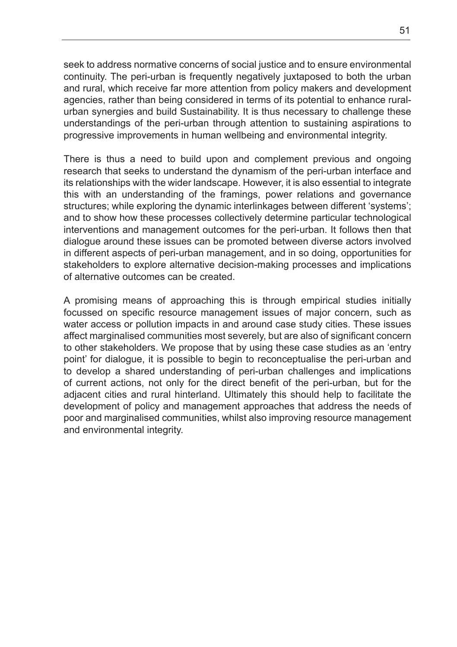seek to address normative concerns of social justice and to ensure environmental continuity. The peri-urban is frequently negatively juxtaposed to both the urban and rural, which receive far more attention from policy makers and development agencies, rather than being considered in terms of its potential to enhance ruralurban synergies and build Sustainability. It is thus necessary to challenge these understandings of the peri-urban through attention to sustaining aspirations to progressive improvements in human wellbeing and environmental integrity.

There is thus a need to build upon and complement previous and ongoing research that seeks to understand the dynamism of the peri-urban interface and its relationships with the wider landscape. However, it is also essential to integrate this with an understanding of the framings, power relations and governance structures; while exploring the dynamic interlinkages between different 'systems'; and to show how these processes collectively determine particular technological interventions and management outcomes for the peri-urban. It follows then that dialogue around these issues can be promoted between diverse actors involved in different aspects of peri-urban management, and in so doing, opportunities for stakeholders to explore alternative decision-making processes and implications of alternative outcomes can be created.

A promising means of approaching this is through empirical studies initially focussed on specific resource management issues of major concern, such as water access or pollution impacts in and around case study cities. These issues affect marginalised communities most severely, but are also of significant concern to other stakeholders. We propose that by using these case studies as an 'entry point' for dialogue, it is possible to begin to reconceptualise the peri-urban and to develop a shared understanding of peri-urban challenges and implications of current actions, not only for the direct benefit of the peri-urban, but for the adjacent cities and rural hinterland. Ultimately this should help to facilitate the development of policy and management approaches that address the needs of poor and marginalised communities, whilst also improving resource management and environmental integrity.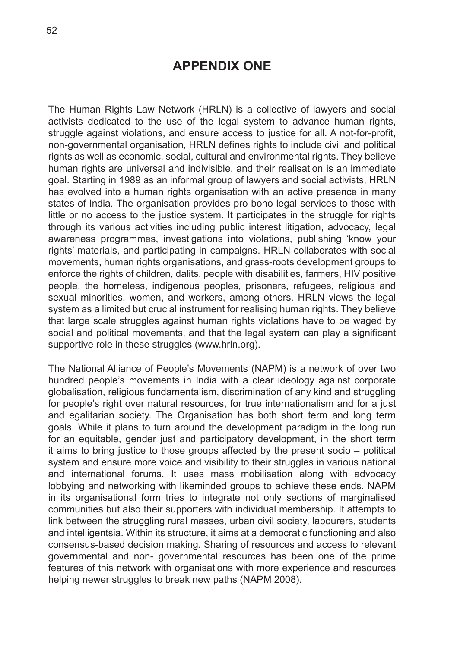### **APPENDIX ONE**

The Human Rights Law Network (HRLN) is a collective of lawyers and social activists dedicated to the use of the legal system to advance human rights, struggle against violations, and ensure access to justice for all. A not-for-profit, non-governmental organisation, HRLN defines rights to include civil and political rights as well as economic, social, cultural and environmental rights. They believe human rights are universal and indivisible, and their realisation is an immediate goal. Starting in 1989 as an informal group of lawyers and social activists, HRLN has evolved into a human rights organisation with an active presence in many states of India. The organisation provides pro bono legal services to those with little or no access to the justice system. It participates in the struggle for rights through its various activities including public interest litigation, advocacy, legal awareness programmes, investigations into violations, publishing 'know your rights' materials, and participating in campaigns. HRLN collaborates with social movements, human rights organisations, and grass-roots development groups to enforce the rights of children, dalits, people with disabilities, farmers, HIV positive people, the homeless, indigenous peoples, prisoners, refugees, religious and sexual minorities, women, and workers, among others. HRLN views the legal system as a limited but crucial instrument for realising human rights. They believe that large scale struggles against human rights violations have to be waged by social and political movements, and that the legal system can play a significant supportive role in these struggles (www.hrln.org).

The National Alliance of People's Movements (NAPM) is a network of over two hundred people's movements in India with a clear ideology against corporate globalisation, religious fundamentalism, discrimination of any kind and struggling for people's right over natural resources, for true internationalism and for a just and egalitarian society. The Organisation has both short term and long term goals. While it plans to turn around the development paradigm in the long run for an equitable, gender just and participatory development, in the short term it aims to bring justice to those groups affected by the present socio – political system and ensure more voice and visibility to their struggles in various national and international forums. It uses mass mobilisation along with advocacy lobbying and networking with likeminded groups to achieve these ends. NAPM in its organisational form tries to integrate not only sections of marginalised communities but also their supporters with individual membership. It attempts to link between the struggling rural masses, urban civil society, labourers, students and intelligentsia. Within its structure, it aims at a democratic functioning and also consensus-based decision making. Sharing of resources and access to relevant governmental and non- governmental resources has been one of the prime features of this network with organisations with more experience and resources helping newer struggles to break new paths (NAPM 2008).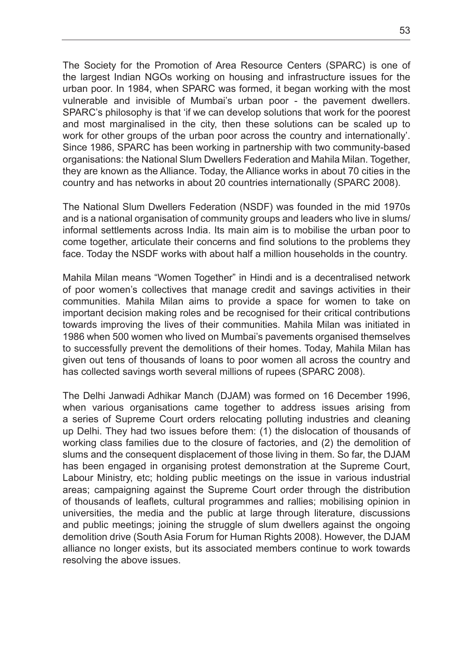The Society for the Promotion of Area Resource Centers (SPARC) is one of the largest Indian NGOs working on housing and infrastructure issues for the urban poor. In 1984, when SPARC was formed, it began working with the most vulnerable and invisible of Mumbai's urban poor - the pavement dwellers. SPARC's philosophy is that 'if we can develop solutions that work for the poorest and most marginalised in the city, then these solutions can be scaled up to work for other groups of the urban poor across the country and internationally'. Since 1986, SPARC has been working in partnership with two community-based organisations: the National Slum Dwellers Federation and Mahila Milan. Together, they are known as the Alliance. Today, the Alliance works in about 70 cities in the country and has networks in about 20 countries internationally (SPARC 2008).

The National Slum Dwellers Federation (NSDF) was founded in the mid 1970s and is a national organisation of community groups and leaders who live in slums/ informal settlements across India. Its main aim is to mobilise the urban poor to come together, articulate their concerns and find solutions to the problems they face. Today the NSDF works with about half a million households in the country.

Mahila Milan means "Women Together" in Hindi and is a decentralised network of poor women's collectives that manage credit and savings activities in their communities. Mahila Milan aims to provide a space for women to take on important decision making roles and be recognised for their critical contributions towards improving the lives of their communities. Mahila Milan was initiated in 1986 when 500 women who lived on Mumbai's pavements organised themselves to successfully prevent the demolitions of their homes. Today, Mahila Milan has given out tens of thousands of loans to poor women all across the country and has collected savings worth several millions of rupees (SPARC 2008).

The Delhi Janwadi Adhikar Manch (DJAM) was formed on 16 December 1996, when various organisations came together to address issues arising from a series of Supreme Court orders relocating polluting industries and cleaning up Delhi. They had two issues before them: (1) the dislocation of thousands of working class families due to the closure of factories, and (2) the demolition of slums and the consequent displacement of those living in them. So far, the DJAM has been engaged in organising protest demonstration at the Supreme Court, Labour Ministry, etc; holding public meetings on the issue in various industrial areas; campaigning against the Supreme Court order through the distribution of thousands of leaflets, cultural programmes and rallies; mobilising opinion in universities, the media and the public at large through literature, discussions and public meetings; joining the struggle of slum dwellers against the ongoing demolition drive (South Asia Forum for Human Rights 2008). However, the DJAM alliance no longer exists, but its associated members continue to work towards resolving the above issues.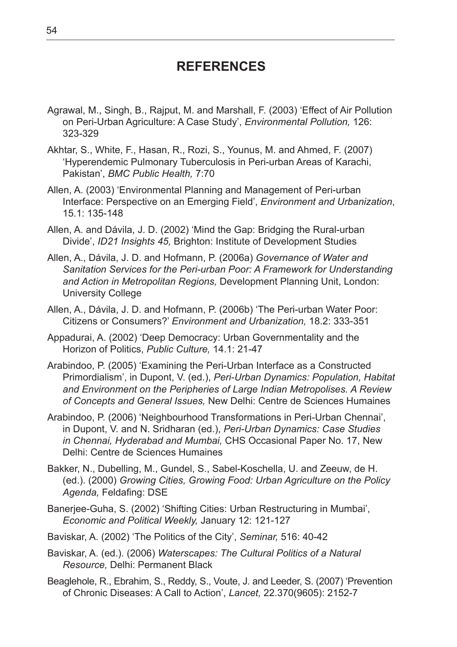# **REFERENCES**

- Agrawal, M., Singh, B., Rajput, M. and Marshall, F. (2003) 'Effect of Air Pollution on Peri-Urban Agriculture: A Case Study', *Environmental Pollution,* 126: 323-329
- Akhtar, S., White, F., Hasan, R., Rozi, S., Younus, M. and Ahmed, F. (2007) 'Hyperendemic Pulmonary Tuberculosis in Peri-urban Areas of Karachi, Pakistan', *BMC Public Health,* 7:70
- Allen, A. (2003) 'Environmental Planning and Management of Peri-urban Interface: Perspective on an Emerging Field', *Environment and Urbanization*, 15.1: 135-148
- Allen, A. and Dávila, J. D. (2002) 'Mind the Gap: Bridging the Rural-urban Divide', *ID21 Insights 45,* Brighton: Institute of Development Studies
- Allen, A., Dávila, J. D. and Hofmann, P. (2006a) *Governance of Water and Sanitation Services for the Peri-urban Poor: A Framework for Understanding and Action in Metropolitan Regions,* Development Planning Unit, London: University College
- Allen, A., Dávila, J. D. and Hofmann, P. (2006b) 'The Peri-urban Water Poor: Citizens or Consumers?' *Environment and Urbanization,* 18.2: 333-351
- Appadurai, A. (2002) 'Deep Democracy: Urban Governmentality and the Horizon of Politics, *Public Culture,* 14.1: 21-47
- Arabindoo, P. (2005) 'Examining the Peri-Urban Interface as a Constructed Primordialism', in Dupont, V. (ed.), *Peri-Urban Dynamics: Population, Habitat and Environment on the Peripheries of Large Indian Metropolises. A Review of Concepts and General Issues,* New Delhi: Centre de Sciences Humaines
- Arabindoo, P. (2006) 'Neighbourhood Transformations in Peri-Urban Chennai', in Dupont, V. and N. Sridharan (ed.), *Peri-Urban Dynamics: Case Studies in Chennai, Hyderabad and Mumbai,* CHS Occasional Paper No. 17, New Delhi: Centre de Sciences Humaines
- Bakker, N., Dubelling, M., Gundel, S., Sabel-Koschella, U. and Zeeuw, de H. (ed.). (2000) *Growing Cities, Growing Food: Urban Agriculture on the Policy Agenda,* Feldafing: DSE
- Banerjee-Guha, S. (2002) 'Shifting Cities: Urban Restructuring in Mumbai', *Economic and Political Weekly,* January 12: 121-127
- Baviskar, A. (2002) 'The Politics of the City', *Seminar,* 516: 40-42
- Baviskar, A. (ed.). (2006) *Waterscapes: The Cultural Politics of a Natural Resource,* Delhi: Permanent Black
- Beaglehole, R., Ebrahim, S., Reddy, S., Voute, J. and Leeder, S. (2007) 'Prevention of Chronic Diseases: A Call to Action', *Lancet,* 22.370(9605): 2152-7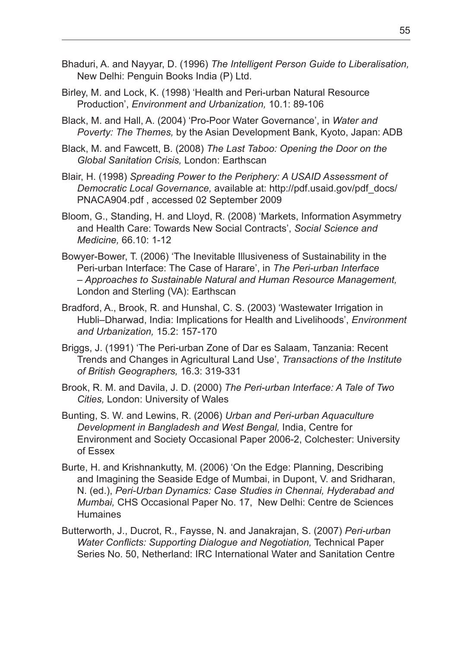- Bhaduri, A. and Nayyar, D. (1996) *The Intelligent Person Guide to Liberalisation,*  New Delhi: Penguin Books India (P) Ltd.
- Birley, M. and Lock, K. (1998) 'Health and Peri-urban Natural Resource Production', *Environment and Urbanization,* 10.1: 89-106
- Black, M. and Hall, A. (2004) 'Pro-Poor Water Governance', in *Water and Poverty: The Themes,* by the Asian Development Bank, Kyoto, Japan: ADB
- Black, M. and Fawcett, B. (2008) *The Last Taboo: Opening the Door on the Global Sanitation Crisis,* London: Earthscan
- Blair, H. (1998) *Spreading Power to the Periphery: A USAID Assessment of Democratic Local Governance,* available at: http://pdf.usaid.gov/pdf\_docs/ PNACA904.pdf , accessed 02 September 2009
- Bloom, G., Standing, H. and Lloyd, R. (2008) 'Markets, Information Asymmetry and Health Care: Towards New Social Contracts', *Social Science and Medicine,* 66.10: 1-12
- Bowyer-Bower, T. (2006) 'The Inevitable Illusiveness of Sustainability in the Peri-urban Interface: The Case of Harare', in *The Peri-urban Interface – Approaches to Sustainable Natural and Human Resource Management,* London and Sterling (VA): Earthscan
- Bradford, A., Brook, R. and Hunshal, C. S. (2003) 'Wastewater Irrigation in Hubli–Dharwad, India: Implications for Health and Livelihoods', *Environment and Urbanization,* 15.2: 157-170
- Briggs, J. (1991) 'The Peri-urban Zone of Dar es Salaam, Tanzania: Recent Trends and Changes in Agricultural Land Use', *Transactions of the Institute of British Geographers,* 16.3: 319-331
- Brook, R. M. and Davila, J. D. (2000) *The Peri-urban Interface: A Tale of Two Cities,* London: University of Wales
- Bunting, S. W. and Lewins, R. (2006) *Urban and Peri-urban Aquaculture Development in Bangladesh and West Bengal,* India, Centre for Environment and Society Occasional Paper 2006-2, Colchester: University of Essex
- Burte, H. and Krishnankutty, M. (2006) 'On the Edge: Planning, Describing and Imagining the Seaside Edge of Mumbai, in Dupont, V. and Sridharan, N. (ed.), *Peri-Urban Dynamics: Case Studies in Chennai, Hyderabad and Mumbai,* CHS Occasional Paper No. 17, New Delhi: Centre de Sciences Humaines
- Butterworth, J., Ducrot, R., Faysse, N. and Janakrajan, S. (2007) *Peri-urban Water Conflicts: Supporting Dialogue and Negotiation,* Technical Paper Series No. 50, Netherland: IRC International Water and Sanitation Centre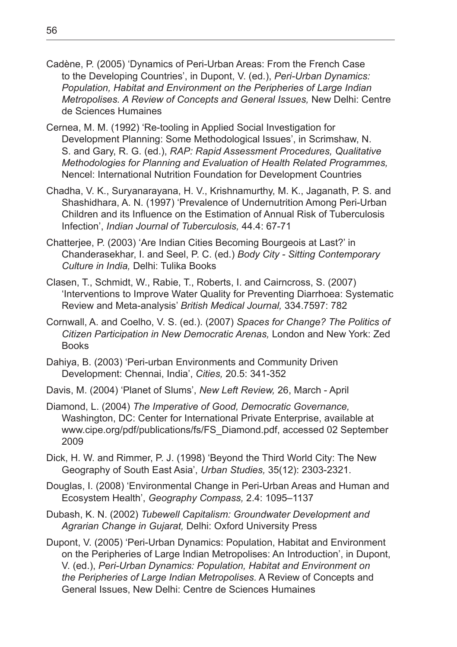- Cadène, P. (2005) 'Dynamics of Peri-Urban Areas: From the French Case to the Developing Countries', in Dupont, V. (ed.), *Peri-Urban Dynamics: Population, Habitat and Environment on the Peripheries of Large Indian Metropolises. A Review of Concepts and General Issues,* New Delhi: Centre de Sciences Humaines
- Cernea, M. M. (1992) 'Re-tooling in Applied Social Investigation for Development Planning: Some Methodological Issues', in Scrimshaw, N. S. and Gary, R. G. (ed.), *RAP: Rapid Assessment Procedures, Qualitative Methodologies for Planning and Evaluation of Health Related Programmes,* Nencel: International Nutrition Foundation for Development Countries
- Chadha, V. K., Suryanarayana, H. V., Krishnamurthy, M. K., Jaganath, P. S. and Shashidhara, A. N. (1997) 'Prevalence of Undernutrition Among Peri-Urban Children and its Influence on the Estimation of Annual Risk of Tuberculosis Infection', *Indian Journal of Tuberculosis,* 44.4: 67-71
- Chatterjee, P. (2003) 'Are Indian Cities Becoming Bourgeois at Last?' in Chanderasekhar, I. and Seel, P. C. (ed.) *Body City - Sitting Contemporary Culture in India,* Delhi: Tulika Books
- Clasen, T., Schmidt, W., Rabie, T., Roberts, I. and Cairncross, S. (2007) 'Interventions to Improve Water Quality for Preventing Diarrhoea: Systematic Review and Meta-analysis' *British Medical Journal,* 334.7597: 782
- Cornwall, A. and Coelho, V. S. (ed.). (2007) *Spaces for Change? The Politics of Citizen Participation in New Democratic Arenas,* London and New York: Zed Books
- Dahiya, B. (2003) 'Peri-urban Environments and Community Driven Development: Chennai, India', *Cities,* 20.5: 341-352
- Davis, M. (2004) 'Planet of Slums', *New Left Review,* 26, March April
- Diamond, L. (2004) *The Imperative of Good, Democratic Governance,*  Washington, DC: Center for International Private Enterprise, available at www.cipe.org/pdf/publications/fs/FS\_Diamond.pdf, accessed 02 September 2009
- Dick, H. W. and Rimmer, P. J. (1998) 'Beyond the Third World City: The New Geography of South East Asia', *Urban Studies,* 35(12): 2303-2321.
- Douglas, I. (2008) 'Environmental Change in Peri-Urban Areas and Human and Ecosystem Health', *Geography Compass,* 2.4: 1095–1137
- Dubash, K. N. (2002) *Tubewell Capitalism: Groundwater Development and Agrarian Change in Gujarat,* Delhi: Oxford University Press
- Dupont, V. (2005) 'Peri-Urban Dynamics: Population, Habitat and Environment on the Peripheries of Large Indian Metropolises: An Introduction', in Dupont, V. (ed.), *Peri-Urban Dynamics: Population, Habitat and Environment on the Peripheries of Large Indian Metropolises.* A Review of Concepts and General Issues, New Delhi: Centre de Sciences Humaines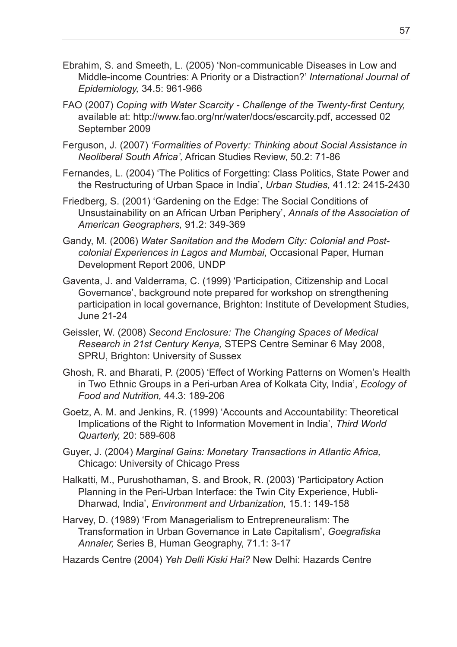- Ebrahim, S. and Smeeth, L. (2005) 'Non-communicable Diseases in Low and Middle-income Countries: A Priority or a Distraction?' *International Journal of Epidemiology,* 34.5: 961-966
- FAO (2007) *Coping with Water Scarcity Challenge of the Twenty-first Century,* available at: http://www.fao.org/nr/water/docs/escarcity.pdf, accessed 02 September 2009
- Ferguson, J. (2007) *'Formalities of Poverty: Thinking about Social Assistance in Neoliberal South Africa',* African Studies Review, 50.2: 71-86
- Fernandes, L. (2004) 'The Politics of Forgetting: Class Politics, State Power and the Restructuring of Urban Space in India', *Urban Studies,* 41.12: 2415-2430
- Friedberg, S. (2001) 'Gardening on the Edge: The Social Conditions of Unsustainability on an African Urban Periphery', *Annals of the Association of American Geographers,* 91.2: 349-369
- Gandy, M. (2006) *Water Sanitation and the Modern City: Colonial and Postcolonial Experiences in Lagos and Mumbai,* Occasional Paper, Human Development Report 2006, UNDP
- Gaventa, J. and Valderrama, C. (1999) 'Participation, Citizenship and Local Governance', background note prepared for workshop on strengthening participation in local governance, Brighton: Institute of Development Studies, June 21-24
- Geissler, W. (2008) *Second Enclosure: The Changing Spaces of Medical Research in 21st Century Kenya,* STEPS Centre Seminar 6 May 2008, SPRU, Brighton: University of Sussex
- Ghosh, R. and Bharati, P. (2005) 'Effect of Working Patterns on Women's Health in Two Ethnic Groups in a Peri-urban Area of Kolkata City, India', *Ecology of Food and Nutrition,* 44.3: 189-206
- Goetz, A. M. and Jenkins, R. (1999) 'Accounts and Accountability: Theoretical Implications of the Right to Information Movement in India', *Third World Quarterly,* 20: 589-608
- Guyer, J. (2004) *Marginal Gains: Monetary Transactions in Atlantic Africa,* Chicago: University of Chicago Press
- Halkatti, M., Purushothaman, S. and Brook, R. (2003) 'Participatory Action Planning in the Peri-Urban Interface: the Twin City Experience, Hubli-Dharwad, India', *Environment and Urbanization,* 15.1: 149-158
- Harvey, D. (1989) 'From Managerialism to Entrepreneuralism: The Transformation in Urban Governance in Late Capitalism', *Goegrafiska Annaler,* Series B, Human Geography, 71.1: 3-17

Hazards Centre (2004) *Yeh Delli Kiski Hai?* New Delhi: Hazards Centre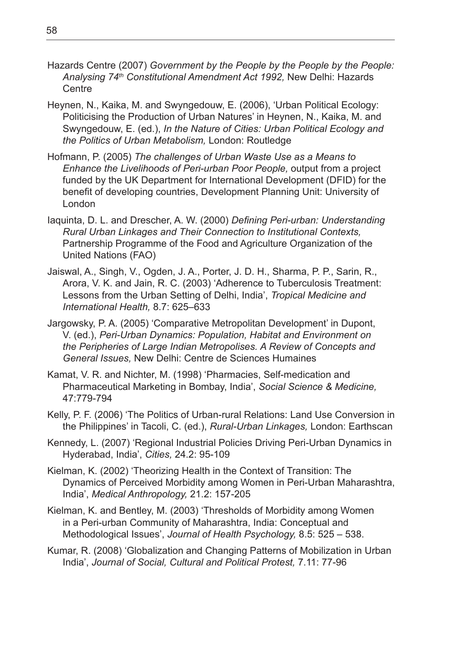- Hazards Centre (2007) *Government by the People by the People by the People: Analysing 74th Constitutional Amendment Act 1992,* New Delhi: Hazards **Centre**
- Heynen, N., Kaika, M. and Swyngedouw, E. (2006), 'Urban Political Ecology: Politicising the Production of Urban Natures' in Heynen, N., Kaika, M. and Swyngedouw, E. (ed.), *In the Nature of Cities: Urban Political Ecology and the Politics of Urban Metabolism,* London: Routledge
- Hofmann, P. (2005) *The challenges of Urban Waste Use as a Means to Enhance the Livelihoods of Peri-urban Poor People,* output from a project funded by the UK Department for International Development (DFID) for the benefit of developing countries, Development Planning Unit: University of London
- Iaquinta, D. L. and Drescher, A. W. (2000) *Defining Peri-urban: Understanding Rural Urban Linkages and Their Connection to Institutional Contexts,*  Partnership Programme of the Food and Agriculture Organization of the United Nations (FAO)
- Jaiswal, A., Singh, V., Ogden, J. A., Porter, J. D. H., Sharma, P. P., Sarin, R., Arora, V. K. and Jain, R. C. (2003) 'Adherence to Tuberculosis Treatment: Lessons from the Urban Setting of Delhi, India', *Tropical Medicine and International Health,* 8.7: 625–633
- Jargowsky, P. A. (2005) 'Comparative Metropolitan Development' in Dupont, V. (ed.), *Peri-Urban Dynamics: Population, Habitat and Environment on the Peripheries of Large Indian Metropolises. A Review of Concepts and General Issues,* New Delhi: Centre de Sciences Humaines
- Kamat, V. R. and Nichter, M. (1998) 'Pharmacies, Self-medication and Pharmaceutical Marketing in Bombay, India', *Social Science & Medicine,* 47:779-794
- Kelly, P. F. (2006) 'The Politics of Urban-rural Relations: Land Use Conversion in the Philippines' in Tacoli, C. (ed.), *Rural-Urban Linkages,* London: Earthscan
- Kennedy, L. (2007) 'Regional Industrial Policies Driving Peri-Urban Dynamics in Hyderabad, India', *Cities,* 24.2: 95-109
- Kielman, K. (2002) 'Theorizing Health in the Context of Transition: The Dynamics of Perceived Morbidity among Women in Peri-Urban Maharashtra, India', *Medical Anthropology,* 21.2: 157-205
- Kielman, K. and Bentley, M. (2003) 'Thresholds of Morbidity among Women in a Peri-urban Community of Maharashtra, India: Conceptual and Methodological Issues', *Journal of Health Psychology,* 8.5: 525 – 538.
- Kumar, R. (2008) 'Globalization and Changing Patterns of Mobilization in Urban India', *Journal of Social, Cultural and Political Protest,* 7.11: 77-96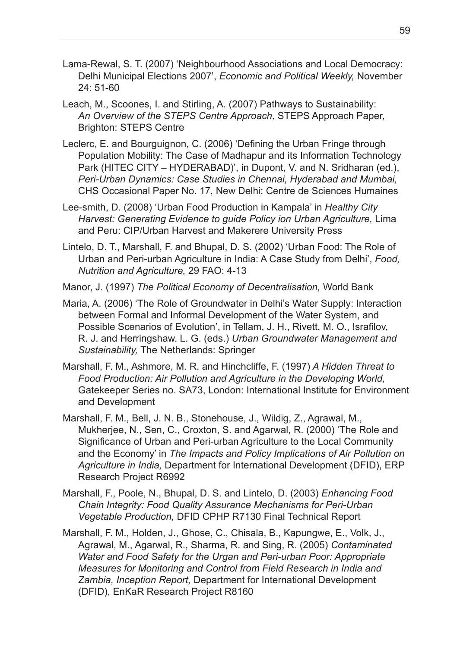- Lama-Rewal, S. T. (2007) 'Neighbourhood Associations and Local Democracy: Delhi Municipal Elections 2007', *Economic and Political Weekly,* November  $24: 51-60$
- Leach, M., Scoones, I. and Stirling, A. (2007) Pathways to Sustainability: *An Overview of the STEPS Centre Approach,* STEPS Approach Paper, Brighton: STEPS Centre
- Leclerc, E. and Bourguignon, C. (2006) 'Defining the Urban Fringe through Population Mobility: The Case of Madhapur and its Information Technology Park (HITEC CITY – HYDERABAD)', in Dupont, V. and N. Sridharan (ed.), *Peri-Urban Dynamics: Case Studies in Chennai, Hyderabad and Mumbai,* CHS Occasional Paper No. 17, New Delhi: Centre de Sciences Humaines
- Lee-smith, D. (2008) 'Urban Food Production in Kampala' in *Healthy City Harvest: Generating Evidence to guide Policy ion Urban Agriculture,* Lima and Peru: CIP/Urban Harvest and Makerere University Press
- Lintelo, D. T., Marshall, F. and Bhupal, D. S. (2002) 'Urban Food: The Role of Urban and Peri-urban Agriculture in India: A Case Study from Delhi', *Food, Nutrition and Agriculture,* 29 FAO: 4-13
- Manor, J. (1997) *The Political Economy of Decentralisation,* World Bank
- Maria, A. (2006) 'The Role of Groundwater in Delhi's Water Supply: Interaction between Formal and Informal Development of the Water System, and Possible Scenarios of Evolution', in Tellam, J. H., Rivett, M. O., Israfilov, R. J. and Herringshaw. L. G. (eds.) *Urban Groundwater Management and Sustainability,* The Netherlands: Springer
- Marshall, F. M., Ashmore, M. R. and Hinchcliffe, F. (1997) *A Hidden Threat to Food Production: Air Pollution and Agriculture in the Developing World,* Gatekeeper Series no. SA73, London: International Institute for Environment and Development
- Marshall, F. M., Bell, J. N. B., Stonehouse, J., Wildig, Z., Agrawal, M., Mukherjee, N., Sen, C., Croxton, S. and Agarwal, R. (2000) 'The Role and Significance of Urban and Peri-urban Agriculture to the Local Community and the Economy' in *The Impacts and Policy Implications of Air Pollution on Agriculture in India,* Department for International Development (DFID), ERP Research Project R6992
- Marshall, F., Poole, N., Bhupal, D. S. and Lintelo, D. (2003) *Enhancing Food Chain Integrity: Food Quality Assurance Mechanisms for Peri-Urban Vegetable Production,* DFID CPHP R7130 Final Technical Report
- Marshall, F. M., Holden, J., Ghose, C., Chisala, B., Kapungwe, E., Volk, J., Agrawal, M., Agarwal, R., Sharma, R. and Sing, R. (2005) *Contaminated Water and Food Safety for the Urgan and Peri-urban Poor: Appropriate Measures for Monitoring and Control from Field Research in India and Zambia, Inception Report,* Department for International Development (DFID), EnKaR Research Project R8160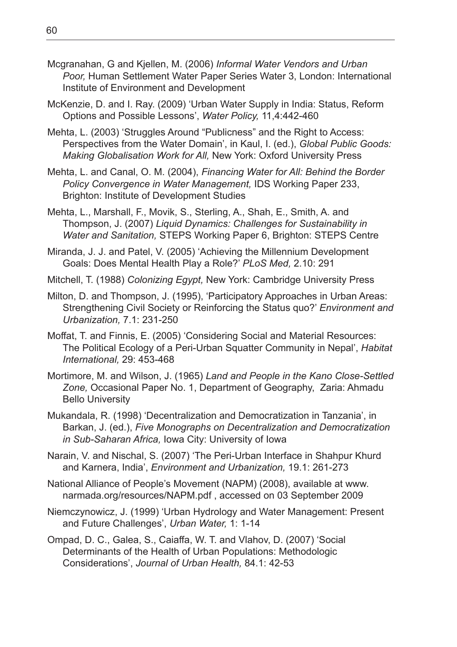- Mcgranahan, G and Kjellen, M. (2006) *Informal Water Vendors and Urban Poor,* Human Settlement Water Paper Series Water 3, London: International Institute of Environment and Development
- McKenzie, D. and I. Ray. (2009) 'Urban Water Supply in India: Status, Reform Options and Possible Lessons', *Water Policy,* 11,4:442-460
- Mehta, L. (2003) 'Struggles Around "Publicness" and the Right to Access: Perspectives from the Water Domain', in Kaul, I. (ed.), *Global Public Goods: Making Globalisation Work for All,* New York: Oxford University Press
- Mehta, L. and Canal, O. M. (2004), *Financing Water for All: Behind the Border Policy Convergence in Water Management,* IDS Working Paper 233, Brighton: Institute of Development Studies
- Mehta, L., Marshall, F., Movik, S., Sterling, A., Shah, E., Smith, A. and Thompson, J. (2007) *Liquid Dynamics: Challenges for Sustainability in Water and Sanitation,* STEPS Working Paper 6, Brighton: STEPS Centre
- Miranda, J. J. and Patel, V. (2005) 'Achieving the Millennium Development Goals: Does Mental Health Play a Role?' *PLoS Med,* 2.10: 291
- Mitchell, T. (1988) *Colonizing Egypt,* New York: Cambridge University Press
- Milton, D. and Thompson, J. (1995), 'Participatory Approaches in Urban Areas: Strengthening Civil Society or Reinforcing the Status quo?' *Environment and Urbanization,* 7.1: 231-250
- Moffat, T. and Finnis, E. (2005) 'Considering Social and Material Resources: The Political Ecology of a Peri-Urban Squatter Community in Nepal', *Habitat International,* 29: 453-468
- Mortimore, M. and Wilson, J. (1965) *Land and People in the Kano Close-Settled Zone,* Occasional Paper No. 1, Department of Geography, Zaria: Ahmadu Bello University
- Mukandala, R. (1998) 'Decentralization and Democratization in Tanzania', in Barkan, J. (ed.), *Five Monographs on Decentralization and Democratization in Sub-Saharan Africa,* Iowa City: University of Iowa
- Narain, V. and Nischal, S. (2007) 'The Peri-Urban Interface in Shahpur Khurd and Karnera, India', *Environment and Urbanization,* 19.1: 261-273
- National Alliance of People's Movement (NAPM) (2008), available at www. narmada.org/resources/NAPM.pdf , accessed on 03 September 2009
- Niemczynowicz, J. (1999) 'Urban Hydrology and Water Management: Present and Future Challenges', *Urban Water,* 1: 1-14
- Ompad, D. C., Galea, S., Caiaffa, W. T. and Vlahov, D. (2007) 'Social Determinants of the Health of Urban Populations: Methodologic Considerations', *Journal of Urban Health,* 84.1: 42-53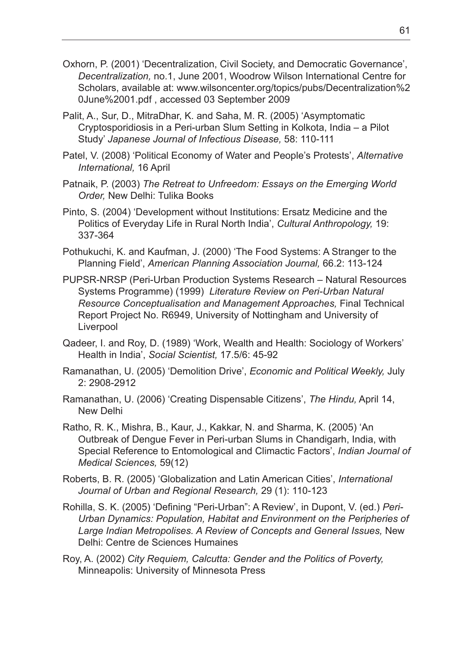- Oxhorn, P. (2001) 'Decentralization, Civil Society, and Democratic Governance', *Decentralization,* no.1, June 2001, Woodrow Wilson International Centre for Scholars, available at: www.wilsoncenter.org/topics/pubs/Decentralization%2 0June%2001.pdf , accessed 03 September 2009
- Palit, A., Sur, D., MitraDhar, K. and Saha, M. R. (2005) 'Asymptomatic Cryptosporidiosis in a Peri-urban Slum Setting in Kolkota, India – a Pilot Study' *Japanese Journal of Infectious Disease,* 58: 110-111
- Patel, V. (2008) 'Political Economy of Water and People's Protests', *Alternative International,* 16 April
- Patnaik, P. (2003) *The Retreat to Unfreedom: Essays on the Emerging World Order,* New Delhi: Tulika Books
- Pinto, S. (2004) 'Development without Institutions: Ersatz Medicine and the Politics of Everyday Life in Rural North India', *Cultural Anthropology,* 19: 337-364
- Pothukuchi, K. and Kaufman, J. (2000) 'The Food Systems: A Stranger to the Planning Field', *American Planning Association Journal,* 66.2: 113-124
- PUPSR-NRSP (Peri-Urban Production Systems Research Natural Resources Systems Programme) (1999) *Literature Review on Peri-Urban Natural Resource Conceptualisation and Management Approaches,* Final Technical Report Project No. R6949, University of Nottingham and University of Liverpool
- Qadeer, I. and Roy, D. (1989) 'Work, Wealth and Health: Sociology of Workers' Health in India', *Social Scientist,* 17.5/6: 45-92
- Ramanathan, U. (2005) 'Demolition Drive', *Economic and Political Weekly,* July 2: 2908-2912
- Ramanathan, U. (2006) 'Creating Dispensable Citizens', *The Hindu,* April 14, New Delhi
- Ratho, R. K., Mishra, B., Kaur, J., Kakkar, N. and Sharma, K. (2005) 'An Outbreak of Dengue Fever in Peri-urban Slums in Chandigarh, India, with Special Reference to Entomological and Climactic Factors', *Indian Journal of Medical Sciences,* 59(12)
- Roberts, B. R. (2005) 'Globalization and Latin American Cities', *International Journal of Urban and Regional Research,* 29 (1): 110-123
- Rohilla, S. K. (2005) 'Defining "Peri-Urban": A Review', in Dupont, V. (ed.) *Peri-Urban Dynamics: Population, Habitat and Environment on the Peripheries of Large Indian Metropolises. A Review of Concepts and General Issues,* New Delhi: Centre de Sciences Humaines
- Roy, A. (2002) *City Requiem, Calcutta: Gender and the Politics of Poverty,* Minneapolis: University of Minnesota Press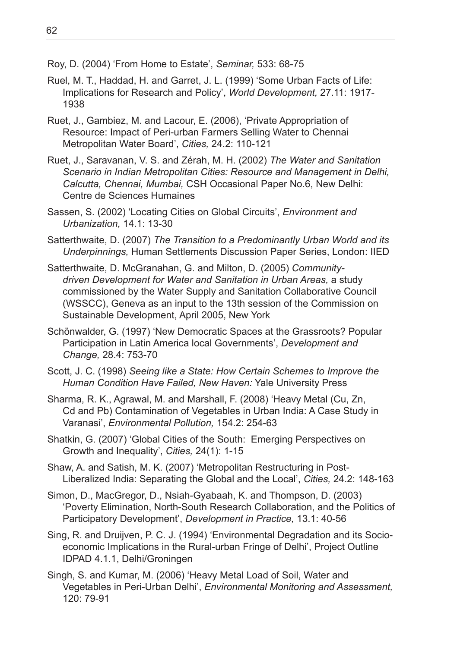- Roy, D. (2004) 'From Home to Estate', *Seminar,* 533: 68-75
- Ruel, M. T., Haddad, H. and Garret, J. L. (1999) 'Some Urban Facts of Life: Implications for Research and Policy', *World Development,* 27.11: 1917- 1938
- Ruet, J., Gambiez, M. and Lacour, E. (2006), 'Private Appropriation of Resource: Impact of Peri-urban Farmers Selling Water to Chennai Metropolitan Water Board', *Cities,* 24.2: 110-121
- Ruet, J., Saravanan, V. S. and Zérah, M. H. (2002) *The Water and Sanitation Scenario in Indian Metropolitan Cities: Resource and Management in Delhi, Calcutta, Chennai, Mumbai,* CSH Occasional Paper No.6, New Delhi: Centre de Sciences Humaines
- Sassen, S. (2002) 'Locating Cities on Global Circuits', *Environment and Urbanization,* 14.1: 13-30
- Satterthwaite, D. (2007) *The Transition to a Predominantly Urban World and its Underpinnings,* Human Settlements Discussion Paper Series, London: IIED
- Satterthwaite, D. McGranahan, G. and Milton, D. (2005) *Communitydriven Development for Water and Sanitation in Urban Areas,* a study commissioned by the Water Supply and Sanitation Collaborative Council (WSSCC), Geneva as an input to the 13th session of the Commission on Sustainable Development, April 2005, New York
- Schönwalder, G. (1997) 'New Democratic Spaces at the Grassroots? Popular Participation in Latin America local Governments', *Development and Change,* 28.4: 753-70
- Scott, J. C. (1998) *Seeing like a State: How Certain Schemes to Improve the Human Condition Have Failed, New Haven:* Yale University Press
- Sharma, R. K., Agrawal, M. and Marshall, F. (2008) 'Heavy Metal (Cu, Zn, Cd and Pb) Contamination of Vegetables in Urban India: A Case Study in Varanasi', *Environmental Pollution,* 154.2: 254-63
- Shatkin, G. (2007) 'Global Cities of the South: Emerging Perspectives on Growth and Inequality', *Cities,* 24(1): 1-15
- Shaw, A. and Satish, M. K. (2007) 'Metropolitan Restructuring in Post-Liberalized India: Separating the Global and the Local', *Cities,* 24.2: 148-163
- Simon, D., MacGregor, D., Nsiah-Gyabaah, K. and Thompson, D. (2003) 'Poverty Elimination, North-South Research Collaboration, and the Politics of Participatory Development', *Development in Practice,* 13.1: 40-56
- Sing, R. and Druijven, P. C. J. (1994) 'Environmental Degradation and its Socioeconomic Implications in the Rural-urban Fringe of Delhi', Project Outline IDPAD 4.1.1, Delhi/Groningen
- Singh, S. and Kumar, M. (2006) 'Heavy Metal Load of Soil, Water and Vegetables in Peri-Urban Delhi', *Environmental Monitoring and Assessment,*  120: 79-91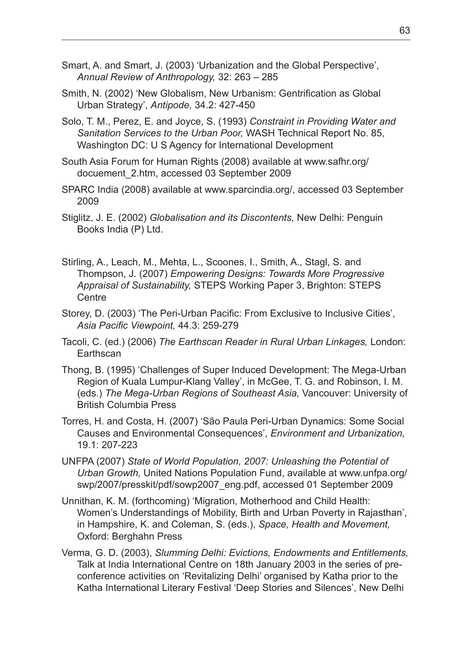- Smart, A. and Smart, J. (2003) 'Urbanization and the Global Perspective', *Annual Review of Anthropology,* 32: 263 – 285
- Smith, N. (2002) 'New Globalism, New Urbanism: Gentrification as Global Urban Strategy', *Antipode,* 34.2: 427-450
- Solo, T. M., Perez, E. and Joyce, S. (1993) *Constraint in Providing Water and Sanitation Services to the Urban Poor,* WASH Technical Report No. 85, Washington DC: U S Agency for International Development
- South Asia Forum for Human Rights (2008) available at www.safhr.org/ docuement\_2.htm, accessed 03 September 2009
- SPARC India (2008) available at www.sparcindia.org/, accessed 03 September 2009
- Stiglitz, J. E. (2002) *Globalisation and its Discontents,* New Delhi: Penguin Books India (P) Ltd.
- Stirling, A., Leach, M., Mehta, L., Scoones, I., Smith, A., Stagl, S. and Thompson, J. (2007) *Empowering Designs: Towards More Progressive Appraisal of Sustainability,* STEPS Working Paper 3, Brighton: STEPS **Centre**
- Storey, D. (2003) 'The Peri-Urban Pacific: From Exclusive to Inclusive Cities', *Asia Pacific Viewpoint,* 44.3: 259-279
- Tacoli, C. (ed.) (2006) *The Earthscan Reader in Rural Urban Linkages,* London: **Earthscan**
- Thong, B. (1995) 'Challenges of Super Induced Development: The Mega-Urban Region of Kuala Lumpur-Klang Valley', in McGee, T. G. and Robinson, I. M. (eds.) *The Mega-Urban Regions of Southeast Asia,* Vancouver: University of British Columbia Press
- Torres, H. and Costa, H. (2007) 'São Paula Peri-Urban Dynamics: Some Social Causes and Environmental Consequences', *Environment and Urbanization,*  19.1: 207-223
- UNFPA (2007) *State of World Population, 2007: Unleashing the Potential of Urban Growth,* United Nations Population Fund, available at www.unfpa.org/ swp/2007/presskit/pdf/sowp2007\_eng.pdf, accessed 01 September 2009
- Unnithan, K. M. (forthcoming) 'Migration, Motherhood and Child Health: Women's Understandings of Mobility, Birth and Urban Poverty in Rajasthan', in Hampshire, K. and Coleman, S. (eds.), *Space, Health and Movement,* Oxford: Berghahn Press
- Verma, G. D. (2003), *Slumming Delhi: Evictions, Endowments and Entitlements,* Talk at India International Centre on 18th January 2003 in the series of preconference activities on 'Revitalizing Delhi' organised by Katha prior to the Katha International Literary Festival 'Deep Stories and Silences', New Delhi